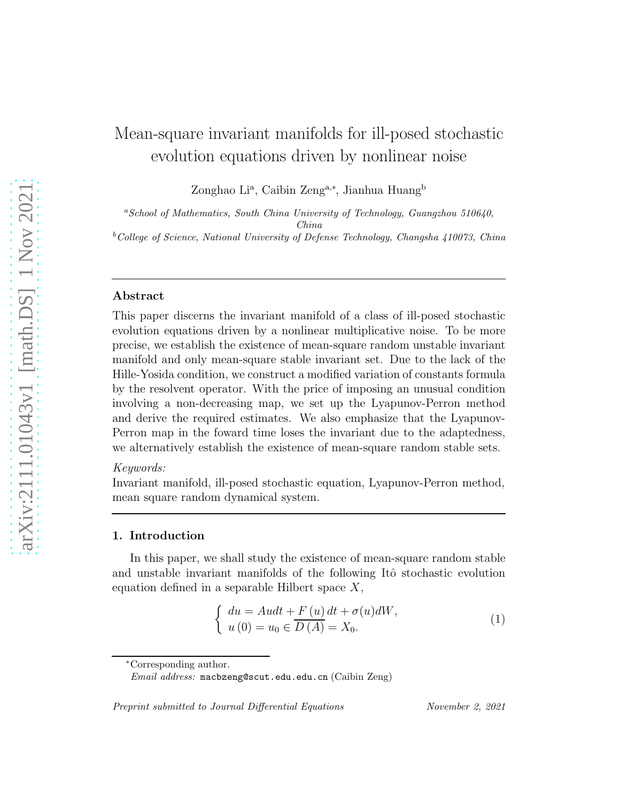# Mean-square invariant manifolds for ill-posed stochastic evolution equations driven by nonlinear noise

Zonghao Li<sup>a</sup>, Caibin Zeng<sup>a,∗</sup>, Jianhua Huang<sup>b</sup>

 $a$ School of Mathematics, South China University of Technology, Guangzhou 510640, China  $b$ College of Science, National University of Defense Technology, Changsha 410073, China

#### Abstract

This paper discerns the invariant manifold of a class of ill-posed stochastic evolution equations driven by a nonlinear multiplicative noise. To be more precise, we establish the existence of mean-square random unstable invariant manifold and only mean-square stable invariant set. Due to the lack of the Hille-Yosida condition, we construct a modified variation of constants formula by the resolvent operator. With the price of imposing an unusual condition involving a non-decreasing map, we set up the Lyapunov-Perron method and derive the required estimates. We also emphasize that the Lyapunov-Perron map in the foward time loses the invariant due to the adaptedness, we alternatively establish the existence of mean-square random stable sets.

# Keywords:

Invariant manifold, ill-posed stochastic equation, Lyapunov-Perron method, mean square random dynamical system.

# 1. Introduction

In this paper, we shall study the existence of mean-square random stable and unstable invariant manifolds of the following Itô stochastic evolution equation defined in a separable Hilbert space  $X$ ,

$$
\begin{cases}\n du = Audt + F(u) dt + \sigma(u)dW, \\
 u(0) = u_0 \in \overline{D(A)} = X_0.\n\end{cases}
$$
\n(1)

<sup>∗</sup>Corresponding author.

Preprint submitted to Journal Differential Equations November 2, 2021

<span id="page-0-0"></span>

Email address: macbzeng@scut.edu.edu.cn (Caibin Zeng)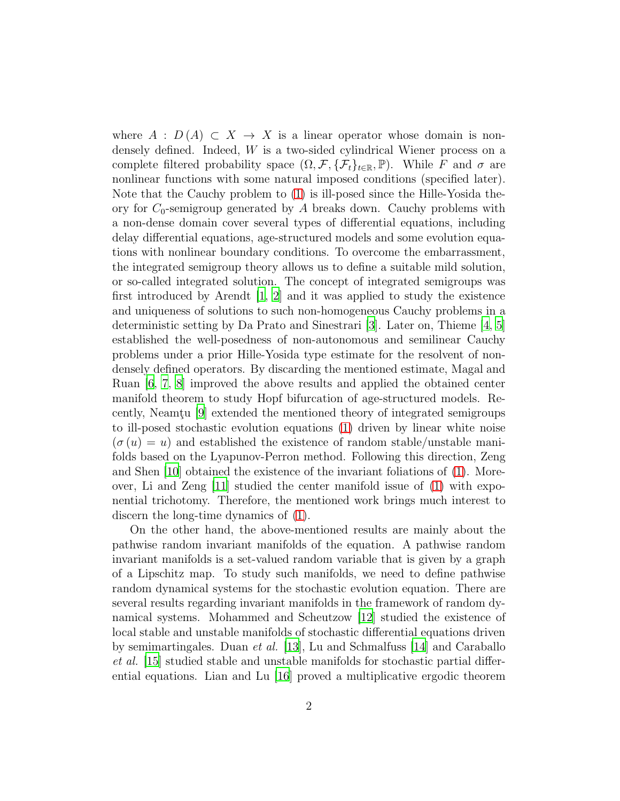where  $A : D(A) \subset X \to X$  is a linear operator whose domain is nondensely defined. Indeed, W is a two-sided cylindrical Wiener process on a complete filtered probability space  $(\Omega, \mathcal{F}, \{\mathcal{F}_t\}_{t \in \mathbb{R}}, \mathbb{P})$ . While F and  $\sigma$  are nonlinear functions with some natural imposed conditions (specified later). Note that the Cauchy problem to [\(1\)](#page-0-0) is ill-posed since the Hille-Yosida theory for  $C_0$ -semigroup generated by A breaks down. Cauchy problems with a non-dense domain cover several types of differential equations, including delay differential equations, age-structured models and some evolution equations with nonlinear boundary conditions. To overcome the embarrassment, the integrated semigroup theory allows us to define a suitable mild solution, or so-called integrated solution. The concept of integrated semigroups was first introduced by Arendt  $\begin{bmatrix} 1, 2 \end{bmatrix}$  and it was applied to study the existence and uniqueness of solutions to such non-homogeneous Cauchy problems in a deterministic setting by Da Prato and Sinestrari [\[3](#page-39-2)]. Later on, Thieme [\[4](#page-39-3), [5](#page-39-4)] established the well-posedness of non-autonomous and semilinear Cauchy problems under a prior Hille-Yosida type estimate for the resolvent of nondensely defined operators. By discarding the mentioned estimate, Magal and Ruan [\[6](#page-39-5), [7](#page-39-6), [8\]](#page-39-7) improved the above results and applied the obtained center manifold theorem to study Hopf bifurcation of age-structured models. Re-cently, Neamtu [\[9\]](#page-40-0) extended the mentioned theory of integrated semigroups to ill-posed stochastic evolution equations [\(1\)](#page-0-0) driven by linear white noise  $(\sigma(u) = u)$  and established the existence of random stable/unstable manifolds based on the Lyapunov-Perron method. Following this direction, Zeng and Shen [\[10\]](#page-40-1) obtained the existence of the invariant foliations of [\(1\)](#page-0-0). Moreover, Li and Zeng [\[11\]](#page-40-2) studied the center manifold issue of [\(1\)](#page-0-0) with exponential trichotomy. Therefore, the mentioned work brings much interest to discern the long-time dynamics of [\(1\)](#page-0-0).

On the other hand, the above-mentioned results are mainly about the pathwise random invariant manifolds of the equation. A pathwise random invariant manifolds is a set-valued random variable that is given by a graph of a Lipschitz map. To study such manifolds, we need to define pathwise random dynamical systems for the stochastic evolution equation. There are several results regarding invariant manifolds in the framework of random dynamical systems. Mohammed and Scheutzow [\[12](#page-40-3)] studied the existence of local stable and unstable manifolds of stochastic differential equations driven by semimartingales. Duan et al. [\[13](#page-40-4)], Lu and Schmalfuss [\[14](#page-40-5)] and Caraballo et al. [\[15\]](#page-40-6) studied stable and unstable manifolds for stochastic partial differential equations. Lian and Lu [\[16\]](#page-40-7) proved a multiplicative ergodic theorem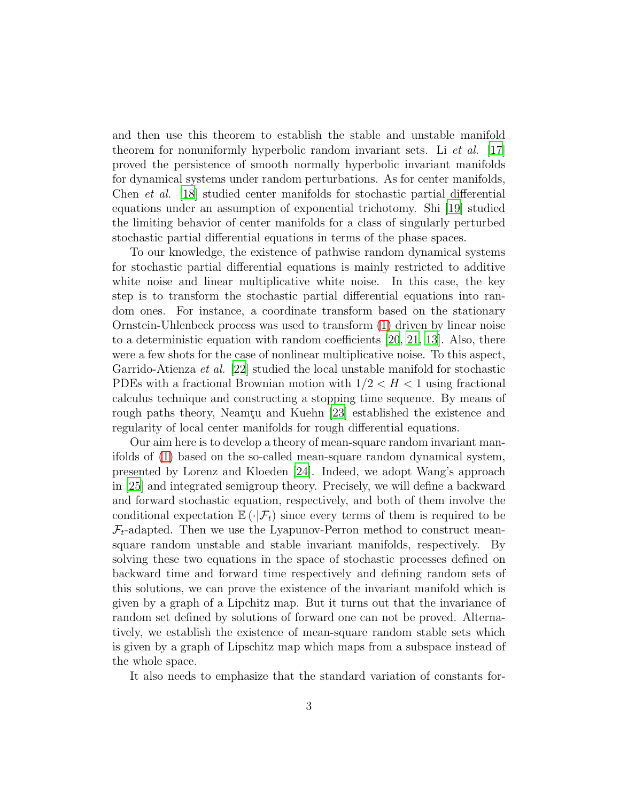and then use this theorem to establish the stable and unstable manifold theorem for nonuniformly hyperbolic random invariant sets. Li et al. [\[17](#page-40-8)] proved the persistence of smooth normally hyperbolic invariant manifolds for dynamical systems under random perturbations. As for center manifolds, Chen et al. [\[18](#page-40-9)] studied center manifolds for stochastic partial differential equations under an assumption of exponential trichotomy. Shi [\[19\]](#page-40-10) studied the limiting behavior of center manifolds for a class of singularly perturbed stochastic partial differential equations in terms of the phase spaces.

To our knowledge, the existence of pathwise random dynamical systems for stochastic partial differential equations is mainly restricted to additive white noise and linear multiplicative white noise. In this case, the key step is to transform the stochastic partial differential equations into random ones. For instance, a coordinate transform based on the stationary Ornstein-Uhlenbeck process was used to transform [\(1\)](#page-0-0) driven by linear noise to a deterministic equation with random coefficients [\[20](#page-40-11), [21,](#page-41-0) [13](#page-40-4)]. Also, there were a few shots for the case of nonlinear multiplicative noise. To this aspect, Garrido-Atienza et al. [\[22\]](#page-41-1) studied the local unstable manifold for stochastic PDEs with a fractional Brownian motion with  $1/2 < H < 1$  using fractional calculus technique and constructing a stopping time sequence. By means of rough paths theory, Neamtu and Kuehn [\[23](#page-41-2)] established the existence and regularity of local center manifolds for rough differential equations.

Our aim here is to develop a theory of mean-square random invariant manifolds of [\(1\)](#page-0-0) based on the so-called mean-square random dynamical system, presented by Lorenz and Kloeden [\[24](#page-41-3)]. Indeed, we adopt Wang's approach in [\[25\]](#page-41-4) and integrated semigroup theory. Precisely, we will define a backward and forward stochastic equation, respectively, and both of them involve the conditional expectation  $\mathbb{E}(\cdot|\mathcal{F}_t)$  since every terms of them is required to be  $\mathcal{F}_t$ -adapted. Then we use the Lyapunov-Perron method to construct meansquare random unstable and stable invariant manifolds, respectively. By solving these two equations in the space of stochastic processes defined on backward time and forward time respectively and defining random sets of this solutions, we can prove the existence of the invariant manifold which is given by a graph of a Lipchitz map. But it turns out that the invariance of random set defined by solutions of forward one can not be proved. Alternatively, we establish the existence of mean-square random stable sets which is given by a graph of Lipschitz map which maps from a subspace instead of the whole space.

It also needs to emphasize that the standard variation of constants for-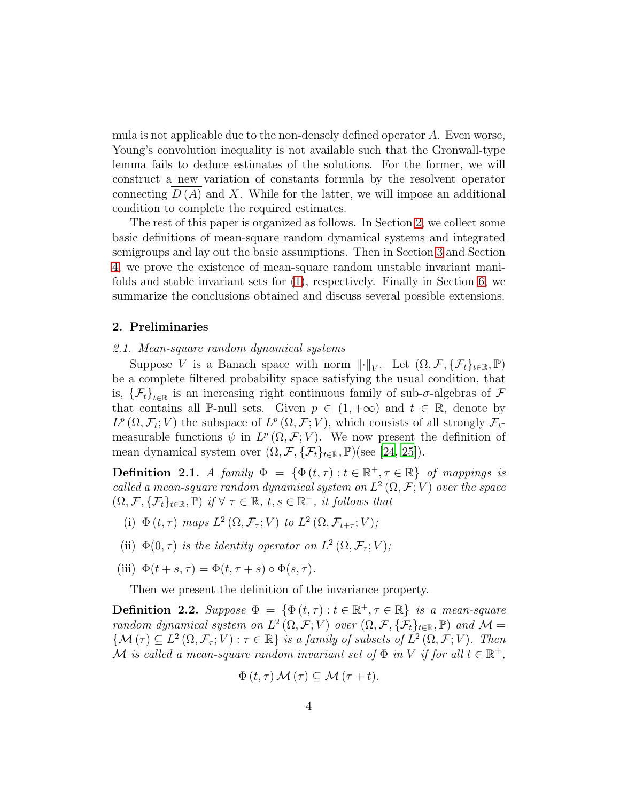mula is not applicable due to the non-densely defined operator A. Even worse, Young's convolution inequality is not available such that the Gronwall-type lemma fails to deduce estimates of the solutions. For the former, we will construct a new variation of constants formula by the resolvent operator connecting  $D(A)$  and X. While for the latter, we will impose an additional condition to complete the required estimates.

The rest of this paper is organized as follows. In Section [2,](#page-3-0) we collect some basic definitions of mean-square random dynamical systems and integrated semigroups and lay out the basic assumptions. Then in Section [3](#page-14-0) and Section [4,](#page-27-0) we prove the existence of mean-square random unstable invariant manifolds and stable invariant sets for [\(1\)](#page-0-0), respectively. Finally in Section [6,](#page-38-0) we summarize the conclusions obtained and discuss several possible extensions.

## <span id="page-3-0"></span>2. Preliminaries

#### 2.1. Mean-square random dynamical systems

Suppose V is a Banach space with norm  $\lVert \cdot \rVert_V$ . Let  $(\Omega, \mathcal{F}, \{\mathcal{F}_t\}_{t \in \mathbb{R}}, \mathbb{P})$ be a complete filtered probability space satisfying the usual condition, that is,  $\{\mathcal{F}_t\}_{t\in\mathbb{R}}$  is an increasing right continuous family of sub- $\sigma$ -algebras of  $\mathcal{F}$ that contains all P-null sets. Given  $p \in (1, +\infty)$  and  $t \in \mathbb{R}$ , denote by  $L^p(\Omega, \mathcal{F}_t; V)$  the subspace of  $L^p(\Omega, \mathcal{F}; V)$ , which consists of all strongly  $\mathcal{F}_t$ measurable functions  $\psi$  in  $L^p(\Omega, \mathcal{F}; V)$ . We now present the definition of mean dynamical system over  $(\Omega, \mathcal{F}, {\{\mathcal{F}_t\}}_{t \in \mathbb{R}}, \mathbb{P})$ (see [\[24](#page-41-3), [25\]](#page-41-4)).

**Definition 2.1.** A family  $\Phi = {\Phi(t, \tau) : t \in \mathbb{R}^+, \tau \in \mathbb{R}}$  of mappings is called a mean-square random dynamical system on  $L^2(\Omega, \mathcal{F}; V)$  over the space  $(\Omega, \mathcal{F}, \{\mathcal{F}_t\}_{t \in \mathbb{R}}, \mathbb{P})$  if  $\forall \tau \in \mathbb{R}, t, s \in \mathbb{R}^+,$  it follows that

- (i)  $\Phi(t,\tau)$  maps  $L^2(\Omega,\mathcal{F}_{\tau};V)$  to  $L^2(\Omega,\mathcal{F}_{t+\tau};V);$
- (ii)  $\Phi(0,\tau)$  is the identity operator on  $L^2(\Omega,\mathcal{F}_{\tau};V);$
- (iii)  $\Phi(t+s,\tau) = \Phi(t,\tau+s) \circ \Phi(s,\tau)$ .

Then we present the definition of the invariance property.

<span id="page-3-1"></span>**Definition 2.2.** Suppose  $\Phi = {\Phi(t, \tau) : t \in \mathbb{R}^+, \tau \in \mathbb{R}}$  is a mean-square random dynamical system on  $L^2(\Omega, \mathcal{F}; V)$  over  $(\Omega, \mathcal{F}, {\{\mathcal{F}_t\}}_{t \in \mathbb{R}}, \mathbb{P})$  and  $\mathcal{M} =$  $\{\mathcal{M}(\tau)\subseteq L^2(\Omega,\mathcal{F}_\tau;V):\tau\in\mathbb{R}\}\$ is a family of subsets of  $L^2(\Omega,\mathcal{F};V)$ . Then M is called a mean-square random invariant set of  $\Phi$  in V if for all  $t \in \mathbb{R}^+$ ,

$$
\Phi(t,\tau) \mathcal{M}(\tau) \subseteq \mathcal{M}(\tau+t).
$$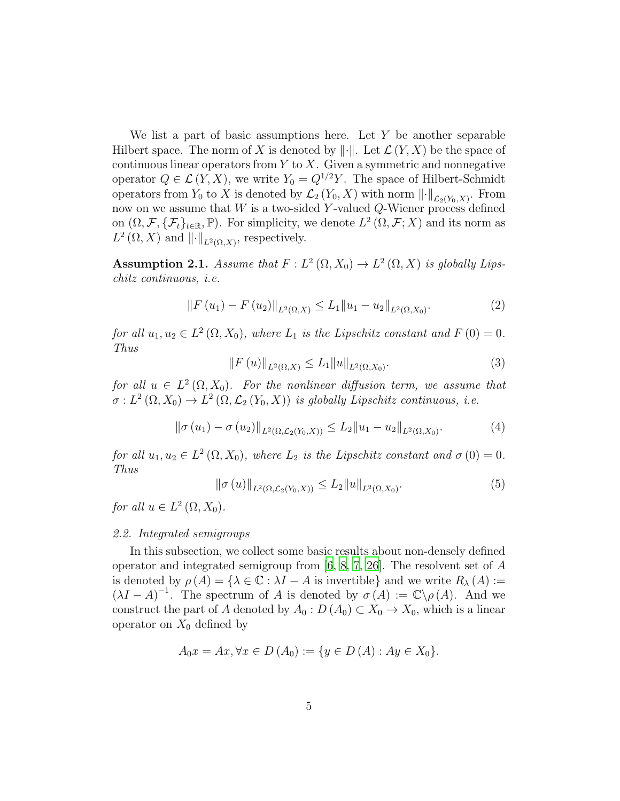We list a part of basic assumptions here. Let  $Y$  be another separable Hilbert space. The norm of X is denoted by  $\|\cdot\|$ . Let  $\mathcal{L}(Y, X)$  be the space of continuous linear operators from  $Y$  to  $X$ . Given a symmetric and nonnegative operator  $Q \in \mathcal{L}(Y, X)$ , we write  $Y_0 = Q^{1/2}Y$ . The space of Hilbert-Schmidt operators from  $Y_0$  to X is denoted by  $\mathcal{L}_2(Y_0, X)$  with norm  $\left\|\cdot\right\|_{\mathcal{L}_2(Y_0, X)}$ . From now on we assume that  $W$  is a two-sided Y-valued Q-Wiener process defined on  $(\Omega, \mathcal{F}, \{\mathcal{F}_t\}_{t\in\mathbb{R}}, \mathbb{P})$ . For simplicity, we denote  $L^2(\Omega, \mathcal{F}; X)$  and its norm as  $L^2(\Omega,X)$  and  $\|\cdot\|_{L^2(\Omega,X)}$ , respectively.

<span id="page-4-0"></span>Assumption 2.1. Assume that  $F: L^2(\Omega, X_0) \to L^2(\Omega, X)$  is globally Lipschitz continuous, i.e.

<span id="page-4-1"></span>
$$
||F(u_1) - F(u_2)||_{L^2(\Omega, X)} \le L_1 ||u_1 - u_2||_{L^2(\Omega, X_0)}.
$$
\n(2)

<span id="page-4-3"></span>for all  $u_1, u_2 \in L^2(\Omega, X_0)$ , where  $L_1$  is the Lipschitz constant and  $F(0) = 0$ . Thus

<span id="page-4-2"></span>
$$
||F(u)||_{L^{2}(\Omega,X)} \le L_1 ||u||_{L^{2}(\Omega,X_0)}.
$$
\n(3)

for all  $u \in L^2(\Omega, X_0)$ . For the nonlinear diffusion term, we assume that  $\sigma: L^2(\Omega,X_0) \to L^2(\Omega,\mathcal{L}_2(Y_0,X))$  is globally Lipschitz continuous, i.e.

$$
\|\sigma(u_1) - \sigma(u_2)\|_{L^2(\Omega, \mathcal{L}_2(Y_0, X))} \le L_2 \|u_1 - u_2\|_{L^2(\Omega, X_0)}.
$$
 (4)

<span id="page-4-4"></span>for all  $u_1, u_2 \in L^2(\Omega, X_0)$ , where  $L_2$  is the Lipschitz constant and  $\sigma(0) = 0$ . Thus

$$
\|\sigma(u)\|_{L^{2}(\Omega,\mathcal{L}_{2}(Y_{0},X))} \leq L_{2} \|u\|_{L^{2}(\Omega,X_{0})}.
$$
\n(5)

for all  $u \in L^2(\Omega, X_0)$ .

## 2.2. Integrated semigroups

In this subsection, we collect some basic results about non-densely defined operator and integrated semigroup from [\[6](#page-39-5), [8](#page-39-7), [7](#page-39-6), [26](#page-41-5)]. The resolvent set of A is denoted by  $\rho(A) = \{ \lambda \in \mathbb{C} : \lambda I - A \text{ is invertible} \}$  and we write  $R_{\lambda}(A) :=$  $(\lambda I - A)^{-1}$ . The spectrum of A is denoted by  $\sigma(A) := \mathbb{C} \backslash \rho(A)$ . And we construct the part of A denoted by  $A_0: D(A_0) \subset X_0 \to X_0$ , which is a linear operator on  $X_0$  defined by

$$
A_0x = Ax, \forall x \in D(A_0) := \{ y \in D(A) : Ay \in X_0 \}.
$$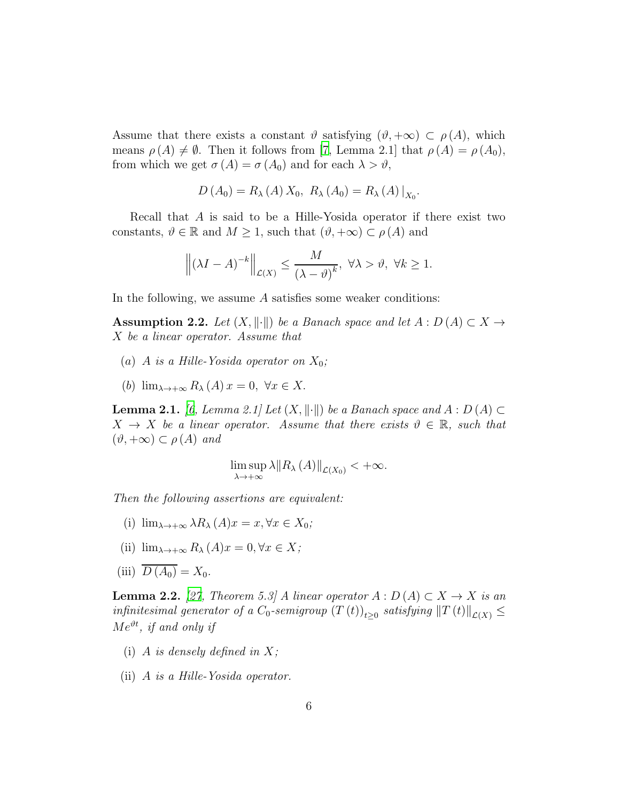Assume that there exists a constant  $\vartheta$  satisfying  $(\vartheta, +\infty) \subset \rho(A)$ , which means  $\rho(A) \neq \emptyset$ . Then it follows from [\[7,](#page-39-6) Lemma 2.1] that  $\rho(A) = \rho(A_0)$ , from which we get  $\sigma(A) = \sigma(A_0)$  and for each  $\lambda > \vartheta$ ,

$$
D(A_0) = R_{\lambda}(A) X_0, R_{\lambda}(A_0) = R_{\lambda}(A)|_{X_0}.
$$

Recall that A is said to be a Hille-Yosida operator if there exist two constants,  $\vartheta \in \mathbb{R}$  and  $M \geq 1$ , such that  $(\vartheta, +\infty) \subset \rho(A)$  and

$$
\left\| \left(\lambda I - A\right)^{-k} \right\|_{\mathcal{L}(X)} \le \frac{M}{\left(\lambda - \vartheta\right)^k}, \ \forall \lambda > \vartheta, \ \forall k \ge 1.
$$

In the following, we assume  $A$  satisfies some weaker conditions:

<span id="page-5-0"></span>**Assumption 2.2.** Let  $(X, \|\cdot\|)$  be a Banach space and let  $A : D(A) \subset X \rightarrow$ X be a linear operator. Assume that

- (a) A is a Hille-Yosida operator on  $X_0$ ;
- (b)  $\lim_{\lambda \to +\infty} R_{\lambda}(A) x = 0, \ \forall x \in X.$

<span id="page-5-2"></span>**Lemma 2.1.** [\[6,](#page-39-5) Lemma 2.1] Let  $(X, \|\cdot\|)$  be a Banach space and  $A : D(A) \subset$  $X \to X$  be a linear operator. Assume that there exists  $\vartheta \in \mathbb{R}$ , such that  $(\vartheta, +\infty) \subset \rho(A)$  and

$$
\limsup_{\lambda \to +\infty} \lambda \|R_{\lambda}(A)\|_{\mathcal{L}(X_0)} < +\infty.
$$

Then the following assertions are equivalent:

- (i)  $\lim_{\lambda \to +\infty} \lambda R_{\lambda} (A) x = x, \forall x \in X_0;$
- (ii)  $\lim_{\lambda \to +\infty} R_{\lambda}(A)x = 0, \forall x \in X;$
- (iii)  $\overline{D(A_0)} = X_0$ .

<span id="page-5-1"></span>**Lemma 2.2.** [\[27,](#page-41-6) Theorem 5.3] A linear operator  $A: D(A) \subset X \to X$  is an infinitesimal generator of a  $C_0$ -semigroup  $(T(t))_{t\geq0}$  satisfying  $||T(t)||_{\mathcal{L}(X)} \leq$  $Me^{\vartheta t}$ , if and only if

- (i) A is densely defined in  $X$ ;
- (ii) A is a Hille-Yosida operator.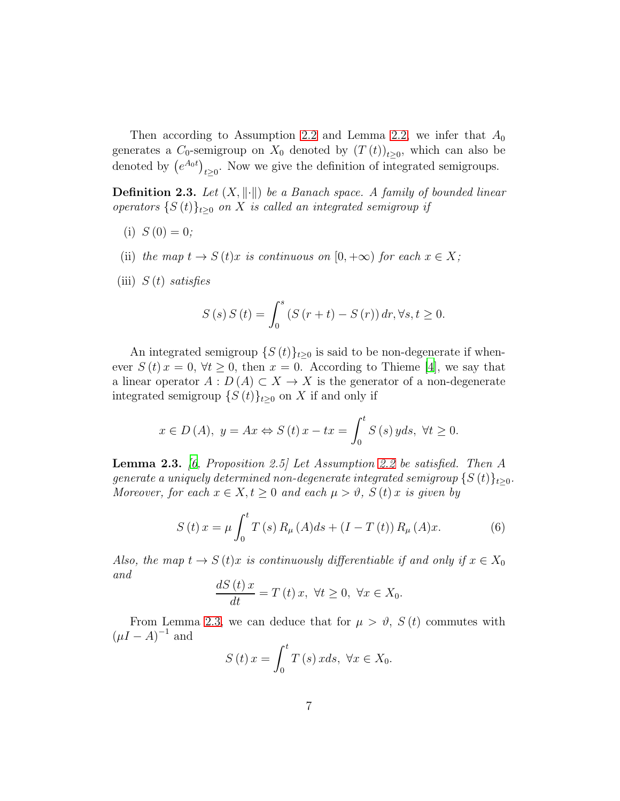Then according to Assumption [2.2](#page-5-0) and Lemma [2.2,](#page-5-1) we infer that  $A_0$ generates a  $C_0$ -semigroup on  $X_0$  denoted by  $(T(t))_{t\geq0}$ , which can also be denoted by  $(e^{A_0 t})_{t\geq 0}$ . Now we give the definition of integrated semigroups.

**Definition 2.3.** Let  $(X, \|\cdot\|)$  be a Banach space. A family of bounded linear operators  $\{S(t)\}_{t\geq0}$  on X is called an integrated semigroup if

- (i)  $S(0) = 0$ ;
- (ii) the map  $t \to S(t)x$  is continuous on  $[0, +\infty)$  for each  $x \in X$ ;
- (iii)  $S(t)$  satisfies

$$
S(s) S(t) = \int_0^s (S(r + t) - S(r)) dr, \forall s, t \ge 0.
$$

An integrated semigroup  $\{S(t)\}_{t\geq 0}$  is said to be non-degenerate if whenever  $S(t)x = 0, \forall t \geq 0$ , then  $x = 0$ . According to Thieme [\[4\]](#page-39-3), we say that a linear operator  $A: D(A) \subset X \to X$  is the generator of a non-degenerate integrated semigroup  $\{S(t)\}_{t\geq0}$  on X if and only if

$$
x \in D(A)
$$
,  $y = Ax \Leftrightarrow S(t) x - tx = \int_0^t S(s) y ds$ ,  $\forall t \ge 0$ .

<span id="page-6-0"></span>**Lemma 2.3.** [\[6,](#page-39-5) Proposition 2.5] Let Assumption [2.2](#page-5-0) be satisfied. Then A generate a uniquely determined non-degenerate integrated semigroup  $\{S(t)\}_{t>0}$ . Moreover, for each  $x \in X, t \geq 0$  and each  $\mu > \vartheta$ ,  $S(t)x$  is given by

$$
S(t)x = \mu \int_0^t T(s) R_{\mu}(A) ds + (I - T(t)) R_{\mu}(A)x.
$$
 (6)

Also, the map  $t \to S(t)x$  is continuously differentiable if and only if  $x \in X_0$ and

$$
\frac{dS(t)x}{dt} = T(t)x, \ \forall t \ge 0, \ \forall x \in X_0.
$$

From Lemma [2.3,](#page-6-0) we can deduce that for  $\mu > \vartheta$ ,  $S(t)$  commutes with  $(\mu I - A)^{-1}$  and

$$
S\left(t\right)x = \int_0^t T\left(s\right)x ds, \ \forall x \in X_0.
$$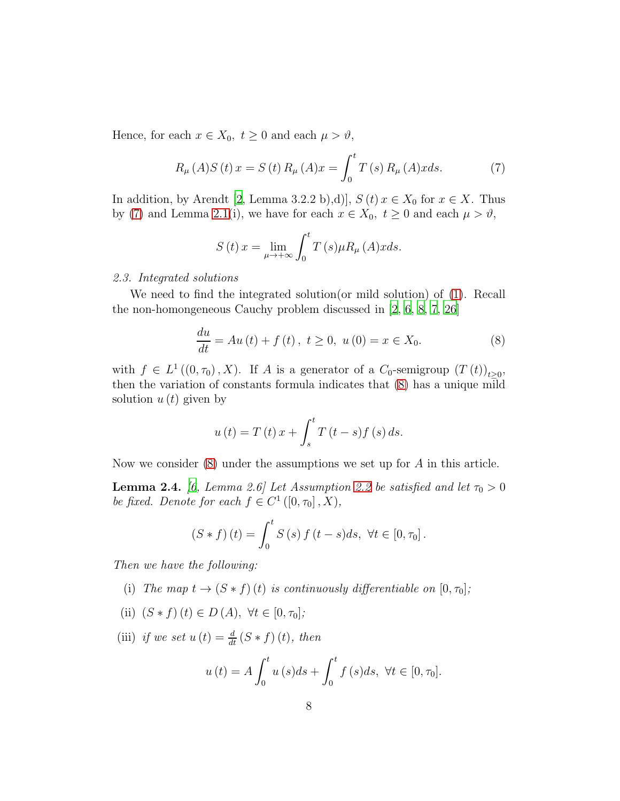Hence, for each  $x \in X_0$ ,  $t \geq 0$  and each  $\mu > \vartheta$ ,

$$
R_{\mu}(A)S(t)x = S(t) R_{\mu}(A)x = \int_0^t T(s) R_{\mu}(A)x ds.
$$
 (7)

In addition, by Arendt [\[2](#page-39-1), Lemma 3.2.2 b),d)],  $S(t)x \in X_0$  for  $x \in X$ . Thus by [\(7\)](#page-7-0) and Lemma [2.1\(](#page-5-2)i), we have for each  $x \in X_0$ ,  $t \ge 0$  and each  $\mu > \vartheta$ ,

<span id="page-7-1"></span><span id="page-7-0"></span>
$$
S\left(t\right)x = \lim_{\mu \to +\infty} \int_0^t T\left(s\right) \mu R_\mu\left(A\right)x ds.
$$

# 2.3. Integrated solutions

We need to find the integrated solution(or mild solution) of [\(1\)](#page-0-0). Recall the non-homongeneous Cauchy problem discussed in [\[2](#page-39-1), [6](#page-39-5), [8](#page-39-7), [7](#page-39-6), [26\]](#page-41-5)

$$
\frac{du}{dt} = Au(t) + f(t), \ t \ge 0, \ u(0) = x \in X_0.
$$
 (8)

with  $f \in L^1((0, \tau_0), X)$ . If A is a generator of a  $C_0$ -semigroup  $(T(t))_{t \geq 0}$ , then the variation of constants formula indicates that [\(8\)](#page-7-1) has a unique mild solution  $u(t)$  given by

$$
u(t) = T(t)x + \int_{s}^{t} T(t-s)f(s) ds.
$$

Now we consider [\(8\)](#page-7-1) under the assumptions we set up for A in this article.

<span id="page-7-2"></span>**Lemma 2.4.** [\[6,](#page-39-5) Lemma 2.6] Let Assumption [2.2](#page-5-0) be satisfied and let  $\tau_0 > 0$ be fixed. Denote for each  $f \in C^1([0, \tau_0], X)$ ,

$$
(S * f) (t) = \int_0^t S(s) f (t - s) ds, \ \forall t \in [0, \tau_0].
$$

Then we have the following:

- (i) The map  $t \to (S * f)(t)$  is continuously differentiable on  $[0, \tau_0]$ ;
- (ii)  $(S * f)(t) \in D(A), \forall t \in [0, \tau_0];$

(iii) if we set  $u(t) = \frac{d}{dt} (S * f)(t)$ , then

$$
u(t) = A \int_0^t u(s)ds + \int_0^t f(s)ds, \ \forall t \in [0, \tau_0].
$$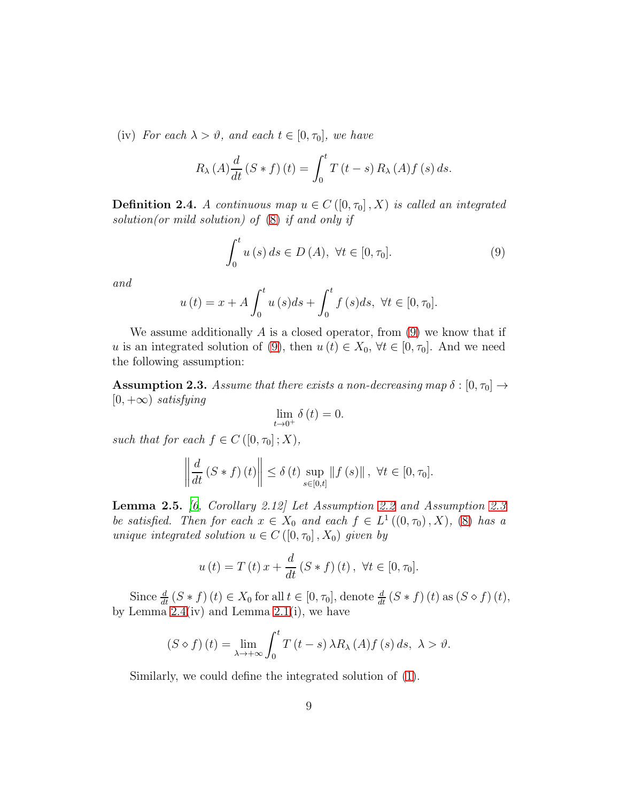(iv) For each  $\lambda > \vartheta$ , and each  $t \in [0, \tau_0]$ , we have

$$
R_{\lambda}(A)\frac{d}{dt}\left(S*f\right)(t) = \int_0^t T\left(t-s\right)R_{\lambda}(A)f\left(s\right)ds.
$$

**Definition 2.4.** A continuous map  $u \in C([0, \tau_0], X)$  is called an integrated solution(or mild solution) of  $(8)$  if and only if

<span id="page-8-0"></span>
$$
\int_0^t u(s) ds \in D(A), \ \forall t \in [0, \tau_0].
$$
\n
$$
(9)
$$

and

$$
u(t) = x + A \int_0^t u(s)ds + \int_0^t f(s)ds, \ \forall t \in [0, \tau_0].
$$

We assume additionally  $A$  is a closed operator, from  $(9)$  we know that if u is an integrated solution of [\(9\)](#page-8-0), then  $u(t) \in X_0$ ,  $\forall t \in [0, \tau_0]$ . And we need the following assumption:

<span id="page-8-1"></span>**Assumption 2.3.** Assume that there exists a non-decreasing map  $\delta : [0, \tau_0] \rightarrow$  $[0, +\infty)$  satisfying

$$
\lim_{t \to 0^+} \delta(t) = 0.
$$

such that for each  $f \in C([0, \tau_0]; X)$ ,

$$
\left\|\frac{d}{dt}\left(S*f\right)\left(t\right)\right\| \leq \delta\left(t\right) \sup_{s \in [0,t]} \left\|f\left(s\right)\right\|, \ \forall t \in [0,\tau_0].
$$

**Lemma 2.5.** [\[6,](#page-39-5) Corollary 2.12] Let Assumption [2.2](#page-5-0) and Assumption [2.3](#page-8-1) be satisfied. Then for each  $x \in X_0$  and each  $f \in L^1((0, \tau_0), X)$ , [\(8\)](#page-7-1) has a unique integrated solution  $u \in C([0, \tau_0], X_0)$  given by

$$
u(t) = T(t) x + \frac{d}{dt} (S * f)(t), \forall t \in [0, \tau_0].
$$

Since  $\frac{d}{dt} (S * f)(t) \in X_0$  for all  $t \in [0, \tau_0]$ , denote  $\frac{d}{dt} (S * f)(t)$  as  $(S \diamond f)(t)$ , by Lemma  $2.4(iv)$  and Lemma  $2.1(i)$ , we have

$$
(S \diamond f)(t) = \lim_{\lambda \to +\infty} \int_0^t T(t-s) \,\lambda R_\lambda(A) f(s) \, ds, \ \lambda > \vartheta.
$$

Similarly, we could define the integrated solution of [\(1\)](#page-0-0).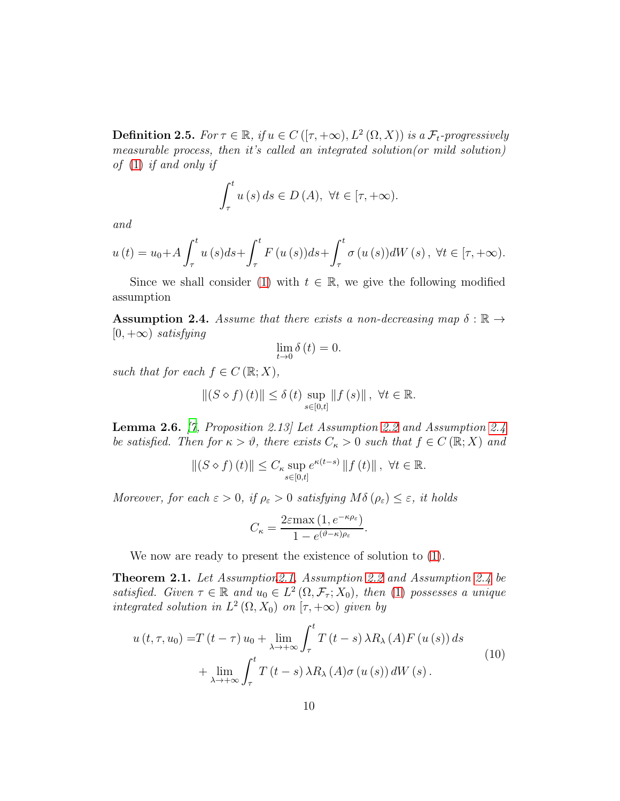<span id="page-9-2"></span>**Definition 2.5.** For  $\tau \in \mathbb{R}$ , if  $u \in C([ \tau, +\infty), L^2(\Omega, X))$  is a  $\mathcal{F}_t$ -progressively measurable process, then it's called an integrated solution(or mild solution) of [\(1\)](#page-0-0) if and only if

$$
\int_{\tau}^{t} u(s) ds \in D(A), \ \forall t \in [\tau, +\infty).
$$

and

$$
u(t) = u_0 + A \int_{\tau}^{t} u(s)ds + \int_{\tau}^{t} F(u(s))ds + \int_{\tau}^{t} \sigma(u(s))dW(s), \ \forall t \in [\tau, +\infty).
$$

Since we shall consider [\(1\)](#page-0-0) with  $t \in \mathbb{R}$ , we give the following modified assumption

<span id="page-9-0"></span>**Assumption 2.4.** Assume that there exists a non-decreasing map  $\delta : \mathbb{R} \to$  $[0, +\infty)$  satisfying

$$
\lim_{t \to 0} \delta(t) = 0.
$$

such that for each  $f \in C(\mathbb{R};X)$ ,

$$
||(S \diamond f)(t)|| \leq \delta(t) \sup_{s \in [0,t]} ||f(s)||, \ \forall t \in \mathbb{R}.
$$

<span id="page-9-3"></span>Lemma 2.6. [\[7,](#page-39-6) Proposition 2.13] Let Assumption [2.2](#page-5-0) and Assumption [2.4](#page-9-0) be satisfied. Then for  $\kappa > \vartheta$ , there exists  $C_{\kappa} > 0$  such that  $f \in C(\mathbb{R};X)$  and

$$
||(S \diamond f)(t)|| \leq C_{\kappa} \sup_{s \in [0,t]} e^{\kappa(t-s)} ||f(t)||, \ \forall t \in \mathbb{R}.
$$

Moreover, for each  $\varepsilon > 0$ , if  $\rho_{\varepsilon} > 0$  satisfying  $M\delta(\rho_{\varepsilon}) \leq \varepsilon$ , it holds

$$
C_{\kappa} = \frac{2\varepsilon \max\left(1, e^{-\kappa \rho_{\varepsilon}}\right)}{1 - e^{(\vartheta - \kappa)\rho_{\varepsilon}}}
$$

<span id="page-9-1"></span>.

We now are ready to present the existence of solution to [\(1\)](#page-0-0).

Theorem 2.1. Let Assumptio[n2.1,](#page-4-0) Assumption [2.2](#page-5-0) and Assumption [2.4](#page-9-0) be satisfied. Given  $\tau \in \mathbb{R}$  and  $u_0 \in L^2(\Omega, \mathcal{F}_{\tau}; X_0)$ , then [\(1\)](#page-0-0) possesses a unique integrated solution in  $L^2(\Omega, X_0)$  on  $[\tau, +\infty)$  given by

$$
u(t, \tau, u_0) = T(t - \tau) u_0 + \lim_{\lambda \to +\infty} \int_{\tau}^{t} T(t - s) \lambda R_{\lambda}(A) F(u(s)) ds
$$
  
+ 
$$
\lim_{\lambda \to +\infty} \int_{\tau}^{t} T(t - s) \lambda R_{\lambda}(A) \sigma(u(s)) dW(s).
$$
 (10)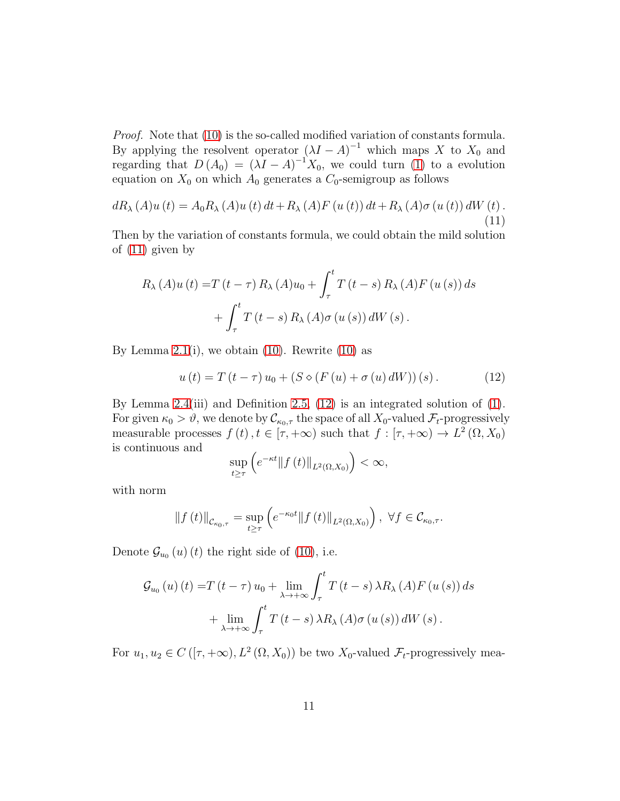Proof. Note that [\(10\)](#page-9-1) is the so-called modified variation of constants formula. By applying the resolvent operator  $(\lambda I - A)^{-1}$  which maps X to  $X_0$  and regarding that  $D(A_0) = (\lambda I - A)^{-1}X_0$ , we could turn [\(1\)](#page-0-0) to a evolution equation on  $X_0$  on which  $A_0$  generates a  $C_0$ -semigroup as follows

$$
dR_{\lambda}(A)u(t) = A_0R_{\lambda}(A)u(t) dt + R_{\lambda}(A)F(u(t)) dt + R_{\lambda}(A)\sigma(u(t)) dW(t).
$$
\n(11)

Then by the variation of constants formula, we could obtain the mild solution of [\(11\)](#page-10-0) given by

<span id="page-10-0"></span>
$$
R_{\lambda}(A)u(t) = T(t - \tau) R_{\lambda}(A)u_0 + \int_{\tau}^{t} T(t - s) R_{\lambda}(A)F(u(s)) ds
$$
  
+ 
$$
\int_{\tau}^{t} T(t - s) R_{\lambda}(A) \sigma(u(s)) dW(s).
$$

By Lemma [2.1\(](#page-5-2)i), we obtain  $(10)$ . Rewrite  $(10)$  as

$$
u(t) = T(t - \tau) u_0 + (S \diamond (F(u) + \sigma(u) dW)) (s).
$$
 (12)

By Lemma [2.4\(](#page-7-2)iii) and Definition [2.5,](#page-9-2) [\(12\)](#page-10-1) is an integrated solution of [\(1\)](#page-0-0). For given  $\kappa_0 > \vartheta$ , we denote by  $\mathcal{C}_{\kappa_0,\tau}$  the space of all  $X_0$ -valued  $\mathcal{F}_t$ -progressively measurable processes  $f(t)$ ,  $t \in [\tau, +\infty)$  such that  $f : [\tau, +\infty) \to L^2(\Omega, X_0)$ is continuous and

<span id="page-10-1"></span>
$$
\sup_{t\geq\tau}\left(e^{-\kappa t}\|f\left(t\right)\|_{L^{2}\left(\Omega,X_{0}\right)}\right)<\infty,
$$

with norm

$$
\|f(t)\|_{\mathcal{C}_{\kappa_0,\tau}} = \sup_{t \ge \tau} \left( e^{-\kappa_0 t} \|f(t)\|_{L^2(\Omega,X_0)} \right), \ \forall f \in \mathcal{C}_{\kappa_0,\tau}.
$$

Denote  $\mathcal{G}_{u_0}(u)(t)$  the right side of [\(10\)](#page-9-1), i.e.

$$
\mathcal{G}_{u_0}(u)(t) = T(t-\tau) u_0 + \lim_{\lambda \to +\infty} \int_{\tau}^{t} T(t-s) \lambda R_{\lambda}(A) F(u(s)) ds
$$
  
+ 
$$
\lim_{\lambda \to +\infty} \int_{\tau}^{t} T(t-s) \lambda R_{\lambda}(A) \sigma(u(s)) dW(s).
$$

For  $u_1, u_2 \in C([T, +\infty), L^2(\Omega, X_0))$  be two  $X_0$ -valued  $\mathcal{F}_t$ -progressively mea-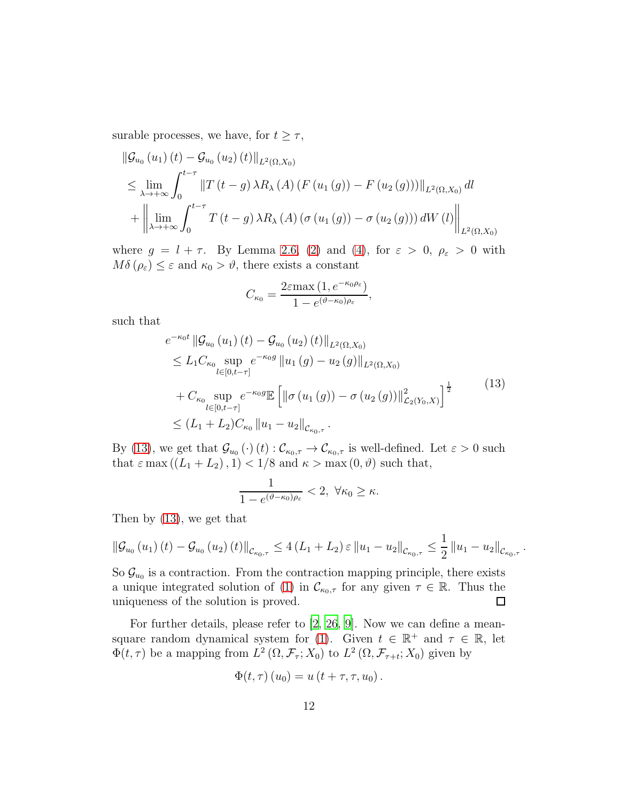surable processes, we have, for  $t \geq \tau$ ,

$$
\|\mathcal{G}_{u_{0}}(u_{1})(t) - \mathcal{G}_{u_{0}}(u_{2})(t)\|_{L^{2}(\Omega,X_{0})}
$$
\n
$$
\leq \lim_{\lambda \to +\infty} \int_{0}^{t-\tau} \|T(t-g)\lambda R_{\lambda}(A)(F(u_{1}(g)) - F(u_{2}(g)))\|_{L^{2}(\Omega,X_{0})} dl
$$
\n
$$
+ \left\|\lim_{\lambda \to +\infty} \int_{0}^{t-\tau} T(t-g)\lambda R_{\lambda}(A)(\sigma(u_{1}(g)) - \sigma(u_{2}(g))) dW(l)\right\|_{L^{2}(\Omega,X_{0})}
$$

where  $g = l + \tau$ . By Lemma [2.6,](#page-9-3) [\(2\)](#page-4-1) and [\(4\)](#page-4-2), for  $\varepsilon > 0$ ,  $\rho_{\varepsilon} > 0$  with  $M\delta(\rho_{\varepsilon}) \leq \varepsilon$  and  $\kappa_0 > \vartheta$ , there exists a constant

$$
C_{\kappa_0} = \frac{2\varepsilon \max\left(1, e^{-\kappa_0 \rho_\varepsilon}\right)}{1 - e^{(\vartheta - \kappa_0)\rho_\varepsilon}},
$$

such that

<span id="page-11-0"></span>
$$
e^{-\kappa_0 t} \|\mathcal{G}_{u_0}(u_1)(t) - \mathcal{G}_{u_0}(u_2)(t)\|_{L^2(\Omega, X_0)}
$$
  
\n
$$
\leq L_1 C_{\kappa_0} \sup_{l \in [0, t-\tau]} e^{-\kappa_0 g} \|u_1(g) - u_2(g)\|_{L^2(\Omega, X_0)}
$$
  
\n
$$
+ C_{\kappa_0} \sup_{l \in [0, t-\tau]} e^{-\kappa_0 g} \mathbb{E} \left[ \|\sigma(u_1(g)) - \sigma(u_2(g))\|_{\mathcal{L}_2(Y_0, X)}^2 \right]^{\frac{1}{2}}
$$
  
\n
$$
\leq (L_1 + L_2) C_{\kappa_0} \|u_1 - u_2\|_{\mathcal{C}_{\kappa_0, \tau}}.
$$
\n(13)

By [\(13\)](#page-11-0), we get that  $\mathcal{G}_{u_0}(\cdot)(t): \mathcal{C}_{\kappa_0, \tau} \to \mathcal{C}_{\kappa_0, \tau}$  is well-defined. Let  $\varepsilon > 0$  such that  $\varepsilon$  max  $((L_1 + L_2), 1) < 1/8$  and  $\kappa > \max(0, \vartheta)$  such that,

$$
\frac{1}{1-e^{(\vartheta-\kappa_0)\rho_{\varepsilon}}} < 2, \ \forall \kappa_0 \geq \kappa.
$$

Then by [\(13\)](#page-11-0), we get that

$$
\|\mathcal{G}_{u_0}(u_1)(t) - \mathcal{G}_{u_0}(u_2)(t)\|_{\mathcal{C}_{\kappa_0,\tau}} \le 4(L_1 + L_2) \,\varepsilon \, \|u_1 - u_2\|_{\mathcal{C}_{\kappa_0,\tau}} \le \frac{1}{2} \, \|u_1 - u_2\|_{\mathcal{C}_{\kappa_0,\tau}}
$$

.

So  $\mathcal{G}_{u_0}$  is a contraction. From the contraction mapping principle, there exists a unique integrated solution of [\(1\)](#page-0-0) in  $\mathcal{C}_{\kappa_0,\tau}$  for any given  $\tau \in \mathbb{R}$ . Thus the uniqueness of the solution is proved. uniqueness of the solution is proved.

For further details, please refer to [\[2,](#page-39-1) [26,](#page-41-5) [9\]](#page-40-0). Now we can define a mean-square random dynamical system for [\(1\)](#page-0-0). Given  $t \in \mathbb{R}^+$  and  $\tau \in \mathbb{R}$ , let  $\Phi(t,\tau)$  be a mapping from  $L^2(\Omega,\mathcal{F}_{\tau};X_0)$  to  $L^2(\Omega,\mathcal{F}_{\tau+t};X_0)$  given by

$$
\Phi(t,\tau)\left(u_0\right) = u\left(t+\tau,\tau,u_0\right).
$$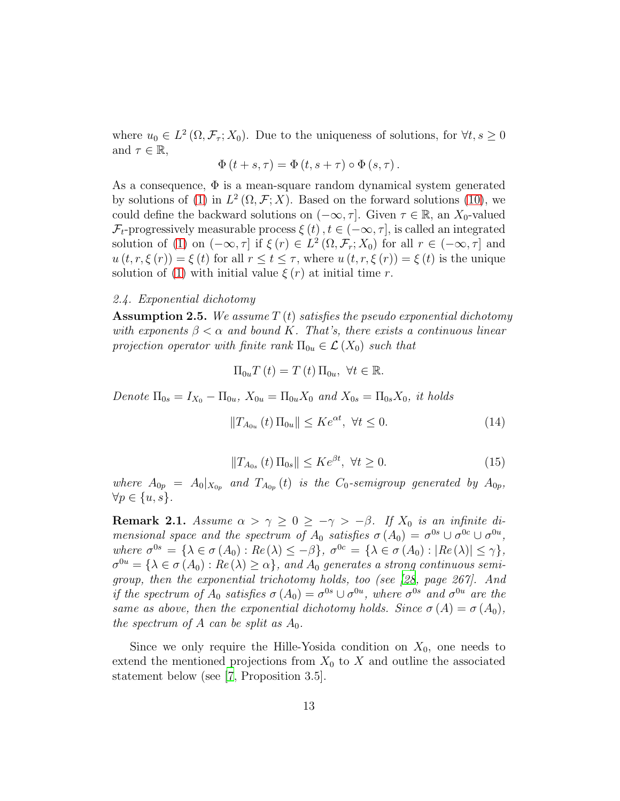where  $u_0 \in L^2(\Omega, \mathcal{F}_\tau; X_0)$ . Due to the uniqueness of solutions, for  $\forall t, s \geq 0$ and  $\tau \in \mathbb{R}$ ,

$$
\Phi(t+s,\tau) = \Phi(t,s+\tau) \circ \Phi(s,\tau).
$$

As a consequence,  $\Phi$  is a mean-square random dynamical system generated by solutions of [\(1\)](#page-0-0) in  $L^2(\Omega, \mathcal{F}; X)$ . Based on the forward solutions [\(10\)](#page-9-1), we could define the backward solutions on  $(-\infty, \tau]$ . Given  $\tau \in \mathbb{R}$ , an  $X_0$ -valued  $\mathcal{F}_t$ -progressively measurable process  $\xi(t)$ ,  $t \in (-\infty, \tau]$ , is called an integrated solution of [\(1\)](#page-0-0) on  $(-\infty, \tau]$  if  $\xi(r) \in L^2(\Omega, \mathcal{F}_r; X_0)$  for all  $r \in (-\infty, \tau]$  and  $u(t, r, \xi(r)) = \xi(t)$  for all  $r \le t \le \tau$ , where  $u(t, r, \xi(r)) = \xi(t)$  is the unique solution of [\(1\)](#page-0-0) with initial value  $\xi(r)$  at initial time r.

## 2.4. Exponential dichotomy

<span id="page-12-0"></span>**Assumption 2.5.** We assume  $T(t)$  satisfies the pseudo exponential dichotomy with exponents  $\beta < \alpha$  and bound K. That's, there exists a continuous linear projection operator with finite rank  $\Pi_{0u} \in \mathcal{L}(X_0)$  such that

<span id="page-12-1"></span>
$$
\Pi_{0u}T(t) = T(t) \Pi_{0u}, \ \forall t \in \mathbb{R}.
$$

Denote  $\Pi_{0s} = I_{X_0} - \Pi_{0u}$ ,  $X_{0u} = \Pi_{0u} X_0$  and  $X_{0s} = \Pi_{0s} X_0$ , it holds

$$
||T_{A_{0u}}(t) \Pi_{0u}|| \leq Ke^{\alpha t}, \ \forall t \leq 0.
$$
 (14)

$$
||T_{A_{0s}}(t)\Pi_{0s}|| \le Ke^{\beta t}, \ \forall t \ge 0. \tag{15}
$$

<span id="page-12-2"></span>where  $A_{0p} = A_0|_{X_{0p}}$  and  $T_{A_{0p}}(t)$  is the  $C_0$ -semigroup generated by  $A_{0p}$ ,  $\forall p \in \{u, s\}.$ 

<span id="page-12-3"></span>**Remark 2.1.** Assume  $\alpha > \gamma \geq 0 \geq -\gamma > -\beta$ . If  $X_0$  is an infinite dimensional space and the spectrum of  $A_0$  satisfies  $\sigma(A_0) = \sigma^{0s} \cup \sigma^{0c} \cup \sigma^{0u}$ , where  $\sigma^{0s} = {\lambda \in \sigma(A_0) : Re(\lambda) \le -\beta}, \ \sigma^{0c} = {\lambda \in \sigma(A_0) : |Re(\lambda)| \le \gamma},$  $\sigma^{0u} = {\lambda \in \sigma(A_0) : Re(\lambda) \ge \alpha}$ , and  $A_0$  generates a strong continuous semigroup, then the exponential trichotomy holds, too (see [\[28](#page-41-7), page 267]. And if the spectrum of  $A_0$  satisfies  $\sigma(A_0) = \sigma^{0s} \cup \sigma^{0u}$ , where  $\sigma^{0s}$  and  $\sigma^{0u}$  are the same as above, then the exponential dichotomy holds. Since  $\sigma(A) = \sigma(A_0)$ , the spectrum of A can be split as  $A_0$ .

Since we only require the Hille-Yosida condition on  $X_0$ , one needs to extend the mentioned projections from  $X_0$  to X and outline the associated statement below (see [\[7](#page-39-6), Proposition 3.5].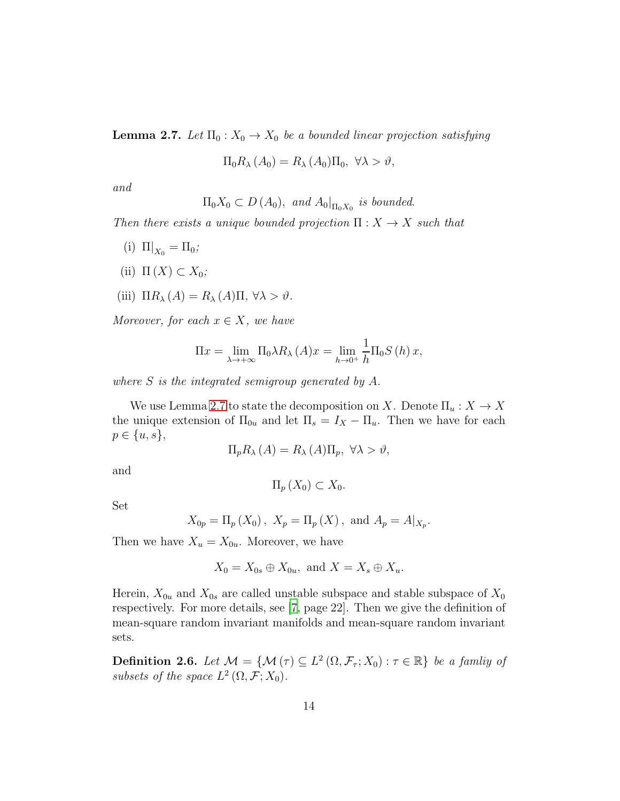<span id="page-13-0"></span>**Lemma 2.7.** Let  $\Pi_0: X_0 \to X_0$  be a bounded linear projection satisfying

$$
\Pi_0 R_\lambda (A_0) = R_\lambda (A_0) \Pi_0, \ \forall \lambda > \vartheta,
$$

and

 $\Pi_0 X_0 \subset D(A_0)$ , and  $A_0|_{\Pi_0 X_0}$  is bounded.

Then there exists a unique bounded projection  $\Pi : X \to X$  such that

- (i)  $\Pi|_{X_0} = \Pi_0;$
- (ii)  $\Pi(X) \subset X_0$ ;
- (iii)  $\Pi R_\lambda(A) = R_\lambda(A) \Pi, \forall \lambda > \vartheta$ .

Moreover, for each  $x \in X$ , we have

$$
\Pi x = \lim_{\lambda \to +\infty} \Pi_0 \lambda R_\lambda (A) x = \lim_{h \to 0^+} \frac{1}{h} \Pi_0 S(h) x,
$$

where S is the integrated semigroup generated by A.

We use Lemma [2.7](#page-13-0) to state the decomposition on X. Denote  $\Pi_u : X \to X$ the unique extension of  $\Pi_{0u}$  and let  $\Pi_s = I_X - \Pi_u$ . Then we have for each  $p \in \{u, s\},\$ 

$$
\Pi_p R_\lambda(A) = R_\lambda(A) \Pi_p, \ \forall \lambda > \vartheta,
$$

and

 $\Pi_n(X_0) \subset X_0$ .

Set

$$
X_{0p} = \Pi_p(X_0), X_p = \Pi_p(X), \text{ and } A_p = A|_{X_p}.
$$

Then we have  $X_u = X_{0u}$ . Moreover, we have

$$
X_0 = X_{0s} \oplus X_{0u}, \text{ and } X = X_s \oplus X_u.
$$

Herein,  $X_{0u}$  and  $X_{0s}$  are called unstable subspace and stable subspace of  $X_0$ respectively. For more details, see [\[7,](#page-39-6) page 22]. Then we give the definition of mean-square random invariant manifolds and mean-square random invariant sets.

**Definition 2.6.** Let  $\mathcal{M} = \{ \mathcal{M}(\tau) \subseteq L^2(\Omega, \mathcal{F}_\tau; X_0) : \tau \in \mathbb{R} \}$  be a family of subsets of the space  $L^2(\Omega, \mathcal{F}; X_0)$ .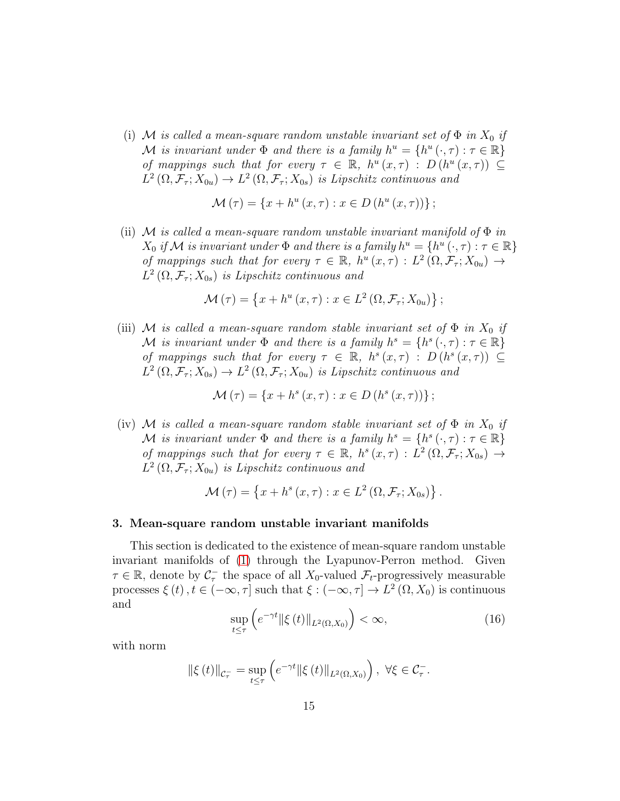(i) M is called a mean-square random unstable invariant set of  $\Phi$  in  $X_0$  if M is invariant under  $\Phi$  and there is a family  $h^u = \{h^u(\cdot, \tau) : \tau \in \mathbb{R}\}\$ of mappings such that for every  $\tau \in \mathbb{R}$ ,  $h^u(x, \tau)$ :  $D(h^u(x, \tau)) \subseteq$  $L^2(\Omega, \mathcal{F}_\tau; X_{0u}) \to L^2(\Omega, \mathcal{F}_\tau; X_{0s})$  is Lipschitz continuous and

$$
\mathcal{M}(\tau) = \{x + h^{u}(x, \tau) : x \in D(h^{u}(x, \tau))\};
$$

(ii) M is called a mean-square random unstable invariant manifold of  $\Phi$  in  $X_0$  if M is invariant under  $\Phi$  and there is a family  $h^u = \{h^u(\cdot,\tau) : \tau \in \mathbb{R}\}\$ of mappings such that for every  $\tau \in \mathbb{R}$ ,  $h^u(x, \tau) : L^2(\Omega, \mathcal{F}_\tau; X_{0u}) \to$  $L^2(\Omega, \mathcal{F}_\tau; X_{0s})$  is Lipschitz continuous and

$$
\mathcal{M}(\tau) = \left\{ x + h^u(x, \tau) : x \in L^2(\Omega, \mathcal{F}_\tau; X_{0u}) \right\};
$$

(iii) M is called a mean-square random stable invariant set of  $\Phi$  in  $X_0$  if M is invariant under  $\Phi$  and there is a family  $h^s = \{h^s(\cdot, \tau) : \tau \in \mathbb{R}\}\$ of mappings such that for every  $\tau \in \mathbb{R}$ ,  $h^{s}(x,\tau)$ :  $D(h^{s}(x,\tau)) \subseteq$  $L^2(\Omega, \mathcal{F}_\tau; X_{0s}) \to L^2(\Omega, \mathcal{F}_\tau; X_{0u})$  is Lipschitz continuous and

$$
\mathcal{M}(\tau) = \{x + h^{s}(x, \tau) : x \in D(h^{s}(x, \tau))\};
$$

(iv) M is called a mean-square random stable invariant set of  $\Phi$  in  $X_0$  if M is invariant under  $\Phi$  and there is a family  $h^s = \{h^s(\cdot, \tau) : \tau \in \mathbb{R}\}\$ of mappings such that for every  $\tau \in \mathbb{R}$ ,  $h^s(x,\tau) : L^2(\Omega, \mathcal{F}_{\tau}; X_{0s}) \to$  $L^2(\Omega, \mathcal{F}_\tau; X_{0u})$  is Lipschitz continuous and

$$
\mathcal{M}(\tau) = \left\{ x + h^s(x, \tau) : x \in L^2(\Omega, \mathcal{F}_\tau; X_{0s}) \right\}.
$$

#### <span id="page-14-0"></span>3. Mean-square random unstable invariant manifolds

This section is dedicated to the existence of mean-square random unstable invariant manifolds of [\(1\)](#page-0-0) through the Lyapunov-Perron method. Given  $\tau \in \mathbb{R}$ , denote by  $\mathcal{C}_{\tau}^-$  the space of all  $X_0$ -valued  $\mathcal{F}_t$ -progressively measurable processes  $\xi(t)$ ,  $t \in (-\infty, \tau]$  such that  $\xi: (-\infty, \tau] \to L^2(\Omega, X_0)$  is continuous and

$$
\sup_{t \le \tau} \left( e^{-\gamma t} \|\xi(t)\|_{L^2(\Omega, X_0)} \right) < \infty,\tag{16}
$$

<span id="page-14-1"></span>with norm

$$
\|\xi(t)\|_{\mathcal{C}_{\tau}^{-}} = \sup_{t \leq \tau} \left( e^{-\gamma t} \|\xi(t)\|_{L^{2}(\Omega, X_{0})} \right), \ \forall \xi \in \mathcal{C}_{\tau}^{-}.
$$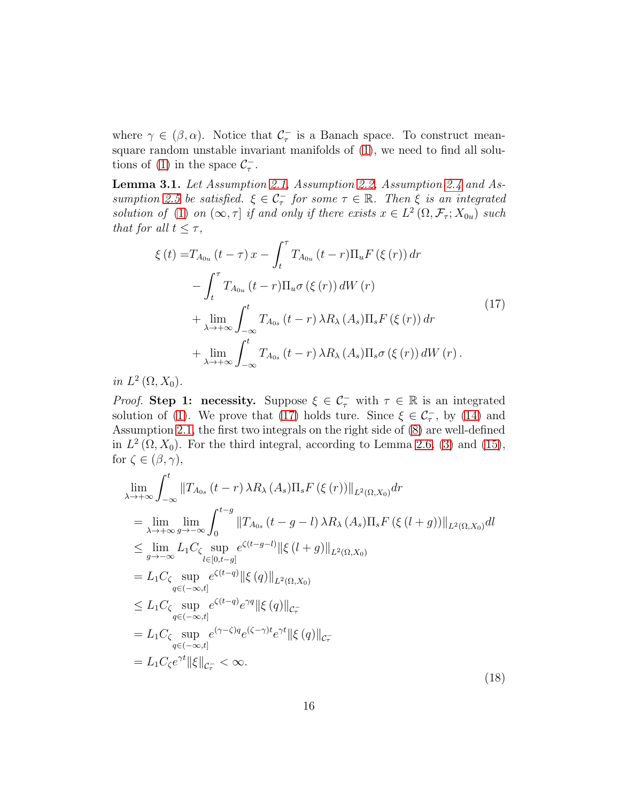where  $\gamma \in (\beta, \alpha)$ . Notice that  $\mathcal{C}_{\tau}^-$  is a Banach space. To construct meansquare random unstable invariant manifolds of [\(1\)](#page-0-0), we need to find all solu-tions of [\(1\)](#page-0-0) in the space  $\mathcal{C}_{\tau}^-$ .

<span id="page-15-2"></span>Lemma 3.1. Let Assumption [2.1,](#page-4-0) Assumption [2.2,](#page-5-0) Assumption [2.4](#page-9-0) and As-sumption [2.5](#page-12-0) be satisfied.  $\xi \in \mathcal{C}_{\tau}^-$  for some  $\tau \in \mathbb{R}$ . Then  $\xi$  is an integrated solution of [\(1\)](#page-0-0) on  $(\infty, \tau]$  if and only if there exists  $x \in L^2(\Omega, \mathcal{F}_\tau; X_{0u})$  such that for all  $t \leq \tau$ ,

<span id="page-15-0"></span>
$$
\xi(t) = T_{A_{0u}}(t-\tau) x - \int_{t}^{\tau} T_{A_{0u}}(t-r) \Pi_{u} F(\xi(r)) dr
$$
  

$$
- \int_{t}^{\tau} T_{A_{0u}}(t-r) \Pi_{u} \sigma(\xi(r)) dW(r)
$$
  

$$
+ \lim_{\lambda \to +\infty} \int_{-\infty}^{t} T_{A_{0s}}(t-r) \lambda R_{\lambda}(A_{s}) \Pi_{s} F(\xi(r)) dr
$$
  

$$
+ \lim_{\lambda \to +\infty} \int_{-\infty}^{t} T_{A_{0s}}(t-r) \lambda R_{\lambda}(A_{s}) \Pi_{s} \sigma(\xi(r)) dW(r).
$$
\n(17)

in  $L^2(\Omega,X_0)$ .

*Proof.* Step 1: necessity. Suppose  $\xi \in C_{\tau}^-$  with  $\tau \in \mathbb{R}$  is an integrated solution of [\(1\)](#page-0-0). We prove that [\(17\)](#page-15-0) holds ture. Since  $\xi \in C_{\tau}$ , by [\(14\)](#page-12-1) and Assumption [2.1,](#page-4-0) the first two integrals on the right side of [\(8\)](#page-7-1) are well-defined in  $L^2(\Omega, X_0)$ . For the third integral, according to Lemma [2.6,](#page-9-3) [\(3\)](#page-4-3) and [\(15\)](#page-12-2), for  $\zeta \in (\beta, \gamma)$ ,

<span id="page-15-1"></span>
$$
\lim_{\lambda \to +\infty} \int_{-\infty}^{t} \|T_{A_{0s}}(t-r) \lambda R_{\lambda}(A_{s})\Pi_{s} F(\xi(r))\|_{L^{2}(\Omega, X_{0})} dr
$$
\n
$$
= \lim_{\lambda \to +\infty} \lim_{g \to -\infty} \int_{0}^{t-g} \|T_{A_{0s}}(t-g-l) \lambda R_{\lambda}(A_{s})\Pi_{s} F(\xi(l+g))\|_{L^{2}(\Omega, X_{0})} dl
$$
\n
$$
\leq \lim_{g \to -\infty} L_{1} C_{\zeta} \sup_{l \in [0, t-g]} e^{\zeta(t-g-l)} \|\xi(l+g)\|_{L^{2}(\Omega, X_{0})}
$$
\n
$$
= L_{1} C_{\zeta} \sup_{q \in (-\infty, t]} e^{\zeta(t-q)} \|\xi(q)\|_{L^{2}(\Omega, X_{0})}
$$
\n
$$
\leq L_{1} C_{\zeta} \sup_{q \in (-\infty, t]} e^{\zeta(t-q)} e^{\gamma q} \|\xi(q)\|_{C_{\tau}^{-}}
$$
\n
$$
= L_{1} C_{\zeta} \sup_{q \in (-\infty, t]} e^{(\gamma - \zeta) q} e^{(\zeta - \gamma)t} e^{\gamma t} \|\xi(q)\|_{C_{\tau}^{-}}
$$
\n
$$
= L_{1} C_{\zeta} e^{\gamma t} \|\xi\|_{C_{\tau}} < \infty.
$$
\n(18)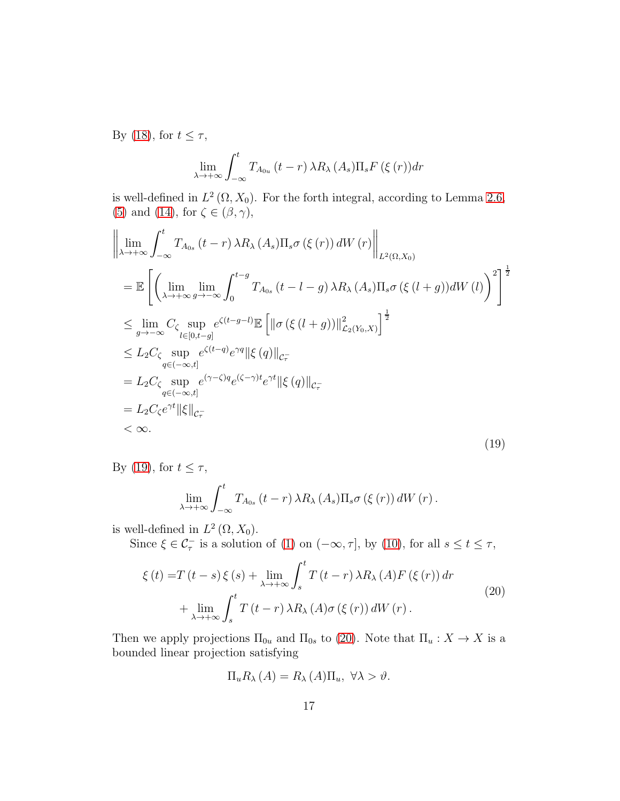By [\(18\)](#page-15-1), for  $t \leq \tau$ ,

<span id="page-16-0"></span>
$$
\lim_{\lambda \to +\infty} \int_{-\infty}^{t} T_{A_{0u}}(t-r) \,\lambda R_{\lambda}(A_s) \Pi_s F(\xi(r)) dr
$$

is well-defined in  $L^2(\Omega, X_0)$ . For the forth integral, according to Lemma [2.6,](#page-9-3) [\(5\)](#page-4-4) and [\(14\)](#page-12-1), for  $\zeta \in (\beta, \gamma)$ ,

$$
\left\| \lim_{\lambda \to +\infty} \int_{-\infty}^{t} T_{A_{0s}}(t-r) \lambda R_{\lambda}(A_{s}) \Pi_{s} \sigma(\xi(r)) dW(r) \right\|_{L^{2}(\Omega, X_{0})}
$$
\n
$$
= \mathbb{E} \left[ \left( \lim_{\lambda \to +\infty} \lim_{g \to -\infty} \int_{0}^{t-g} T_{A_{0s}}(t-l-g) \lambda R_{\lambda}(A_{s}) \Pi_{s} \sigma(\xi(t+g)) dW(t) \right)^{2} \right]^{\frac{1}{2}}
$$
\n
$$
\leq \lim_{g \to -\infty} C_{\zeta} \sup_{l \in [0, t-g]} e^{\zeta(t-g-l)} \mathbb{E} \left[ \|\sigma(\xi(l+g))\|_{\mathcal{L}_{2}(Y_{0}, X)}^{2} \right]^{\frac{1}{2}}
$$
\n
$$
\leq L_{2} C_{\zeta} \sup_{q \in (-\infty, t]} e^{\zeta(t-q)} e^{\gamma q} \|\xi(q)\|_{\mathcal{C}_{\tau}}
$$
\n
$$
= L_{2} C_{\zeta} \sup_{q \in (-\infty, t]} e^{(\gamma - \zeta) q} e^{(\zeta - \gamma)t} e^{\gamma t} \|\xi(q)\|_{\mathcal{C}_{\tau}}
$$
\n
$$
= L_{2} C_{\zeta} e^{\gamma t} \|\xi\|_{\mathcal{C}_{\tau}}
$$
\n
$$
< \infty.
$$
\n(19)

By [\(19\)](#page-16-0), for  $t \leq \tau$ ,

$$
\lim_{\lambda \to +\infty} \int_{-\infty}^t T_{A_{0s}}\left(t-r\right) \lambda R_{\lambda}\left(A_s\right) \Pi_s \sigma\left(\xi\left(r\right)\right) dW\left(r\right).
$$

is well-defined in  $L^2(\Omega, X_0)$ .

Since  $\xi \in \mathcal{C}_{\tau}^-$  is a solution of [\(1\)](#page-0-0) on  $(-\infty, \tau]$ , by [\(10\)](#page-9-1), for all  $s \le t \le \tau$ ,

$$
\xi(t) = T(t-s)\xi(s) + \lim_{\lambda \to +\infty} \int_{s}^{t} T(t-r)\,\lambda R_{\lambda}\left(A\right) F\left(\xi\left(r\right)\right) dr
$$
  
+ 
$$
\lim_{\lambda \to +\infty} \int_{s}^{t} T\left(t-r\right)\lambda R_{\lambda}\left(A\right) \sigma\left(\xi\left(r\right)\right) dW\left(r\right).
$$
 (20)

Then we apply projections  $\Pi_{0u}$  and  $\Pi_{0s}$  to [\(20\)](#page-16-1). Note that  $\Pi_u: X \to X$  is a bounded linear projection satisfying

<span id="page-16-1"></span>
$$
\Pi_u R_\lambda(A) = R_\lambda(A) \Pi_u, \ \forall \lambda > \vartheta.
$$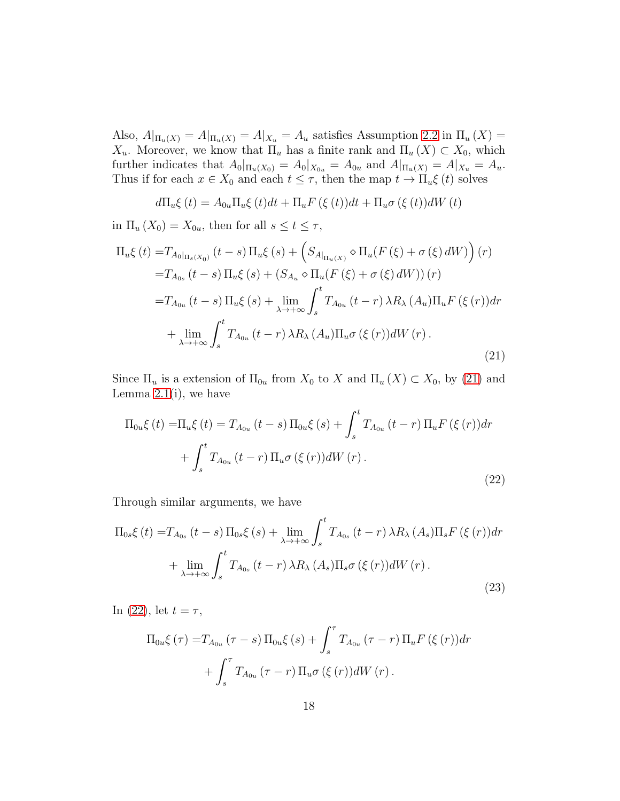Also,  $A|_{\Pi_u(X)} = A|_{\Pi_u(X)} = A|_{X_u} = A_u$  satisfies Assumption [2.2](#page-5-0) in  $\Pi_u(X) =$  $X_u$ . Moreover, we know that  $\Pi_u$  has a finite rank and  $\Pi_u(X) \subset X_0$ , which further indicates that  $A_0|_{\Pi_u(X_0)} = A_0|_{X_{0u}} = A_{0u}$  and  $A|_{\Pi_u(X)} = A|_{X_u} = A_u$ . Thus if for each  $x \in X_0$  and each  $t \leq \tau$ , then the map  $t \to \Pi_u \xi(t)$  solves

<span id="page-17-0"></span>
$$
d\Pi_u \xi(t) = A_{0u} \Pi_u \xi(t) dt + \Pi_u F(\xi(t)) dt + \Pi_u \sigma(\xi(t)) dW(t)
$$

in  $\Pi_u(X_0) = X_{0u}$ , then for all  $s \le t \le \tau$ ,

$$
\Pi_{u}\xi(t) = T_{A_{0}|_{\Pi_{s}(X_{0})}}(t-s)\Pi_{u}\xi(s) + \left(S_{A|_{\Pi_{u}(X)}} \diamond \Pi_{u}(F(\xi) + \sigma(\xi) dW)\right)(r)
$$
\n
$$
= T_{A_{0s}}(t-s)\Pi_{u}\xi(s) + \left(S_{A_{u}} \diamond \Pi_{u}(F(\xi) + \sigma(\xi) dW)\right)(r)
$$
\n
$$
= T_{A_{0u}}(t-s)\Pi_{u}\xi(s) + \lim_{\lambda \to +\infty} \int_{s}^{t} T_{A_{0u}}(t-r)\lambda R_{\lambda}(A_{u})\Pi_{u}F(\xi(r))dr
$$
\n
$$
+ \lim_{\lambda \to +\infty} \int_{s}^{t} T_{A_{0u}}(t-r)\lambda R_{\lambda}(A_{u})\Pi_{u}\sigma(\xi(r))dW(r).
$$
\n(21)

Since  $\Pi_u$  is a extension of  $\Pi_{0u}$  from  $X_0$  to X and  $\Pi_u(X) \subset X_0$ , by [\(21\)](#page-17-0) and Lemma  $2.1(i)$ , we have

<span id="page-17-1"></span>
$$
\Pi_{0u}\xi(t) = \Pi_u \xi(t) = T_{A_{0u}}(t-s) \Pi_{0u}\xi(s) + \int_s^t T_{A_{0u}}(t-r) \Pi_u F(\xi(r)) dr + \int_s^t T_{A_{0u}}(t-r) \Pi_u \sigma(\xi(r)) dW(r).
$$
\n(22)

Through similar arguments, we have

<span id="page-17-2"></span>
$$
\Pi_{0s}\xi(t) = T_{A_{0s}}(t-s)\Pi_{0s}\xi(s) + \lim_{\lambda \to +\infty} \int_{s}^{t} T_{A_{0s}}(t-r)\,\lambda R_{\lambda}\,(A_{s})\Pi_{s}F(\xi(r))dr
$$

$$
+ \lim_{\lambda \to +\infty} \int_{s}^{t} T_{A_{0s}}(t-r)\,\lambda R_{\lambda}\,(A_{s})\Pi_{s}\sigma(\xi(r))dW(r).
$$
\n(23)

In [\(22\)](#page-17-1), let  $t = \tau$ ,

$$
\Pi_{0u}\xi(\tau) = T_{A_{0u}}(\tau - s)\Pi_{0u}\xi(s) + \int_{s}^{\tau} T_{A_{0u}}(\tau - r)\Pi_{u}F(\xi(r))dr + \int_{s}^{\tau} T_{A_{0u}}(\tau - r)\Pi_{u}\sigma(\xi(r))dW(r).
$$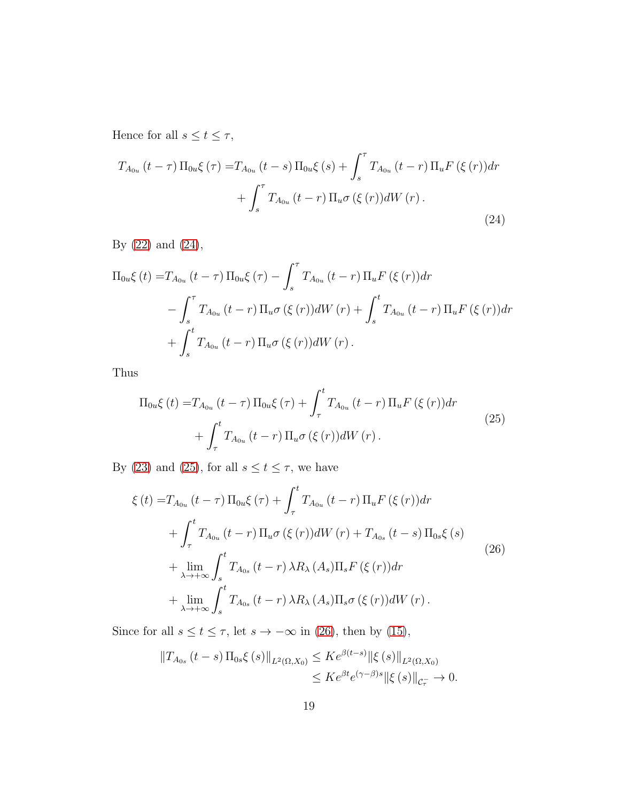Hence for all  $s \le t \le \tau$ ,

<span id="page-18-0"></span>
$$
T_{A_{0u}}(t-\tau)\Pi_{0u}\xi(\tau) = T_{A_{0u}}(t-s)\Pi_{0u}\xi(s) + \int_{s}^{\tau} T_{A_{0u}}(t-r)\Pi_{u}F(\xi(r))dr + \int_{s}^{\tau} T_{A_{0u}}(t-r)\Pi_{u}\sigma(\xi(r))dW(r).
$$
\n(24)

By [\(22\)](#page-17-1) and [\(24\)](#page-18-0),

$$
\Pi_{0u}\xi(t) = T_{A_{0u}}(t-\tau)\Pi_{0u}\xi(\tau) - \int_{s}^{\tau} T_{A_{0u}}(t-r)\Pi_{u}F(\xi(r))dr \n- \int_{s}^{\tau} T_{A_{0u}}(t-r)\Pi_{u}\sigma(\xi(r))dW(r) + \int_{s}^{t} T_{A_{0u}}(t-r)\Pi_{u}F(\xi(r))dr \n+ \int_{s}^{t} T_{A_{0u}}(t-r)\Pi_{u}\sigma(\xi(r))dW(r).
$$

Thus

<span id="page-18-1"></span>
$$
\Pi_{0u}\xi(t) = T_{A_{0u}}(t-\tau)\Pi_{0u}\xi(\tau) + \int_{\tau}^{t} T_{A_{0u}}(t-r)\Pi_{u}F(\xi(r))dr + \int_{\tau}^{t} T_{A_{0u}}(t-r)\Pi_{u}\sigma(\xi(r))dW(r).
$$
\n(25)

By [\(23\)](#page-17-2) and [\(25\)](#page-18-1), for all  $s\leq t\leq \tau,$  we have

<span id="page-18-2"></span>
$$
\xi(t) = T_{A_{0u}}(t-\tau) \Pi_{0u}\xi(\tau) + \int_{\tau}^{t} T_{A_{0u}}(t-r) \Pi_{u}F(\xi(r))dr
$$
  
+ 
$$
\int_{\tau}^{t} T_{A_{0u}}(t-r) \Pi_{u}\sigma(\xi(r))dW(r) + T_{A_{0s}}(t-s) \Pi_{0s}\xi(s)
$$
  
+ 
$$
\lim_{\lambda \to +\infty} \int_{s}^{t} T_{A_{0s}}(t-r) \lambda R_{\lambda}(A_{s})\Pi_{s}F(\xi(r))dr
$$
  
+ 
$$
\lim_{\lambda \to +\infty} \int_{s}^{t} T_{A_{0s}}(t-r) \lambda R_{\lambda}(A_{s})\Pi_{s}\sigma(\xi(r))dW(r).
$$
 (26)

Since for all  $s \le t \le \tau$ , let  $s \to -\infty$  in [\(26\)](#page-18-2), then by [\(15\)](#page-12-2),

$$
||T_{A_{0s}}(t-s)\Pi_{0s}\xi(s)||_{L^{2}(\Omega,X_{0})} \leq Ke^{\beta(t-s)}||\xi(s)||_{L^{2}(\Omega,X_{0})}
$$
  

$$
\leq Ke^{\beta t}e^{(\gamma-\beta)s}||\xi(s)||_{\mathcal{C}_{\tau}^{-}} \to 0.
$$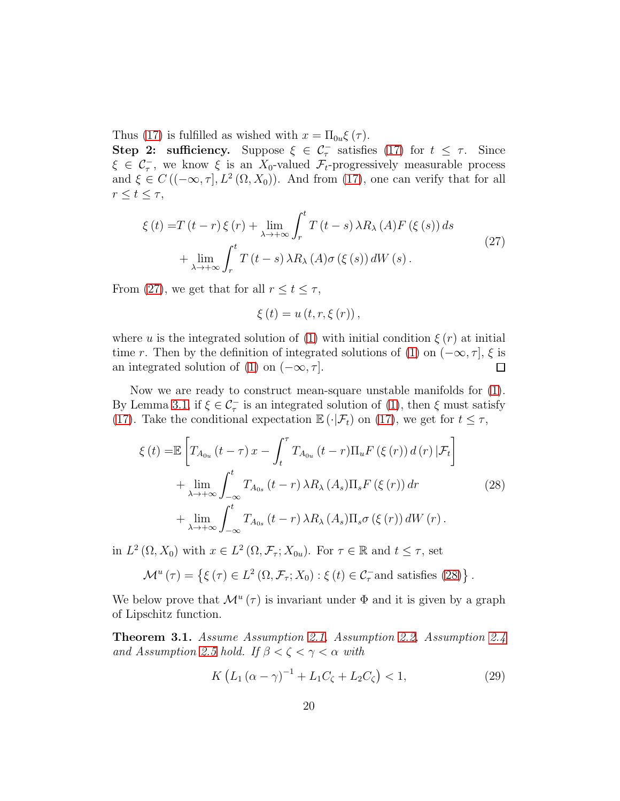Thus [\(17\)](#page-15-0) is fulfilled as wished with  $x = \prod_{0}(\tau)$ .

**Step 2: sufficiency.** Suppose  $\xi \in C_{\tau}^-$  satisfies [\(17\)](#page-15-0) for  $t \leq \tau$ . Since  $\xi \in C_{\tau}$ , we know  $\xi$  is an  $X_0$ -valued  $\mathcal{F}_t$ -progressively measurable process and  $\xi \in C\left( (-\infty, \tau], L^2\left( \Omega, X_0 \right) \right)$ . And from [\(17\)](#page-15-0), one can verify that for all  $r \leq t \leq \tau$ ,

<span id="page-19-0"></span>
$$
\xi(t) = T(t-r)\xi(r) + \lim_{\lambda \to +\infty} \int_r^t T(t-s)\lambda R_\lambda(A)F(\xi(s))ds
$$
  
+ 
$$
\lim_{\lambda \to +\infty} \int_r^t T(t-s)\lambda R_\lambda(A)\sigma(\xi(s))dW(s).
$$
 (27)

From [\(27\)](#page-19-0), we get that for all  $r \le t \le \tau$ ,

<span id="page-19-1"></span>
$$
\xi(t) = u(t, r, \xi(r)),
$$

where u is the integrated solution of [\(1\)](#page-0-0) with initial condition  $\xi(r)$  at initial time r. Then by the definition of integrated solutions of [\(1\)](#page-0-0) on  $(-\infty, \tau]$ ,  $\xi$  is<br>an integrated solution of (1) on  $(-\infty, \tau]$ . an integrated solution of [\(1\)](#page-0-0) on  $(-\infty, \tau]$ .

Now we are ready to construct mean-square unstable manifolds for [\(1\)](#page-0-0). By Lemma [3.1,](#page-15-2) if  $\xi \in \mathcal{C}_{\tau}^-$  is an integrated solution of [\(1\)](#page-0-0), then  $\xi$  must satisfy [\(17\)](#page-15-0). Take the conditional expectation  $\mathbb{E}(\cdot|\mathcal{F}_t)$  on [\(17\)](#page-15-0), we get for  $t \leq \tau$ ,

$$
\xi(t) = \mathbb{E}\left[T_{A_{0u}}\left(t-\tau\right)x-\int_{t}^{\tau}T_{A_{0u}}\left(t-r\right)\Pi_{u}F\left(\xi\left(r\right)\right)d\left(r\right)|\mathcal{F}_{t}\right] + \lim_{\lambda \to +\infty}\int_{-\infty}^{t}T_{A_{0s}}\left(t-r\right)\lambda R_{\lambda}\left(A_{s}\right)\Pi_{s}F\left(\xi\left(r\right)\right)dr + \lim_{\lambda \to +\infty}\int_{-\infty}^{t}T_{A_{0s}}\left(t-r\right)\lambda R_{\lambda}\left(A_{s}\right)\Pi_{s}\sigma\left(\xi\left(r\right)\right)dW\left(r\right).
$$
\n(28)

in  $L^2(\Omega, X_0)$  with  $x \in L^2(\Omega, \mathcal{F}_\tau; X_{0u})$ . For  $\tau \in \mathbb{R}$  and  $t \leq \tau$ , set

$$
\mathcal{M}^{u}(\tau) = \left\{ \xi(\tau) \in L^{2}(\Omega, \mathcal{F}_{\tau}; X_{0}) : \xi(t) \in \mathcal{C}_{\tau}^{-} \text{and satisfies (28)} \right\}.
$$

We below prove that  $\mathcal{M}^u(\tau)$  is invariant under  $\Phi$  and it is given by a graph of Lipschitz function.

<span id="page-19-2"></span>Theorem 3.1. Assume Assumption [2.1,](#page-4-0) Assumption [2.2,](#page-5-0) Assumption [2.4](#page-9-0) and Assumption [2.5](#page-12-0) hold. If  $\beta < \zeta < \gamma < \alpha$  with

$$
K\left(L_1\left(\alpha-\gamma\right)^{-1} + L_1C_{\zeta} + L_2C_{\zeta}\right) < 1,\tag{29}
$$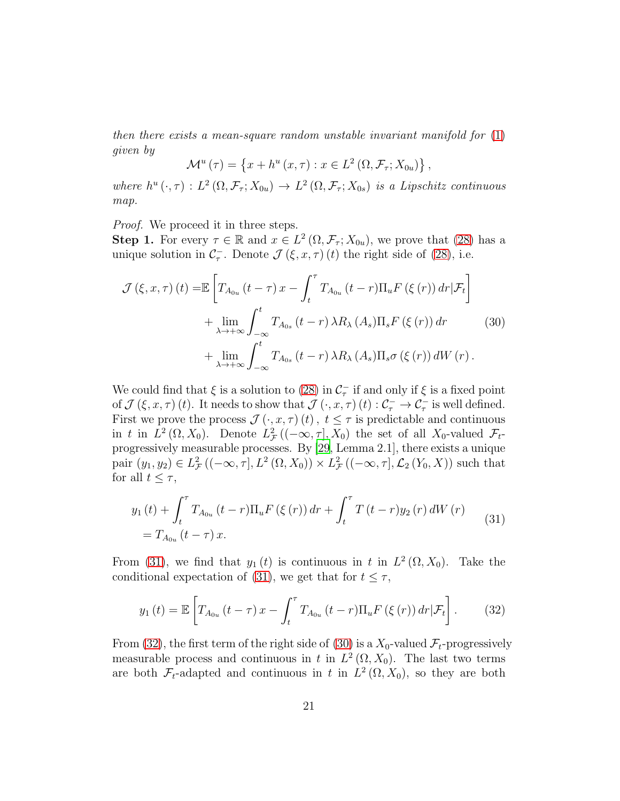then there exists a mean-square random unstable invariant manifold for  $(1)$ given by

<span id="page-20-2"></span>
$$
\mathcal{M}^{u}(\tau) = \left\{ x + h^{u}(x, \tau) : x \in L^{2}(\Omega, \mathcal{F}_{\tau}; X_{0u}) \right\},\,
$$

where  $h^u(\cdot,\tau) : L^2(\Omega,\mathcal{F}_\tau;X_{0u}) \to L^2(\Omega,\mathcal{F}_\tau;X_{0s})$  is a Lipschitz continuous map.

Proof. We proceed it in three steps.

**Step 1.** For every  $\tau \in \mathbb{R}$  and  $x \in L^2(\Omega, \mathcal{F}_{\tau}; X_{0u})$ , we prove that [\(28\)](#page-19-1) has a unique solution in  $C_{\tau}^-$ . Denote  $\mathcal{J}(\xi, x, \tau)$  (t) the right side of [\(28\)](#page-19-1), i.e.

$$
\mathcal{J}(\xi, x, \tau) (t) = \mathbb{E} \left[ T_{A_{0u}} (t - \tau) x - \int_t^{\tau} T_{A_{0u}} (t - r) \Pi_u F(\xi(r)) dr | \mathcal{F}_t \right] + \lim_{\lambda \to +\infty} \int_{-\infty}^t T_{A_{0s}} (t - r) \lambda R_{\lambda} (A_s) \Pi_s F(\xi(r)) dr \qquad (30) + \lim_{\lambda \to +\infty} \int_{-\infty}^t T_{A_{0s}} (t - r) \lambda R_{\lambda} (A_s) \Pi_s \sigma(\xi(r)) dW(r).
$$

We could find that  $\xi$  is a solution to [\(28\)](#page-19-1) in  $\mathcal{C}_{\tau}$  if and only if  $\xi$  is a fixed point of  $\mathcal{J}(\xi, x, \tau)(t)$ . It needs to show that  $\mathcal{J}(\cdot, x, \tau)(t) : \mathcal{C}_{\tau}^{-} \to \mathcal{C}_{\tau}^{-}$  is well defined. First we prove the process  $\mathcal{J}(\cdot, x, \tau)(t)$ ,  $t \leq \tau$  is predictable and continuous in t in  $L^2(\Omega, X_0)$ . Denote  $L^2_{\mathcal{F}}((-\infty, \tau], X_0)$  the set of all  $X_0$ -valued  $\mathcal{F}_t$ progressively measurable processes. By [\[29,](#page-41-8) Lemma 2.1], there exists a unique pair  $(y_1, y_2) \in L^2_{\mathcal{F}}((-\infty, \tau], L^2(\Omega, X_0)) \times L^2_{\mathcal{F}}((-\infty, \tau], \mathcal{L}_2(Y_0, X))$  such that for all  $t \leq \tau$ ,

<span id="page-20-0"></span>
$$
y_{1}(t) + \int_{t}^{\tau} T_{A_{0u}}(t-r) \Pi_{u} F(\xi(r)) dr + \int_{t}^{\tau} T(t-r) y_{2}(r) dW(r)
$$
  
=  $T_{A_{0u}}(t-\tau) x.$  (31)

From [\(31\)](#page-20-0), we find that  $y_1(t)$  is continuous in t in  $L^2(\Omega, X_0)$ . Take the conditional expectation of [\(31\)](#page-20-0), we get that for  $t \leq \tau$ ,

<span id="page-20-1"></span>
$$
y_1(t) = \mathbb{E}\left[T_{A_{0u}}\left(t-\tau\right)x - \int_t^\tau T_{A_{0u}}\left(t-r\right)\Pi_u F\left(\xi\left(r\right)\right)dr|\mathcal{F}_t\right].\tag{32}
$$

From [\(32\)](#page-20-1), the first term of the right side of [\(30\)](#page-20-2) is a  $X_0$ -valued  $\mathcal{F}_t$ -progressively measurable process and continuous in t in  $L^2(\Omega, X_0)$ . The last two terms are both  $\mathcal{F}_t$ -adapted and continuous in t in  $L^2(\Omega, X_0)$ , so they are both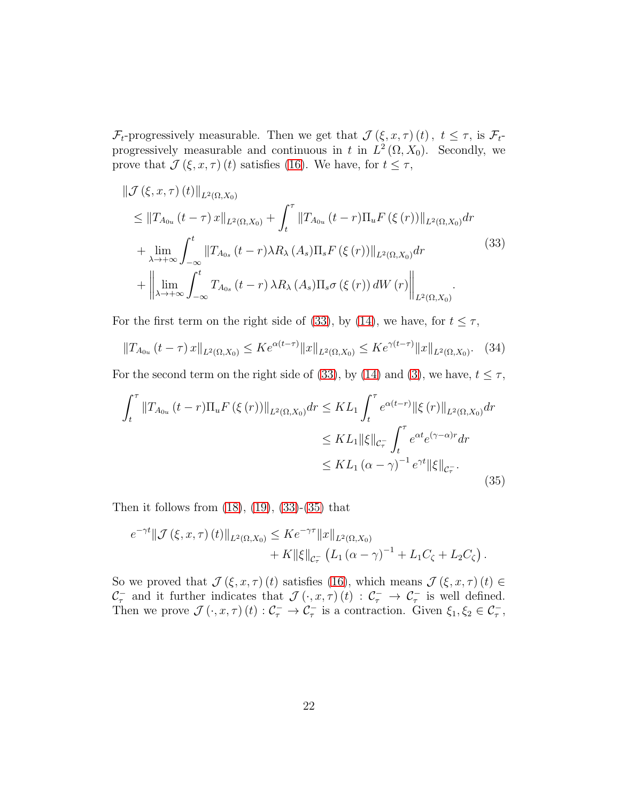$\mathcal{F}_t$ -progressively measurable. Then we get that  $\mathcal{J}(\xi, x, \tau)(t)$ ,  $t \leq \tau$ , is  $\mathcal{F}_t$ progressively measurable and continuous in t in  $L^2(\Omega, X_0)$ . Secondly, we prove that  $\mathcal{J}(\xi, x, \tau)$  (*t*) satisfies [\(16\)](#page-14-1). We have, for  $t \leq \tau$ ,

<span id="page-21-0"></span>
$$
\|\mathcal{J}(\xi, x, \tau)(t)\|_{L^{2}(\Omega, X_{0})}
$$
\n
$$
\leq \|T_{A_{0u}}(t-\tau)x\|_{L^{2}(\Omega, X_{0})} + \int_{t}^{\tau} \|T_{A_{0u}}(t-r)\Pi_{u}F(\xi(r))\|_{L^{2}(\Omega, X_{0})} dr
$$
\n
$$
+ \lim_{\lambda \to +\infty} \int_{-\infty}^{t} \|T_{A_{0s}}(t-r)\lambda R_{\lambda}(A_{s})\Pi_{s}F(\xi(r))\|_{L^{2}(\Omega, X_{0})} dr
$$
\n
$$
+ \left\|\lim_{\lambda \to +\infty} \int_{-\infty}^{t} T_{A_{0s}}(t-r)\lambda R_{\lambda}(A_{s})\Pi_{s}\sigma(\xi(r)) dW(r)\right\|_{L^{2}(\Omega, X_{0})} .
$$
\n(33)

For the first term on the right side of [\(33\)](#page-21-0), by [\(14\)](#page-12-1), we have, for  $t \leq \tau$ ,

<span id="page-21-1"></span>
$$
||T_{A_{0u}}(t-\tau)x||_{L^{2}(\Omega,X_{0})} \leq Ke^{\alpha(t-\tau)}||x||_{L^{2}(\Omega,X_{0})} \leq Ke^{\gamma(t-\tau)}||x||_{L^{2}(\Omega,X_{0})}. \quad (34)
$$

For the second term on the right side of [\(33\)](#page-21-0), by [\(14\)](#page-12-1) and [\(3\)](#page-4-3), we have,  $t \leq \tau$ ,

$$
\int_{t}^{\tau} \|T_{A_{0u}}(t-r)\Pi_{u} F(\xi(r))\|_{L^{2}(\Omega,X_{0})} dr \leq KL_{1} \int_{t}^{\tau} e^{\alpha(t-r)} \|\xi(r)\|_{L^{2}(\Omega,X_{0})} dr
$$
  

$$
\leq KL_{1} \|\xi\|_{\mathcal{C}_{\tau}^{-}} \int_{t}^{\tau} e^{\alpha t} e^{(\gamma-\alpha)r} dr
$$
  

$$
\leq KL_{1} (\alpha-\gamma)^{-1} e^{\gamma t} \|\xi\|_{\mathcal{C}_{\tau}^{-}}.
$$
 (35)

Then it follows from  $(18)$ ,  $(19)$ ,  $(33)-(35)$  $(33)-(35)$  that

$$
e^{-\gamma t} \|\mathcal{J}(\xi, x, \tau)(t)\|_{L^2(\Omega, X_0)} \leq K e^{-\gamma \tau} \|x\|_{L^2(\Omega, X_0)} + K \|\xi\|_{\mathcal{C}^-_r} (L_1 (\alpha - \gamma)^{-1} + L_1 C_{\zeta} + L_2 C_{\zeta}).
$$

So we proved that  $\mathcal{J}(\xi, x, \tau)$  (t) satisfies [\(16\)](#page-14-1), which means  $\mathcal{J}(\xi, x, \tau)$  (t)  $\in$  $\mathcal{C}^-$  and it further indicates that  $\mathcal{J}(\cdot,x,\tau)(t) : \mathcal{C}^-_{\tau} \to \mathcal{C}^-_{\tau}$  is well defined. Then we prove  $\mathcal{J}(\cdot, x, \tau)(t) : \mathcal{C}_\tau^- \to \mathcal{C}_\tau^-$  is a contraction. Given  $\xi_1, \xi_2 \in \mathcal{C}_\tau^-$ ,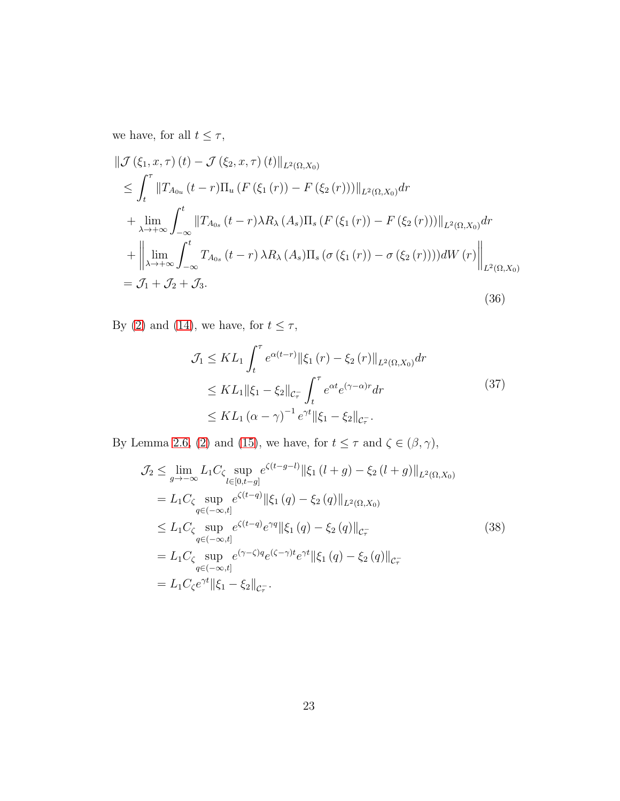we have, for all  $t\leq \tau,$ 

$$
\|\mathcal{J}(\xi_{1}, x, \tau)(t) - \mathcal{J}(\xi_{2}, x, \tau)(t)\|_{L^{2}(\Omega, X_{0})}\n\n\leq \int_{t}^{\tau} \|T_{A_{0u}}(t-r)\Pi_{u}(F(\xi_{1}(r)) - F(\xi_{2}(r)))\|_{L^{2}(\Omega, X_{0})} dr\n\n+ \lim_{\lambda \to +\infty} \int_{-\infty}^{t} \|T_{A_{0s}}(t-r)\lambda R_{\lambda}(A_{s})\Pi_{s}(F(\xi_{1}(r)) - F(\xi_{2}(r)))\|_{L^{2}(\Omega, X_{0})} dr\n\n+ \left\|\lim_{\lambda \to +\infty} \int_{-\infty}^{t} T_{A_{0s}}(t-r)\lambda R_{\lambda}(A_{s})\Pi_{s}(\sigma(\xi_{1}(r)) - \sigma(\xi_{2}(r))))dW(r)\right\|_{L^{2}(\Omega, X_{0})}\n\n= \mathcal{J}_{1} + \mathcal{J}_{2} + \mathcal{J}_{3}.
$$
\n(36)

By [\(2\)](#page-4-1) and [\(14\)](#page-12-1), we have, for  $t\leq \tau,$ 

<span id="page-22-1"></span><span id="page-22-0"></span>
$$
\mathcal{J}_1 \leq KL_1 \int_t^\tau e^{\alpha(t-r)} \|\xi_1(r) - \xi_2(r)\|_{L^2(\Omega, X_0)} dr
$$
  
\n
$$
\leq KL_1 \|\xi_1 - \xi_2\|_{\mathcal{C}_\tau} \int_t^\tau e^{\alpha t} e^{(\gamma - \alpha)r} dr
$$
  
\n
$$
\leq KL_1 (\alpha - \gamma)^{-1} e^{\gamma t} \|\xi_1 - \xi_2\|_{\mathcal{C}_\tau}.
$$
\n(37)

By Lemma [2.6,](#page-9-3) [\(2\)](#page-4-1) and [\(15\)](#page-12-2), we have, for  $t\leq \tau$  and  $\zeta\in (\beta,\gamma),$ 

$$
\mathcal{J}_2 \leq \lim_{g \to -\infty} L_1 C_{\zeta} \sup_{l \in [0, t-g]} e^{\zeta(t-g-l)} ||\xi_1 (l+g) - \xi_2 (l+g) ||_{L^2(\Omega, X_0)}\n= L_1 C_{\zeta} \sup_{q \in (-\infty, t]} e^{\zeta(t-q)} ||\xi_1 (q) - \xi_2 (q) ||_{L^2(\Omega, X_0)}\n\leq L_1 C_{\zeta} \sup_{q \in (-\infty, t]} e^{\zeta(t-q)} e^{\gamma q} ||\xi_1 (q) - \xi_2 (q) ||_{\mathcal{C}_{\tau}^-}\n= L_1 C_{\zeta} \sup_{q \in (-\infty, t]} e^{(\gamma - \zeta) q} e^{(\zeta - \gamma) t} e^{\gamma t} ||\xi_1 (q) - \xi_2 (q) ||_{\mathcal{C}_{\tau}^-}\n= L_1 C_{\zeta} e^{\gamma t} ||\xi_1 - \xi_2 ||_{\mathcal{C}_{\tau}^-}.
$$
\n(38)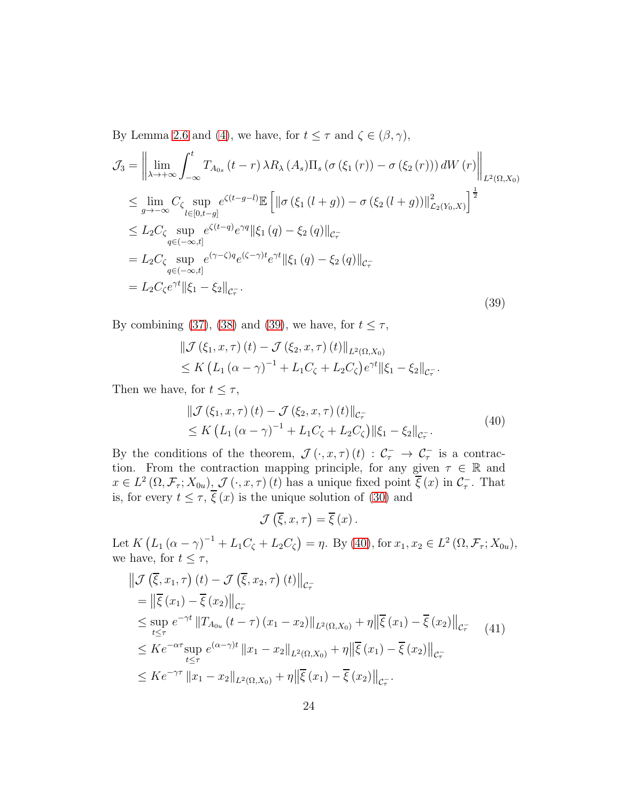By Lemma [2.6](#page-9-3) and [\(4\)](#page-4-2), we have, for  $t \leq \tau$  and  $\zeta \in (\beta, \gamma)$ ,

<span id="page-23-0"></span>
$$
\mathcal{J}_{3} = \left\| \lim_{\lambda \to +\infty} \int_{-\infty}^{t} T_{A_{0s}}(t-r) \lambda R_{\lambda}(A_{s}) \Pi_{s}(\sigma(\xi_{1}(r)) - \sigma(\xi_{2}(r))) dW(r) \right\|_{L^{2}(\Omega, X_{0})}
$$
  
\n
$$
\leq \lim_{g \to -\infty} C_{\zeta} \sup_{l \in [0, t-g]} e^{\zeta(t-g-l)} \mathbb{E} \left[ \left\| \sigma(\xi_{1}(l+g)) - \sigma(\xi_{2}(l+g)) \right\|_{\mathcal{L}_{2}(Y_{0}, X)}^{2} \right]^{\frac{1}{2}}
$$
  
\n
$$
\leq L_{2} C_{\zeta} \sup_{q \in (-\infty, t]} e^{\zeta(t-q)} e^{\gamma q} \|\xi_{1}(q) - \xi_{2}(q)\|_{\mathcal{C}_{\tau}} -
$$
  
\n
$$
= L_{2} C_{\zeta} \sup_{q \in (-\infty, t]} e^{(\gamma - \zeta) q} e^{(\zeta - \gamma)t} e^{\gamma t} \|\xi_{1}(q) - \xi_{2}(q)\|_{\mathcal{C}_{\tau}} -
$$
  
\n
$$
= L_{2} C_{\zeta} e^{\gamma t} \|\xi_{1} - \xi_{2}\|_{\mathcal{C}_{\tau}}.
$$
  
\n(39)

By combining [\(37\)](#page-22-0), [\(38\)](#page-22-1) and [\(39\)](#page-23-0), we have, for  $t \leq \tau$ ,

$$
\|\mathcal{J}(\xi_1, x, \tau)(t) - \mathcal{J}(\xi_2, x, \tau)(t)\|_{L^2(\Omega, X_0)}\leq K \left( L_1 (\alpha - \gamma)^{-1} + L_1 C_{\zeta} + L_2 C_{\zeta} \right) e^{\gamma t} \|\xi_1 - \xi_2\|_{C_{\tau}}.
$$

Then we have, for  $t \leq \tau$ ,

<span id="page-23-1"></span>
$$
\|\mathcal{J}(\xi_1, x, \tau)(t) - \mathcal{J}(\xi_2, x, \tau)(t)\|_{\mathcal{C}_{\tau}^{-}}\leq K \left( L_1 (\alpha - \gamma)^{-1} + L_1 C_{\zeta} + L_2 C_{\zeta} \right) \|\xi_1 - \xi_2\|_{\mathcal{C}_{\tau}^{-}}.
$$
\n(40)

By the conditions of the theorem,  $\mathcal{J}(\cdot, x, \tau)(t) : C_{\tau}^{-} \to C_{\tau}^{-}$  is a contraction. From the contraction mapping principle, for any given  $\tau \in \mathbb{R}$  and  $x \in L^2(\Omega, \mathcal{F}_\tau; X_{0u})$ ,  $\mathcal{J}(\cdot, x, \tau)$  (t) has a unique fixed point  $\overline{\xi}(x)$  in  $\mathcal{C}_{\tau}^-$ . That is, for every  $t \leq \tau$ ,  $\xi(x)$  is the unique solution of [\(30\)](#page-20-2) and

<span id="page-23-2"></span> $\mathcal{J}\left(\overline{\xi},x,\tau\right)=\overline{\xi}\left(x\right).$ 

Let  $K(L_1(\alpha - \gamma)^{-1} + L_1 C_{\zeta} + L_2 C_{\zeta}) = \eta$ . By [\(40\)](#page-23-1), for  $x_1, x_2 \in L^2(\Omega, \mathcal{F}_{\tau}; X_{0u})$ , we have, for  $t \leq \tau$ ,

$$
\|\mathcal{J}\left(\overline{\xi}, x_1, \tau\right)(t) - \mathcal{J}\left(\overline{\xi}, x_2, \tau\right)(t)\|_{\mathcal{C}_{\tau}^{-}}
$$
\n
$$
= \|\overline{\xi}(x_1) - \overline{\xi}(x_2)\|_{\mathcal{C}_{\tau}^{-}}
$$
\n
$$
\leq \sup_{t \leq \tau} e^{-\gamma t} \|T_{A_{0u}}(t - \tau)(x_1 - x_2)\|_{L^2(\Omega, X_0)} + \eta \|\overline{\xi}(x_1) - \overline{\xi}(x_2)\|_{\mathcal{C}_{\tau}^{-}}
$$
\n
$$
\leq K e^{-\alpha \tau} \sup_{t \leq \tau} e^{(\alpha - \gamma)t} \|x_1 - x_2\|_{L^2(\Omega, X_0)} + \eta \|\overline{\xi}(x_1) - \overline{\xi}(x_2)\|_{\mathcal{C}_{\tau}^{-}}
$$
\n
$$
\leq K e^{-\gamma \tau} \|x_1 - x_2\|_{L^2(\Omega, X_0)} + \eta \|\overline{\xi}(x_1) - \overline{\xi}(x_2)\|_{\mathcal{C}_{\tau}^{-}}.
$$
\n(41)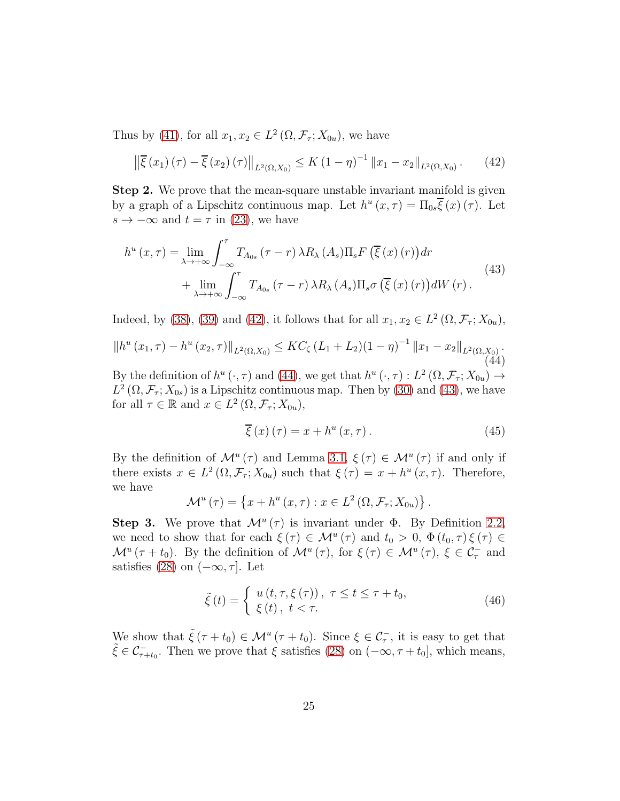Thus by [\(41\)](#page-23-2), for all  $x_1, x_2 \in L^2(\Omega, \mathcal{F}_\tau; X_{0u})$ , we have

<span id="page-24-2"></span><span id="page-24-0"></span>
$$
\left\| \overline{\xi}(x_1)(\tau) - \overline{\xi}(x_2)(\tau) \right\|_{L^2(\Omega, X_0)} \le K \left( 1 - \eta \right)^{-1} \left\| x_1 - x_2 \right\|_{L^2(\Omega, X_0)}. \tag{42}
$$

Step 2. We prove that the mean-square unstable invariant manifold is given by a graph of a Lipschitz continuous map. Let  $h^u(x, \tau) = \Pi_{0s} \overline{\xi}(x) (\tau)$ . Let  $s \to -\infty$  and  $t = \tau$  in [\(23\)](#page-17-2), we have

$$
h^{u}(x,\tau) = \lim_{\lambda \to +\infty} \int_{-\infty}^{\tau} T_{A_{0s}}(\tau - r) \,\lambda R_{\lambda}(A_{s}) \Pi_{s} F\left(\overline{\xi}(x)(r)\right) dr + \lim_{\lambda \to +\infty} \int_{-\infty}^{\tau} T_{A_{0s}}(\tau - r) \,\lambda R_{\lambda}(A_{s}) \Pi_{s} \sigma\left(\overline{\xi}(x)(r)\right) dW(r).
$$
\n
$$
(43)
$$

Indeed, by [\(38\)](#page-22-1), [\(39\)](#page-23-0) and [\(42\)](#page-24-0), it follows that for all  $x_1, x_2 \in L^2(\Omega, \mathcal{F}_\tau; X_{0u})$ ,

$$
||h^{u}(x_{1},\tau) - h^{u}(x_{2},\tau)||_{L^{2}(\Omega,X_{0})} \leq KC_{\zeta} (L_{1} + L_{2})(1 - \eta)^{-1} ||x_{1} - x_{2}||_{L^{2}(\Omega,X_{0})}. \tag{44}
$$

By the definition of  $h^u(\cdot, \tau)$  and [\(44\)](#page-24-1), we get that  $h^u(\cdot, \tau) : L^2(\Omega, \mathcal{F}_{\tau}; X_{0u}) \to$  $L^2(\Omega, \mathcal{F}_\tau; X_{0s})$  is a Lipschitz continuous map. Then by [\(30\)](#page-20-2) and [\(43\)](#page-24-2), we have for all  $\tau \in \mathbb{R}$  and  $x \in L^2(\Omega, \mathcal{F}_{\tau}; X_{0u}),$ 

<span id="page-24-1"></span>
$$
\overline{\xi}\left(x\right)\left(\tau\right) = x + h^{u}\left(x,\tau\right). \tag{45}
$$

By the definition of  $\mathcal{M}^u(\tau)$  and Lemma [3.1,](#page-15-2)  $\xi(\tau) \in \mathcal{M}^u(\tau)$  if and only if there exists  $x \in L^2(\Omega, \mathcal{F}_\tau; X_{0u})$  such that  $\xi(\tau) = x + h^u(x, \tau)$ . Therefore, we have

$$
\mathcal{M}^{u}(\tau) = \left\{ x + h^{u}(x, \tau) : x \in L^{2}(\Omega, \mathcal{F}_{\tau}; X_{0u}) \right\}.
$$

Step 3. We prove that  $\mathcal{M}^u(\tau)$  is invariant under  $\Phi$ . By Definition [2.2,](#page-3-1) we need to show that for each  $\xi(\tau) \in \mathcal{M}^u(\tau)$  and  $t_0 > 0$ ,  $\Phi(t_0, \tau) \xi(\tau) \in$  $\mathcal{M}^u(\tau+t_0)$ . By the definition of  $\mathcal{M}^u(\tau)$ , for  $\xi(\tau) \in \mathcal{M}^u(\tau)$ ,  $\xi \in \mathcal{C}_{\tau}^-$  and satisfies [\(28\)](#page-19-1) on  $(-\infty, \tau]$ . Let

<span id="page-24-3"></span>
$$
\tilde{\xi}(t) = \begin{cases}\n u(t, \tau, \xi(\tau)), \ \tau \le t \le \tau + t_0, \\
 \xi(t), \ t < \tau.\n\end{cases}
$$
\n(46)

We show that  $\tilde{\xi}(\tau+t_0) \in \mathcal{M}^u(\tau+t_0)$ . Since  $\xi \in \mathcal{C}_{\tau}$ , it is easy to get that  $\tilde{\xi} \in \mathcal{C}_{\tau+t_0}^{-}$ . Then we prove that  $\xi$  satisfies [\(28\)](#page-19-1) on  $(-\infty, \tau+t_0]$ , which means,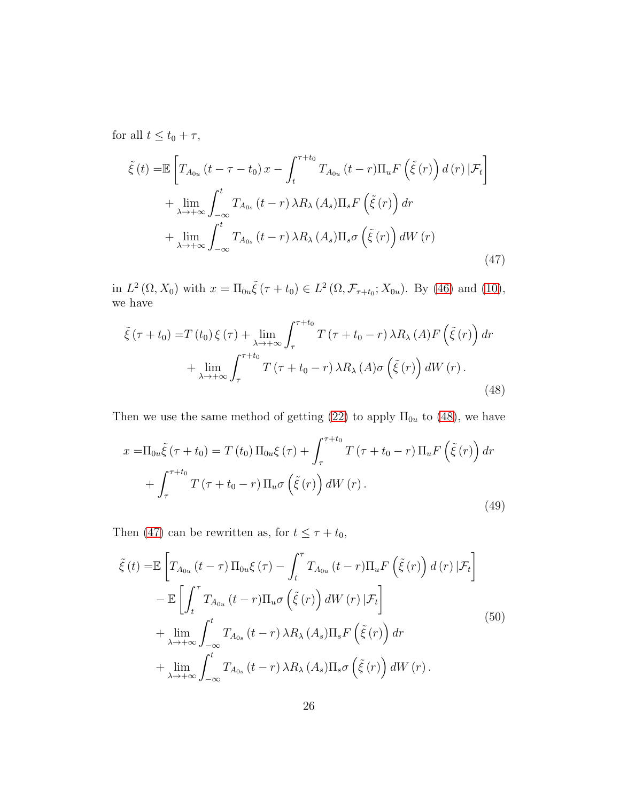for all  $t \le t_0 + \tau$ ,

<span id="page-25-1"></span>
$$
\tilde{\xi}(t) = \mathbb{E}\left[T_{A_{0u}}\left(t-\tau-t_{0}\right)x-\int_{t}^{\tau+t_{0}}T_{A_{0u}}\left(t-r\right)\Pi_{u}F\left(\tilde{\xi}(r)\right)d\left(r\right)|\mathcal{F}_{t}\right] + \lim_{\lambda\to+\infty}\int_{-\infty}^{t}T_{A_{0s}}\left(t-r\right)\lambda R_{\lambda}\left(A_{s}\right)\Pi_{s}F\left(\tilde{\xi}(r)\right)dr + \lim_{\lambda\to+\infty}\int_{-\infty}^{t}T_{A_{0s}}\left(t-r\right)\lambda R_{\lambda}\left(A_{s}\right)\Pi_{s}\sigma\left(\tilde{\xi}(r)\right)dW\left(r\right)
$$
\n(47)

in  $L^2(\Omega, X_0)$  with  $x = \Pi_{0u} \tilde{\xi}(\tau + t_0) \in L^2(\Omega, \mathcal{F}_{\tau+t_0}; X_{0u})$ . By [\(46\)](#page-24-3) and [\(10\)](#page-9-1), we have

<span id="page-25-0"></span>
$$
\tilde{\xi}(\tau+t_0) = T(t_0)\xi(\tau) + \lim_{\lambda \to +\infty} \int_{\tau}^{\tau+t_0} T(\tau+t_0-r)\,\lambda R_\lambda(A)F\left(\tilde{\xi}(r)\right)dr + \lim_{\lambda \to +\infty} \int_{\tau}^{\tau+t_0} T(\tau+t_0-r)\,\lambda R_\lambda(A)\sigma\left(\tilde{\xi}(r)\right)dW(r).
$$
\n(48)

Then we use the same method of getting [\(22\)](#page-17-1) to apply  $\Pi_{0u}$  to [\(48\)](#page-25-0), we have

$$
x = \Pi_{0u}\tilde{\xi}(\tau + t_0) = T(t_0)\Pi_{0u}\xi(\tau) + \int_{\tau}^{\tau + t_0} T(\tau + t_0 - r)\Pi_u F\left(\tilde{\xi}(r)\right) dr
$$

$$
+ \int_{\tau}^{\tau + t_0} T(\tau + t_0 - r)\Pi_u \sigma\left(\tilde{\xi}(r)\right) dW(r).
$$
(49)

Then [\(47\)](#page-25-1) can be rewritten as, for  $t \le \tau + t_0$ ,

<span id="page-25-2"></span>
$$
\tilde{\xi}(t) = \mathbb{E}\left[T_{A_{0u}}(t-\tau)\Pi_{0u}\xi(\tau) - \int_{t}^{\tau} T_{A_{0u}}(t-r)\Pi_{u}F\left(\tilde{\xi}(r)\right)d(r)\,|\mathcal{F}_{t}\right] \n- \mathbb{E}\left[\int_{t}^{\tau} T_{A_{0u}}(t-r)\Pi_{u}\sigma\left(\tilde{\xi}(r)\right)dW(r)\,|\mathcal{F}_{t}\right] \n+ \lim_{\lambda \to +\infty} \int_{-\infty}^{t} T_{A_{0s}}(t-r)\,\lambda R_{\lambda}\,(A_{s})\Pi_{s}F\left(\tilde{\xi}(r)\right)dr \n+ \lim_{\lambda \to +\infty} \int_{-\infty}^{t} T_{A_{0s}}(t-r)\,\lambda R_{\lambda}\,(A_{s})\Pi_{s}\sigma\left(\tilde{\xi}(r)\right)dW(r).
$$
\n(50)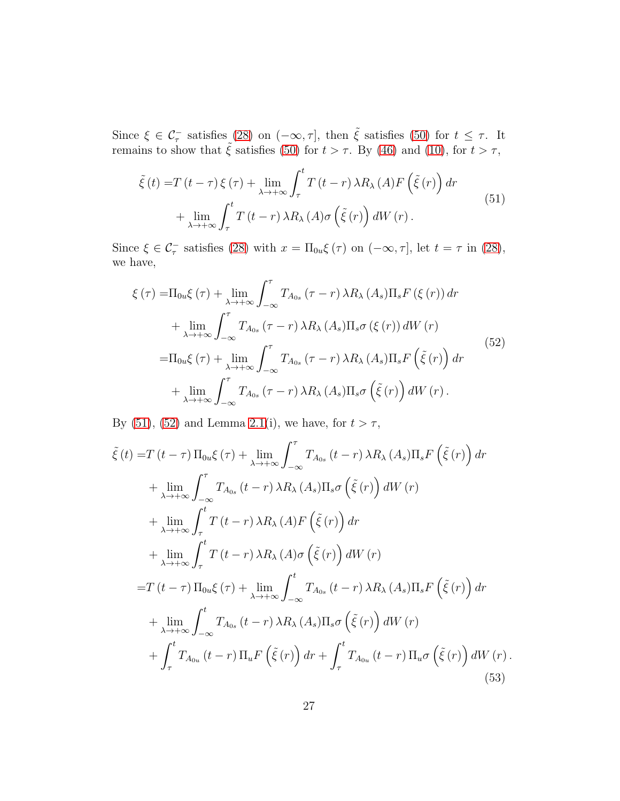Since  $\xi \in \mathcal{C}_{\tau}^-$  satisfies [\(28\)](#page-19-1) on  $(-\infty, \tau]$ , then  $\tilde{\xi}$  satisfies [\(50\)](#page-25-2) for  $t \leq \tau$ . It remains to show that  $\tilde{\xi}$  satisfies [\(50\)](#page-25-2) for  $t > \tau$ . By [\(46\)](#page-24-3) and [\(10\)](#page-9-1), for  $t > \tau$ ,

<span id="page-26-0"></span>
$$
\tilde{\xi}(t) = T(t-\tau)\xi(\tau) + \lim_{\lambda \to +\infty} \int_{\tau}^{t} T(t-r)\,\lambda R_{\lambda}(A)F\left(\tilde{\xi}(r)\right)dr + \lim_{\lambda \to +\infty} \int_{\tau}^{t} T(t-r)\,\lambda R_{\lambda}(A)\sigma\left(\tilde{\xi}(r)\right)dW(r).
$$
\n(51)

Since  $\xi \in \mathcal{C}_{\tau}^-$  satisfies [\(28\)](#page-19-1) with  $x = \Pi_{0u}\xi(\tau)$  on  $(-\infty, \tau]$ , let  $t = \tau$  in (28), we have,

<span id="page-26-1"></span>
$$
\xi(\tau) = \Pi_{0u}\xi(\tau) + \lim_{\lambda \to +\infty} \int_{-\infty}^{\tau} T_{A_{0s}}(\tau - r) \lambda R_{\lambda}(A_{s}) \Pi_{s} F(\xi(r)) dr \n+ \lim_{\lambda \to +\infty} \int_{-\infty}^{\tau} T_{A_{0s}}(\tau - r) \lambda R_{\lambda}(A_{s}) \Pi_{s} \sigma(\xi(r)) dW(r) \n= \Pi_{0u}\xi(\tau) + \lim_{\lambda \to +\infty} \int_{-\infty}^{\tau} T_{A_{0s}}(\tau - r) \lambda R_{\lambda}(A_{s}) \Pi_{s} F(\tilde{\xi}(r)) dr \n+ \lim_{\lambda \to +\infty} \int_{-\infty}^{\tau} T_{A_{0s}}(\tau - r) \lambda R_{\lambda}(A_{s}) \Pi_{s} \sigma(\tilde{\xi}(r)) dW(r).
$$
\n(52)

By [\(51\)](#page-26-0), [\(52\)](#page-26-1) and Lemma [2.1\(](#page-5-2)i), we have, for  $t > \tau$ ,

<span id="page-26-2"></span>
$$
\tilde{\xi}(t) = T(t-\tau) \Pi_{0u}\xi(\tau) + \lim_{\lambda \to +\infty} \int_{-\infty}^{\tau} T_{A_{0s}}(t-r) \lambda R_{\lambda}(A_{s}) \Pi_{s}F(\tilde{\xi}(r)) dr \n+ \lim_{\lambda \to +\infty} \int_{-\infty}^{\tau} T_{A_{0s}}(t-r) \lambda R_{\lambda}(A_{s}) \Pi_{s}\sigma(\tilde{\xi}(r)) dW(r) \n+ \lim_{\lambda \to +\infty} \int_{\tau}^{t} T(t-r) \lambda R_{\lambda}(A)F(\tilde{\xi}(r)) dr \n+ \lim_{\lambda \to +\infty} \int_{\tau}^{t} T(t-r) \lambda R_{\lambda}(A)\sigma(\tilde{\xi}(r)) dW(r) \n= T(t-\tau) \Pi_{0u}\xi(\tau) + \lim_{\lambda \to +\infty} \int_{-\infty}^{t} T_{A_{0s}}(t-r) \lambda R_{\lambda}(A_{s}) \Pi_{s}F(\tilde{\xi}(r)) dr \n+ \lim_{\lambda \to +\infty} \int_{-\infty}^{t} T_{A_{0s}}(t-r) \lambda R_{\lambda}(A_{s}) \Pi_{s}\sigma(\tilde{\xi}(r)) dW(r) \n+ \int_{\tau}^{t} T_{A_{0u}}(t-r) \Pi_{u}F(\tilde{\xi}(r)) dr + \int_{\tau}^{t} T_{A_{0u}}(t-r) \Pi_{u}\sigma(\tilde{\xi}(r)) dW(r).
$$
\n(53)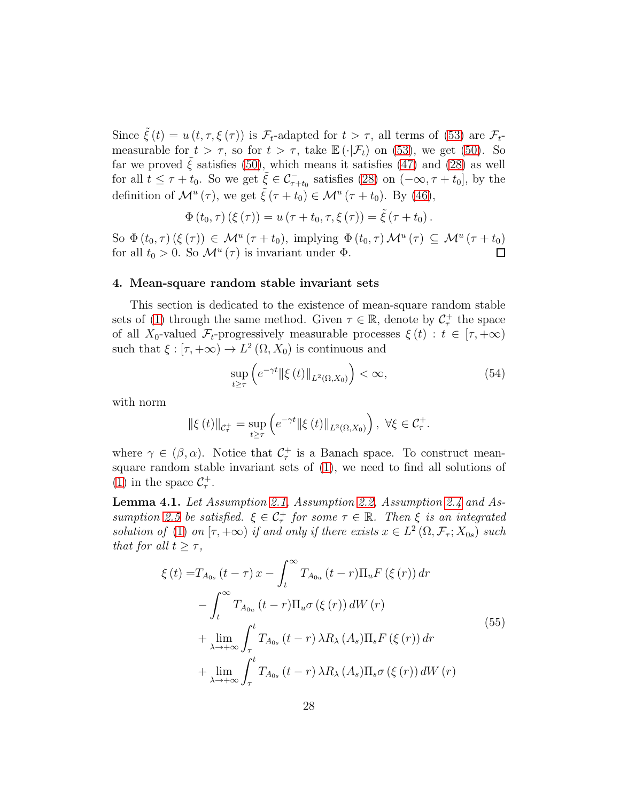Since  $\tilde{\xi}(t) = u(t, \tau, \xi(\tau))$  is  $\mathcal{F}_t$ -adapted for  $t > \tau$ , all terms of [\(53\)](#page-26-2) are  $\mathcal{F}_t$ measurable for  $t > \tau$ , so for  $t > \tau$ , take  $\mathbb{E}(\cdot|\mathcal{F}_t)$  on [\(53\)](#page-26-2), we get [\(50\)](#page-25-2). So far we proved  $\tilde{\xi}$  satisfies [\(50\)](#page-25-2), which means it satisfies [\(47\)](#page-25-1) and [\(28\)](#page-19-1) as well for all  $t \leq \tau + t_0$ . So we get  $\tilde{\xi} \in \mathcal{C}_{\tau+t_0}^-$  satisfies [\(28\)](#page-19-1) on  $(-\infty, \tau + t_0]$ , by the definition of  $\mathcal{M}^u(\tau)$ , we get  $\tilde{\xi}(\tau+t_0) \in \mathcal{M}^u(\tau+t_0)$ . By [\(46\)](#page-24-3),

$$
\Phi(t_0, \tau) (\xi(\tau)) = u (\tau + t_0, \tau, \xi(\tau)) = \tilde{\xi} (\tau + t_0).
$$

So  $\Phi(t_0, \tau)$   $(\xi(\tau)) \in \mathcal{M}^u(\tau + t_0)$ , implying  $\Phi(t_0, \tau) \mathcal{M}^u(\tau) \subseteq \mathcal{M}^u(\tau + t_0)$ for all  $t_0 > 0$ . So  $\mathcal{M}^u(\tau)$  is invariant under  $\Phi$ .

#### <span id="page-27-0"></span>4. Mean-square random stable invariant sets

This section is dedicated to the existence of mean-square random stable sets of [\(1\)](#page-0-0) through the same method. Given  $\tau \in \mathbb{R}$ , denote by  $\mathcal{C}_{\tau}^{+}$  the space of all X<sub>0</sub>-valued  $\mathcal{F}_t$ -progressively measurable processes  $\xi(t) : t \in [\tau, +\infty)$ such that  $\xi : [\tau, +\infty) \to L^2(\Omega, X_0)$  is continuous and

$$
\sup_{t \ge \tau} \left( e^{-\gamma t} \| \xi(t) \|_{L^2(\Omega, X_0)} \right) < \infty,\tag{54}
$$

with norm

$$
\|\xi(t)\|_{\mathcal{C}_{\tau}^{+}} = \sup_{t \geq \tau} \left( e^{-\gamma t} \|\xi(t)\|_{L^{2}(\Omega, X_{0})} \right), \ \forall \xi \in \mathcal{C}_{\tau}^{+}.
$$

where  $\gamma \in (\beta, \alpha)$ . Notice that  $\mathcal{C}_{\tau}^+$  is a Banach space. To construct meansquare random stable invariant sets of [\(1\)](#page-0-0), we need to find all solutions of [\(1\)](#page-0-0) in the space  $C_{\tau}^{+}$ .

<span id="page-27-2"></span>Lemma 4.1. Let Assumption [2.1,](#page-4-0) Assumption [2.2,](#page-5-0) Assumption [2.4](#page-9-0) and As-sumption [2.5](#page-12-0) be satisfied.  $\xi \in C_{\tau}^+$  for some  $\tau \in \mathbb{R}$ . Then  $\xi$  is an integrated solution of [\(1\)](#page-0-0) on  $[\tau, +\infty)$  if and only if there exists  $x \in L^2(\Omega, \mathcal{F}_{\tau}; X_{0s})$  such that for all  $t \geq \tau$ ,

<span id="page-27-1"></span>
$$
\xi(t) = T_{A_{0s}}(t-\tau)x - \int_{t}^{\infty} T_{A_{0u}}(t-r)\Pi_{u}F(\xi(r)) dr
$$
  

$$
- \int_{t}^{\infty} T_{A_{0u}}(t-r)\Pi_{u}\sigma(\xi(r)) dW(r)
$$
  

$$
+ \lim_{\lambda \to +\infty} \int_{\tau}^{t} T_{A_{0s}}(t-r) \lambda R_{\lambda}(A_{s})\Pi_{s}F(\xi(r)) dr
$$
  

$$
+ \lim_{\lambda \to +\infty} \int_{\tau}^{t} T_{A_{0s}}(t-r) \lambda R_{\lambda}(A_{s})\Pi_{s}\sigma(\xi(r)) dW(r)
$$
  
(55)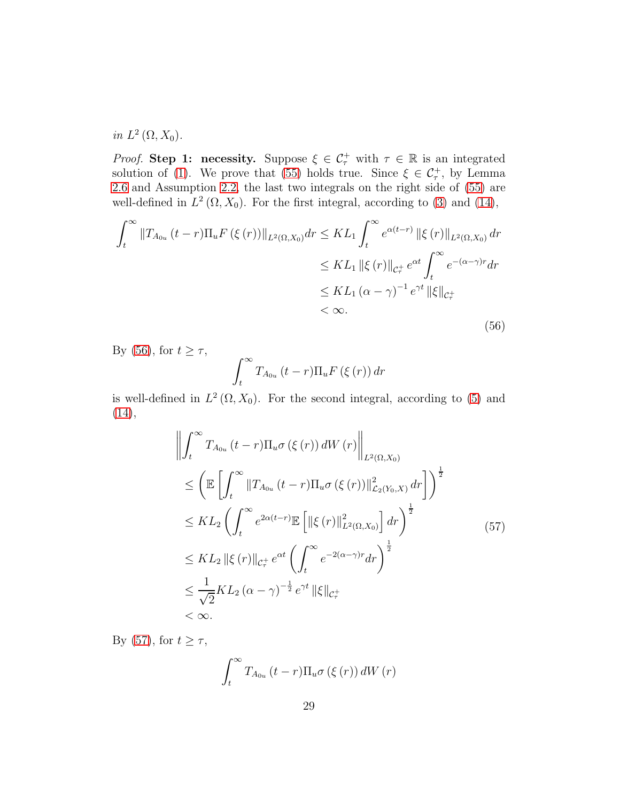in  $L^2(\Omega, X_0)$ .

*Proof.* Step 1: necessity. Suppose  $\xi \in C_{\tau}^+$  with  $\tau \in \mathbb{R}$  is an integrated solution of [\(1\)](#page-0-0). We prove that [\(55\)](#page-27-1) holds true. Since  $\xi \in C_{\tau}^{+}$ , by Lemma [2.6](#page-9-3) and Assumption [2.2,](#page-5-0) the last two integrals on the right side of [\(55\)](#page-27-1) are well-defined in  $L^2(\Omega, X_0)$ . For the first integral, according to [\(3\)](#page-4-3) and [\(14\)](#page-12-1),

<span id="page-28-0"></span>
$$
\int_{t}^{\infty} \|T_{A_{0u}}(t-r)\Pi_{u}F(\xi(r))\|_{L^{2}(\Omega,X_{0})} dr \leq KL_{1} \int_{t}^{\infty} e^{\alpha(t-r)} \|\xi(r)\|_{L^{2}(\Omega,X_{0})} dr
$$
  

$$
\leq KL_{1} \|\xi(r)\|_{\mathcal{C}_{\tau}^{+}} e^{\alpha t} \int_{t}^{\infty} e^{-(\alpha-\gamma)r} dr
$$
  

$$
\leq KL_{1} (\alpha-\gamma)^{-1} e^{\gamma t} \|\xi\|_{\mathcal{C}_{\tau}^{+}}
$$
  

$$
< \infty.
$$
 (56)

By [\(56\)](#page-28-0), for  $t \geq \tau$ , t  $T_{A_{0u}}(t-r)\Pi_u F\left(\xi\left(r\right)\right)dr$ 

<span id="page-28-1"></span>is well-defined in  $L^2(\Omega, X_0)$ . For the second integral, according to [\(5\)](#page-4-4) and [\(14\)](#page-12-1),

$$
\left\| \int_{t}^{\infty} T_{A_{0u}}(t-r) \Pi_{u}\sigma(\xi(r)) dW(r) \right\|_{L^{2}(\Omega,X_{0})}
$$
\n
$$
\leq \left( \mathbb{E} \left[ \int_{t}^{\infty} \|T_{A_{0u}}(t-r) \Pi_{u}\sigma(\xi(r))\|_{\mathcal{L}_{2}(Y_{0},X)}^{2} dr \right] \right)^{\frac{1}{2}}
$$
\n
$$
\leq KL_{2} \left( \int_{t}^{\infty} e^{2\alpha(t-r)} \mathbb{E} \left[ \left\| \xi(r) \right\|_{L^{2}(\Omega,X_{0})}^{2} \right] dr \right)^{\frac{1}{2}}
$$
\n
$$
\leq KL_{2} \left\| \xi(r) \right\|_{\mathcal{C}_{r}^{+}} e^{\alpha t} \left( \int_{t}^{\infty} e^{-2(\alpha-\gamma)r} dr \right)^{\frac{1}{2}}
$$
\n
$$
\leq \frac{1}{\sqrt{2}} KL_{2} (\alpha-\gamma)^{-\frac{1}{2}} e^{\gamma t} \left\| \xi \right\|_{\mathcal{C}_{r}^{+}}
$$
\n
$$
< \infty.
$$
\n(11)

By [\(57\)](#page-28-1), for  $t \geq \tau$ ,

$$
\int_{t}^{\infty} T_{A_{0u}}(t-r) \Pi_{u} \sigma (\xi (r)) dW (r)
$$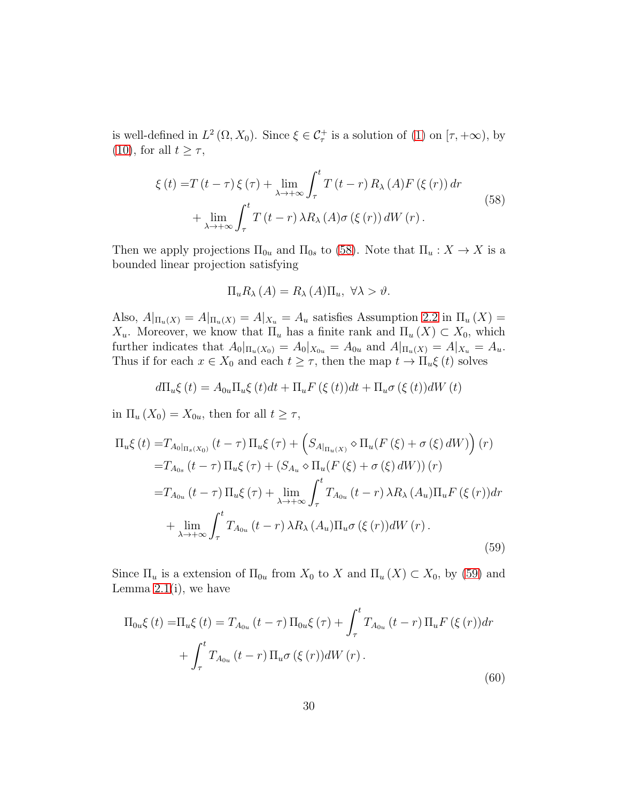is well-defined in  $L^2(\Omega, X_0)$ . Since  $\xi \in \mathcal{C}^+_\tau$  is a solution of [\(1\)](#page-0-0) on  $[\tau, +\infty)$ , by [\(10\)](#page-9-1), for all  $t \geq \tau$ ,

<span id="page-29-0"></span>
$$
\xi(t) = T(t-\tau)\xi(\tau) + \lim_{\lambda \to +\infty} \int_{\tau}^{t} T(t-r) R_{\lambda}(A) F(\xi(r)) dr
$$
  
+ 
$$
\lim_{\lambda \to +\infty} \int_{\tau}^{t} T(t-r) \lambda R_{\lambda}(A) \sigma(\xi(r)) dW(r).
$$
 (58)

Then we apply projections  $\Pi_{0u}$  and  $\Pi_{0s}$  to [\(58\)](#page-29-0). Note that  $\Pi_u: X \to X$  is a bounded linear projection satisfying

<span id="page-29-1"></span>
$$
\Pi_u R_\lambda(A) = R_\lambda(A) \Pi_u, \ \forall \lambda > \vartheta.
$$

Also,  $A|_{\Pi_u(X)} = A|_{\Pi_u(X)} = A|_{X_u} = A_u$  satisfies Assumption [2.2](#page-5-0) in  $\Pi_u(X) =$  $X_u$ . Moreover, we know that  $\Pi_u$  has a finite rank and  $\Pi_u(X) \subset X_0$ , which further indicates that  $A_0|_{\Pi_u(X_0)} = A_0|_{X_{0u}} = A_{0u}$  and  $A|_{\Pi_u(X)} = A|_{X_u} = A_u$ . Thus if for each  $x \in X_0$  and each  $t \geq \tau$ , then the map  $t \to \Pi_u \xi(t)$  solves

$$
d\Pi_u \xi(t) = A_{0u} \Pi_u \xi(t) dt + \Pi_u F(\xi(t)) dt + \Pi_u \sigma(\xi(t)) dW(t)
$$

in  $\Pi_u(X_0) = X_{0u}$ , then for all  $t \geq \tau$ ,

$$
\Pi_{u}\xi(t) = T_{A_{0}|_{\Pi_{s}(X_{0})}}(t-\tau)\Pi_{u}\xi(\tau) + \left(S_{A|_{\Pi_{u}(X)}} \diamond \Pi_{u}(F(\xi) + \sigma(\xi) dW)\right)(r)
$$
\n
$$
= T_{A_{0s}}(t-\tau)\Pi_{u}\xi(\tau) + \left(S_{A_{u}} \diamond \Pi_{u}(F(\xi) + \sigma(\xi) dW)\right)(r)
$$
\n
$$
= T_{A_{0u}}(t-\tau)\Pi_{u}\xi(\tau) + \lim_{\lambda \to +\infty} \int_{\tau}^{t} T_{A_{0u}}(t-r) \lambda R_{\lambda}(A_{u})\Pi_{u}F(\xi(r))dr
$$
\n
$$
+ \lim_{\lambda \to +\infty} \int_{\tau}^{t} T_{A_{0u}}(t-r) \lambda R_{\lambda}(A_{u})\Pi_{u}\sigma(\xi(r))dW(r).
$$
\n(59)

Since  $\Pi_u$  is a extension of  $\Pi_{0u}$  from  $X_0$  to X and  $\Pi_u(X) \subset X_0$ , by [\(59\)](#page-29-1) and Lemma  $2.1(i)$ , we have

<span id="page-29-2"></span>
$$
\Pi_{0u}\xi(t) = \Pi_u \xi(t) = T_{A_{0u}}(t-\tau) \Pi_{0u}\xi(\tau) + \int_{\tau}^{t} T_{A_{0u}}(t-r) \Pi_u F(\xi(r)) dr + \int_{\tau}^{t} T_{A_{0u}}(t-r) \Pi_u \sigma(\xi(r)) dW(r).
$$
\n(60)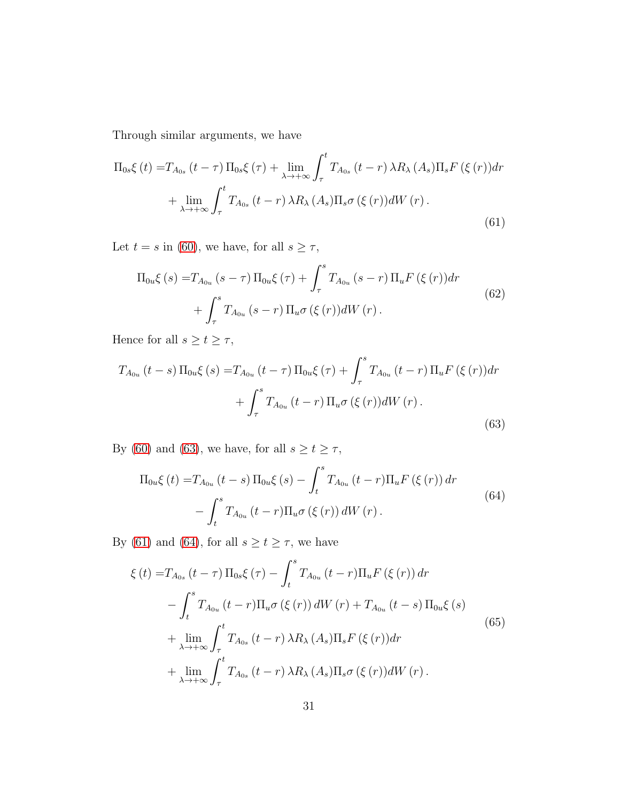Through similar arguments, we have

<span id="page-30-1"></span>
$$
\Pi_{0s}\xi(t) = T_{A_{0s}}(t-\tau)\Pi_{0s}\xi(\tau) + \lim_{\lambda \to +\infty} \int_{\tau}^{t} T_{A_{0s}}(t-r)\,\lambda R_{\lambda}\,(A_{s})\Pi_{s}F(\xi(r))dr
$$

$$
+ \lim_{\lambda \to +\infty} \int_{\tau}^{t} T_{A_{0s}}(t-r)\,\lambda R_{\lambda}\,(A_{s})\Pi_{s}\sigma(\xi(r))dW(r).
$$
\n(61)

Let  $t = s$  in [\(60\)](#page-29-2), we have, for all  $s \geq \tau$ ,

<span id="page-30-0"></span>
$$
\Pi_{0u}\xi(s) = T_{A_{0u}}(s-\tau)\Pi_{0u}\xi(\tau) + \int_{\tau}^{s} T_{A_{0u}}(s-r)\Pi_{u}F(\xi(r))dr + \int_{\tau}^{s} T_{A_{0u}}(s-r)\Pi_{u}\sigma(\xi(r))dW(r).
$$
\n(62)

Hence for all  $s \ge t \ge \tau$ ,

$$
T_{A_{0u}}(t-s)\Pi_{0u}\xi(s) = T_{A_{0u}}(t-\tau)\Pi_{0u}\xi(\tau) + \int_{\tau}^{s} T_{A_{0u}}(t-r)\Pi_{u}F(\xi(r))dr + \int_{\tau}^{s} T_{A_{0u}}(t-r)\Pi_{u}\sigma(\xi(r))dW(r).
$$
\n(63)

By [\(60\)](#page-29-2) and [\(63\)](#page-30-0), we have, for all  $s \ge t \ge \tau$ ,

<span id="page-30-2"></span>
$$
\Pi_{0u}\xi(t) = T_{A_{0u}}(t-s)\Pi_{0u}\xi(s) - \int_{t}^{s} T_{A_{0u}}(t-r)\Pi_{u}F(\xi(r)) dr - \int_{t}^{s} T_{A_{0u}}(t-r)\Pi_{u}\sigma(\xi(r)) dW(r).
$$
\n(64)

By [\(61\)](#page-30-1) and [\(64\)](#page-30-2), for all  $s\geq t\geq \tau,$  we have

<span id="page-30-3"></span>
$$
\xi(t) = T_{A_{0s}}(t-\tau) \Pi_{0s} \xi(\tau) - \int_{t}^{s} T_{A_{0u}}(t-r) \Pi_{u} F(\xi(r)) dr
$$
  

$$
- \int_{t}^{s} T_{A_{0u}}(t-r) \Pi_{u} \sigma(\xi(r)) dW(r) + T_{A_{0u}}(t-s) \Pi_{0u} \xi(s)
$$
  

$$
+ \lim_{\lambda \to +\infty} \int_{\tau}^{t} T_{A_{0s}}(t-r) \lambda R_{\lambda}(A_{s}) \Pi_{s} F(\xi(r)) dr
$$
  

$$
+ \lim_{\lambda \to +\infty} \int_{\tau}^{t} T_{A_{0s}}(t-r) \lambda R_{\lambda}(A_{s}) \Pi_{s} \sigma(\xi(r)) dW(r).
$$
 (65)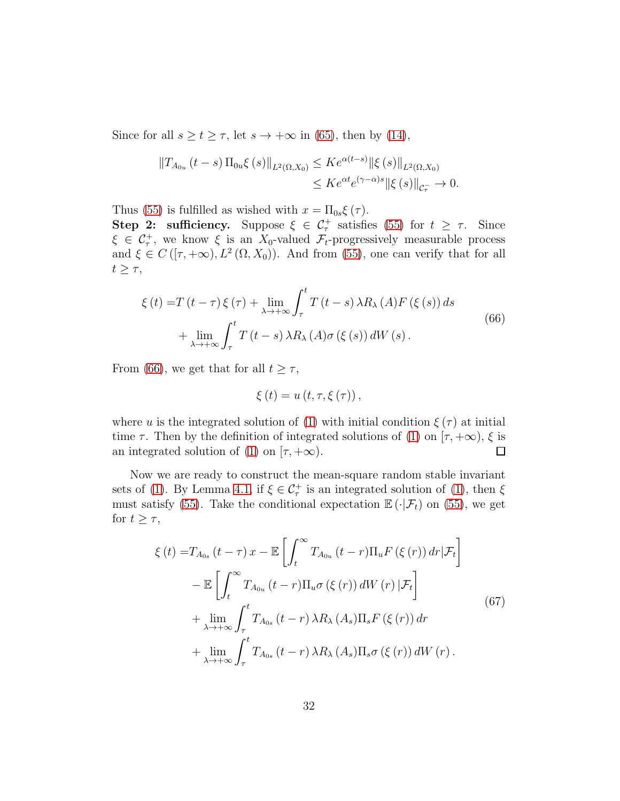Since for all  $s \ge t \ge \tau$ , let  $s \to +\infty$  in [\(65\)](#page-30-3), then by [\(14\)](#page-12-1),

$$
||T_{A_{0u}}(t-s)\Pi_{0u}\xi(s)||_{L^{2}(\Omega,X_{0})} \leq Ke^{\alpha(t-s)}||\xi(s)||_{L^{2}(\Omega,X_{0})}
$$
  

$$
\leq Ke^{\alpha t}e^{(\gamma-\alpha)s}||\xi(s)||_{\mathcal{C}_{\tau}^{-}} \to 0.
$$

Thus [\(55\)](#page-27-1) is fulfilled as wished with  $x = \Pi_{0s} \xi(\tau)$ .

**Step 2: sufficiency.** Suppose  $\xi \in C_{\tau}^+$  satisfies [\(55\)](#page-27-1) for  $t \geq \tau$ . Since  $\xi \in C_{\tau}^{+}$ , we know  $\xi$  is an  $X_0$ -valued  $\mathcal{F}_t$ -progressively measurable process and  $\xi \in C([T, +\infty), L^2(\Omega, X_0))$ . And from [\(55\)](#page-27-1), one can verify that for all  $t \geq \tau$ ,

<span id="page-31-0"></span>
$$
\xi(t) = T(t-\tau)\xi(\tau) + \lim_{\lambda \to +\infty} \int_{\tau}^{t} T(t-s)\,\lambda R_{\lambda}(A)F(\xi(s))\,ds
$$
  
+ 
$$
\lim_{\lambda \to +\infty} \int_{\tau}^{t} T(t-s)\,\lambda R_{\lambda}(A)\sigma(\xi(s))\,dW(s).
$$
 (66)

From [\(66\)](#page-31-0), we get that for all  $t \geq \tau$ ,

$$
\xi(t) = u(t, \tau, \xi(\tau)),
$$

where u is the integrated solution of [\(1\)](#page-0-0) with initial condition  $\xi(\tau)$  at initial time  $\tau$ . Then by the definition of integrated solutions of [\(1\)](#page-0-0) on  $[\tau, +\infty)$ ,  $\xi$  is<br>an integrated solution of (1) on  $[\tau, +\infty)$ . an integrated solution of [\(1\)](#page-0-0) on  $[\tau, +\infty)$ .

Now we are ready to construct the mean-square random stable invariant sets of [\(1\)](#page-0-0). By Lemma [4.1,](#page-27-2) if  $\xi \in C_{\tau}^{+}$  is an integrated solution of (1), then  $\xi$ must satisfy [\(55\)](#page-27-1). Take the conditional expectation  $\mathbb{E}(\cdot|\mathcal{F}_t)$  on (55), we get for  $t \geq \tau$ ,

<span id="page-31-1"></span>
$$
\xi(t) = T_{A_{0s}}(t-\tau)x - \mathbb{E}\left[\int_{t}^{\infty} T_{A_{0u}}(t-r)\Pi_{u}F(\xi(r))dr|\mathcal{F}_{t}\right]
$$

$$
-\mathbb{E}\left[\int_{t}^{\infty} T_{A_{0u}}(t-r)\Pi_{u}\sigma(\xi(r))dW(r)|\mathcal{F}_{t}\right]
$$

$$
+\lim_{\lambda \to +\infty} \int_{\tau}^{t} T_{A_{0s}}(t-r)\lambda R_{\lambda}(A_{s})\Pi_{s}F(\xi(r))dr
$$

$$
+\lim_{\lambda \to +\infty} \int_{\tau}^{t} T_{A_{0s}}(t-r)\lambda R_{\lambda}(A_{s})\Pi_{s}\sigma(\xi(r))dW(r).
$$
(67)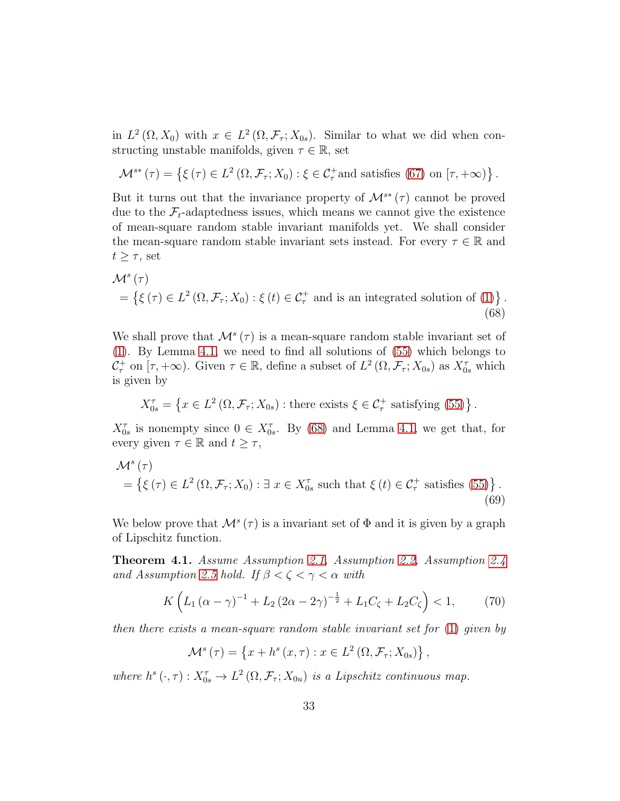in  $L^2(\Omega, X_0)$  with  $x \in L^2(\Omega, \mathcal{F}_\tau; X_{0s})$ . Similar to what we did when constructing unstable manifolds, given  $\tau \in \mathbb{R}$ , set

$$
\mathcal{M}^{s*}(\tau) = \left\{ \xi(\tau) \in L^2(\Omega, \mathcal{F}_\tau; X_0) : \xi \in \mathcal{C}_\tau^+\text{and satisfies (67) on } [\tau, +\infty) \right\}.
$$

But it turns out that the invariance property of  $\mathcal{M}^{s*}(\tau)$  cannot be proved due to the  $\mathcal{F}_t$ -adaptedness issues, which means we cannot give the existence of mean-square random stable invariant manifolds yet. We shall consider the mean-square random stable invariant sets instead. For every  $\tau \in \mathbb{R}$  and  $t \geq \tau$ , set

<span id="page-32-0"></span>
$$
\mathcal{M}^{s}(\tau)
$$
  
=  $\{ \xi(\tau) \in L^{2}(\Omega, \mathcal{F}_{\tau}; X_{0}) : \xi(t) \in C_{\tau}^{+} \text{ and is an integrated solution of (1)} \}.$  (68)

We shall prove that  $\mathcal{M}^s(\tau)$  is a mean-square random stable invariant set of [\(1\)](#page-0-0). By Lemma [4.1,](#page-27-2) we need to find all solutions of [\(55\)](#page-27-1) which belongs to  $\mathcal{C}_{\tau}^+$  on  $[\tau, +\infty)$ . Given  $\tau \in \mathbb{R}$ , define a subset of  $L^2(\Omega, \mathcal{F}_{\tau}; X_{0s})$  as  $X_{0s}^{\tau}$  which is given by

<span id="page-32-2"></span>
$$
X_{0s}^{\tau} = \left\{ x \in L^2\left(\Omega, \mathcal{F}_\tau; X_{0s}\right) : \text{there exists } \xi \in \mathcal{C}_\tau^+ \text{ satisfying (55)} \right\}.
$$

 $X_{0s}^{\tau}$  is nonempty since  $0 \in X_{0s}^{\tau}$ . By [\(68\)](#page-32-0) and Lemma [4.1,](#page-27-2) we get that, for every given  $\tau \in \mathbb{R}$  and  $t \geq \tau$ ,

$$
\mathcal{M}^{s}(\tau)
$$
  
=  $\{\xi(\tau) \in L^{2}(\Omega, \mathcal{F}_{\tau}; X_{0}) : \exists x \in X_{0s}^{\tau} \text{ such that } \xi(t) \in C_{\tau}^{+} \text{ satisfies (55)}\}.$   
(69)

We below prove that  $\mathcal{M}^s(\tau)$  is a invariant set of  $\Phi$  and it is given by a graph of Lipschitz function.

<span id="page-32-3"></span>Theorem 4.1. Assume Assumption [2.1,](#page-4-0) Assumption [2.2,](#page-5-0) Assumption [2.4](#page-9-0) and Assumption [2.5](#page-12-0) hold. If  $\beta < \zeta < \gamma < \alpha$  with

$$
K\left(L_1\left(\alpha-\gamma\right)^{-1}+L_2\left(2\alpha-2\gamma\right)^{-\frac{1}{2}}+L_1C_{\zeta}+L_2C_{\zeta}\right)<1,\tag{70}
$$

<span id="page-32-1"></span>,

then there exists a mean-square random stable invariant set for [\(1\)](#page-0-0) given by

$$
\mathcal{M}^{s}(\tau) = \left\{ x + h^{s}(x, \tau) : x \in L^{2}(\Omega, \mathcal{F}_{\tau}; X_{0s}) \right\}
$$

where  $h^s(\cdot, \tau) : X_{0s}^{\tau} \to L^2(\Omega, \mathcal{F}_{\tau}; X_{0u})$  is a Lipschitz continuous map.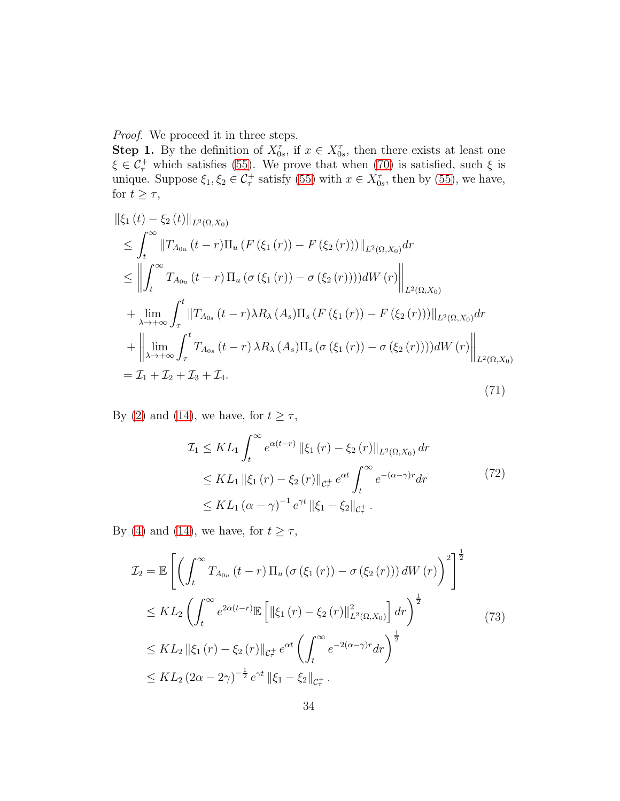Proof. We proceed it in three steps.

**Step 1.** By the definition of  $X_{0s}^{\tau}$ , if  $x \in X_{0s}^{\tau}$ , then there exists at least one  $\xi \in C_{\tau}^{+}$  which satisfies [\(55\)](#page-27-1). We prove that when [\(70\)](#page-32-1) is satisfied, such  $\xi$  is unique. Suppose  $\xi_1, \xi_2 \in C^+$  satisfy [\(55\)](#page-27-1) with  $x \in X^{\tau}_{0s}$ , then by (55), we have, for  $t \geq \tau$ ,

<span id="page-33-0"></span>
$$
\|\xi_{1}(t) - \xi_{2}(t)\|_{L^{2}(\Omega, X_{0})} \leq \int_{t}^{\infty} \|T_{A_{0u}}(t-r)\Pi_{u}(F(\xi_{1}(r)) - F(\xi_{2}(r)))\|_{L^{2}(\Omega, X_{0})} dr
$$
  
\n
$$
\leq \left\|\int_{t}^{\infty} T_{A_{0u}}(t-r)\Pi_{u}(\sigma(\xi_{1}(r)) - \sigma(\xi_{2}(r))))dW(r)\right\|_{L^{2}(\Omega, X_{0})} + \lim_{\lambda \to +\infty} \int_{\tau}^{t} \|T_{A_{0s}}(t-r)\lambda R_{\lambda}(A_{s})\Pi_{s}(F(\xi_{1}(r)) - F(\xi_{2}(r)))\|_{L^{2}(\Omega, X_{0})} dr
$$
  
\n
$$
+ \left\|\lim_{\lambda \to +\infty} \int_{\tau}^{t} T_{A_{0s}}(t-r)\lambda R_{\lambda}(A_{s})\Pi_{s}(\sigma(\xi_{1}(r)) - \sigma(\xi_{2}(r))))dW(r)\right\|_{L^{2}(\Omega, X_{0})} dr
$$
  
\n
$$
= \mathcal{I}_{1} + \mathcal{I}_{2} + \mathcal{I}_{3} + \mathcal{I}_{4}.
$$
  
\n(71)

By [\(2\)](#page-4-1) and [\(14\)](#page-12-1), we have, for  $t \geq \tau$ ,

<span id="page-33-2"></span><span id="page-33-1"></span>
$$
\mathcal{I}_{1} \leq KL_{1} \int_{t}^{\infty} e^{\alpha(t-r)} \|\xi_{1}(r) - \xi_{2}(r)\|_{L^{2}(\Omega, X_{0})} dr
$$
\n
$$
\leq KL_{1} \|\xi_{1}(r) - \xi_{2}(r)\|_{\mathcal{C}_{\tau}^{+}} e^{\alpha t} \int_{t}^{\infty} e^{-(\alpha-\gamma)r} dr
$$
\n
$$
\leq KL_{1} (\alpha - \gamma)^{-1} e^{\gamma t} \|\xi_{1} - \xi_{2}\|_{\mathcal{C}_{\tau}^{+}}.
$$
\n(72)

By [\(4\)](#page-4-2) and [\(14\)](#page-12-1), we have, for  $t \geq \tau$ ,

$$
\mathcal{I}_{2} = \mathbb{E}\left[\left(\int_{t}^{\infty} T_{A_{0u}}\left(t-r\right)\Pi_{u}\left(\sigma\left(\xi_{1}\left(r\right)\right)-\sigma\left(\xi_{2}\left(r\right)\right)\right)dW\left(r\right)\right)^{2}\right]^{\frac{1}{2}}
$$
\n
$$
\leq KL_{2}\left(\int_{t}^{\infty} e^{2\alpha(t-r)}\mathbb{E}\left[\left\|\xi_{1}\left(r\right)-\xi_{2}\left(r\right)\right\|_{L^{2}(\Omega,X_{0})}^{2}\right]dr\right)^{\frac{1}{2}}
$$
\n
$$
\leq KL_{2}\left\|\xi_{1}\left(r\right)-\xi_{2}\left(r\right)\right\|_{\mathcal{C}_{\tau}^{+}}e^{\alpha t}\left(\int_{t}^{\infty} e^{-2(\alpha-\gamma)r}dr\right)^{\frac{1}{2}}
$$
\n
$$
\leq KL_{2}\left(2\alpha-2\gamma\right)^{-\frac{1}{2}}e^{\gamma t}\left\|\xi_{1}-\xi_{2}\right\|_{\mathcal{C}_{\tau}^{+}}.
$$
\n(73)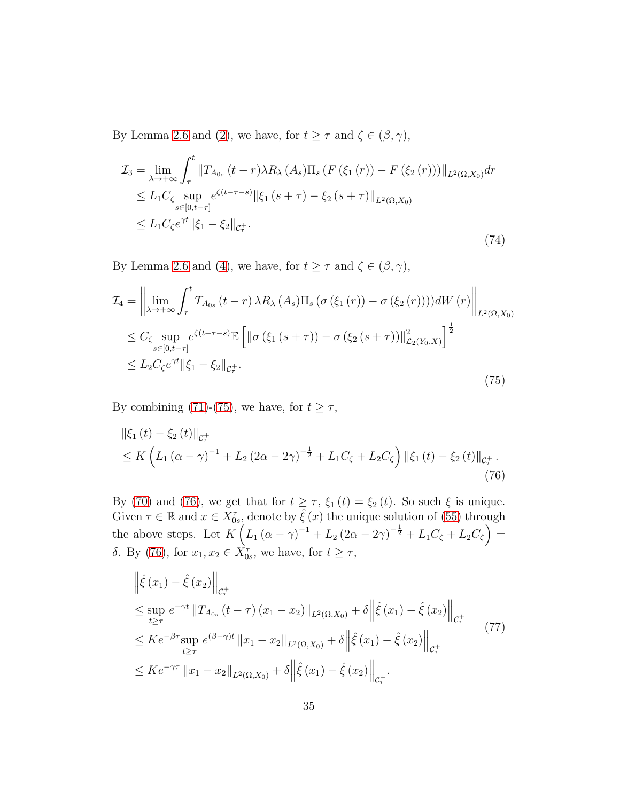By Lemma [2.6](#page-9-3) and [\(2\)](#page-4-1), we have, for  $t\geq \tau$  and  $\zeta\in (\beta,\gamma),$ 

$$
\mathcal{I}_{3} = \lim_{\lambda \to +\infty} \int_{\tau}^{t} \|T_{A_{0s}}(t-r)\lambda R_{\lambda}(A_{s})\Pi_{s} (F(\xi_{1}(r)) - F(\xi_{2}(r)))\|_{L^{2}(\Omega, X_{0})} dr
$$
\n
$$
\leq L_{1}C_{\zeta} \sup_{s \in [0, t-\tau]} e^{\zeta(t-\tau-s)} \|\xi_{1}(s+\tau) - \xi_{2}(s+\tau)\|_{L^{2}(\Omega, X_{0})}
$$
\n
$$
\leq L_{1}C_{\zeta}e^{\gamma t} \|\xi_{1} - \xi_{2}\|_{\mathcal{C}_{\tau}^{+}}.
$$
\n(74)

By Lemma [2.6](#page-9-3) and [\(4\)](#page-4-2), we have, for  $t \geq \tau$  and  $\zeta \in (\beta, \gamma)$ ,

<span id="page-34-0"></span>
$$
\mathcal{I}_{4} = \left\| \lim_{\lambda \to +\infty} \int_{\tau}^{t} T_{A_{0s}}(t-r) \lambda R_{\lambda}(A_{s}) \Pi_{s}(\sigma(\xi_{1}(r)) - \sigma(\xi_{2}(r))))dW(r) \right\|_{L^{2}(\Omega, X_{0})} \n\leq C_{\zeta} \sup_{s \in [0, t-\tau]} e^{\zeta(t-\tau-s)} \mathbb{E} \left[ \left\| \sigma(\xi_{1}(s+\tau)) - \sigma(\xi_{2}(s+\tau)) \right\|_{\mathcal{L}_{2}(Y_{0}, X)}^{2} \right]^{\frac{1}{2}} \n\leq L_{2} C_{\zeta} e^{\gamma t} \|\xi_{1} - \xi_{2}\|_{\mathcal{C}_{\tau}^{+}}.
$$
\n(75)

By combining [\(71\)](#page-33-0)-[\(75\)](#page-34-0), we have, for  $t \geq \tau$ ,

<span id="page-34-1"></span>
$$
\|\xi_{1}(t) - \xi_{2}(t)\|_{\mathcal{C}_{\tau}^{+}}\leq K \left( L_{1} (\alpha - \gamma)^{-1} + L_{2} (2\alpha - 2\gamma)^{-\frac{1}{2}} + L_{1} C_{\zeta} + L_{2} C_{\zeta} \right) \|\xi_{1}(t) - \xi_{2}(t)\|_{\mathcal{C}_{\tau}^{+}}.
$$
\n(76)

By [\(70\)](#page-32-1) and [\(76\)](#page-34-1), we get that for  $t \geq \tau$ ,  $\xi_1(t) = \xi_2(t)$ . So such  $\xi$  is unique. Given  $\tau \in \mathbb{R}$  and  $x \in \overline{X}_{0s}^{\tau}$ , denote by  $\hat{\xi}(x)$  the unique solution of [\(55\)](#page-27-1) through the above steps. Let  $K\left(L_1(\alpha-\gamma)^{-1}+L_2(2\alpha-2\gamma)^{-\frac{1}{2}}+L_1C_{\zeta}+L_2C_{\zeta}\right)$  = δ. By [\(76\)](#page-34-1), for  $x_1, x_2 \in \overline{X}_{0s}^{\tau}$ , we have, for  $t \geq \tau$ ,

<span id="page-34-2"></span>
$$
\|\hat{\xi}(x_1) - \hat{\xi}(x_2)\|_{\mathcal{C}_{\tau}^{\perp}} \n\le \sup_{t \ge \tau} e^{-\gamma t} \|T_{A_{0s}}(t - \tau)(x_1 - x_2)\|_{L^2(\Omega, X_0)} + \delta \|\hat{\xi}(x_1) - \hat{\xi}(x_2)\|_{\mathcal{C}_{\tau}^{\perp}} \n\le K e^{-\beta \tau} \sup_{t \ge \tau} e^{(\beta - \gamma)t} \|x_1 - x_2\|_{L^2(\Omega, X_0)} + \delta \|\hat{\xi}(x_1) - \hat{\xi}(x_2)\|_{\mathcal{C}_{\tau}^{\perp}} \n\le K e^{-\gamma \tau} \|x_1 - x_2\|_{L^2(\Omega, X_0)} + \delta \|\hat{\xi}(x_1) - \hat{\xi}(x_2)\|_{\mathcal{C}_{\tau}^{\perp}}.
$$
\n(77)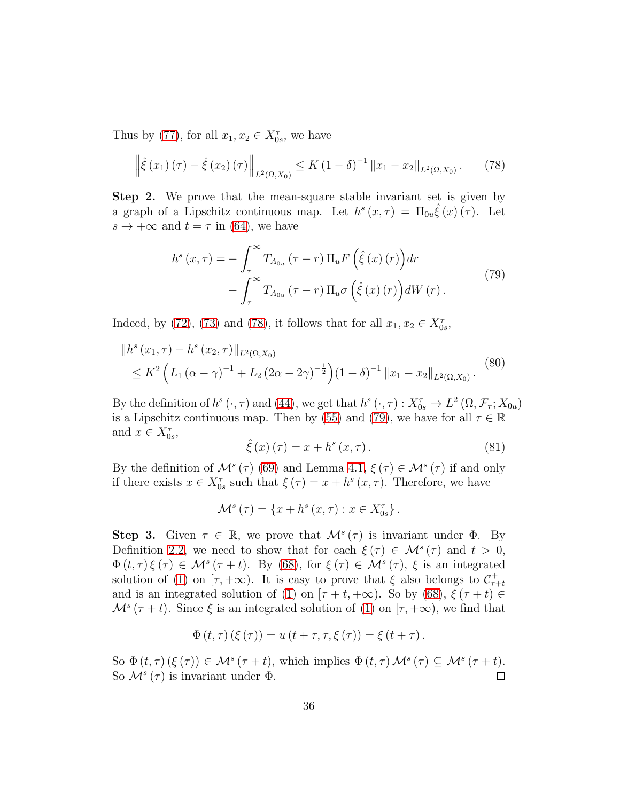Thus by [\(77\)](#page-34-2), for all  $x_1, x_2 \in X_{0s}^{\tau}$ , we have

<span id="page-35-0"></span>
$$
\left\| \hat{\xi}(x_1)(\tau) - \hat{\xi}(x_2)(\tau) \right\|_{L^2(\Omega, X_0)} \le K \left( 1 - \delta \right)^{-1} \left\| x_1 - x_2 \right\|_{L^2(\Omega, X_0)}. \tag{78}
$$

Step 2. We prove that the mean-square stable invariant set is given by a graph of a Lipschitz continuous map. Let  $h^{s}(x, \tau) = \Pi_{0u} \hat{\xi}(x) (\tau)$ . Let  $s \to +\infty$  and  $t = \tau$  in [\(64\)](#page-30-2), we have

<span id="page-35-1"></span>
$$
h^{s}(x,\tau) = -\int_{\tau}^{\infty} T_{A_{0u}}(\tau - r) \Pi_{u} F\left(\hat{\xi}(x)(r)\right) dr - \int_{\tau}^{\infty} T_{A_{0u}}(\tau - r) \Pi_{u} \sigma\left(\hat{\xi}(x)(r)\right) dW(r).
$$
\n(79)

Indeed, by [\(72\)](#page-33-1), [\(73\)](#page-33-2) and [\(78\)](#page-35-0), it follows that for all  $x_1, x_2 \in X_{0s}^{\tau}$ ,

$$
\|h^{s}(x_{1},\tau) - h^{s}(x_{2},\tau)\|_{L^{2}(\Omega,X_{0})}
$$
  
\$\leq K^{2}\left(L\_{1}(\alpha-\gamma)^{-1} + L\_{2}(2\alpha-2\gamma)^{-\frac{1}{2}}\right)(1-\delta)^{-1} \|x\_{1} - x\_{2}\|\_{L^{2}(\Omega,X\_{0})}. \tag{80}\$

By the definition of  $h^s(\cdot, \tau)$  and [\(44\)](#page-24-1), we get that  $h^s(\cdot, \tau) : X_{0s}^{\tau} \to L^2(\Omega, \mathcal{F}_{\tau}; X_{0u})$ is a Lipschitz continuous map. Then by [\(55\)](#page-27-1) and [\(79\)](#page-35-1), we have for all  $\tau \in \mathbb{R}$ and  $x \in X_{0s}^{\tau}$ ,

$$
\hat{\xi}(x)(\tau) = x + h^{s}(x, \tau).
$$
 (81)

By the definition of  $\mathcal{M}^s(\tau)$  [\(69\)](#page-32-2) and Lemma [4.1,](#page-27-2)  $\xi(\tau) \in \mathcal{M}^s(\tau)$  if and only if there exists  $x \in X_{0s}^{\tau}$  such that  $\xi(\tau) = x + h^{s}(x, \tau)$ . Therefore, we have

$$
\mathcal{M}^{s}(\tau) = \{x + h^{s}(x, \tau) : x \in X_{0s}^{\tau}\}.
$$

Step 3. Given  $\tau \in \mathbb{R}$ , we prove that  $\mathcal{M}^s(\tau)$  is invariant under  $\Phi$ . By Definition [2.2,](#page-3-1) we need to show that for each  $\xi(\tau) \in \mathcal{M}^s(\tau)$  and  $t > 0$ ,  $\Phi(t,\tau)\xi(\tau) \in \mathcal{M}^s(\tau+t)$ . By [\(68\)](#page-32-0), for  $\xi(\tau) \in \mathcal{M}^s(\tau)$ ,  $\xi$  is an integrated solution of [\(1\)](#page-0-0) on  $[\tau, +\infty)$ . It is easy to prove that  $\xi$  also belongs to  $\mathcal{C}_{\tau+t}^+$ and is an integrated solution of [\(1\)](#page-0-0) on  $[\tau + t, +\infty)$ . So by [\(68\)](#page-32-0),  $\xi(\tau + t) \in$  $\mathcal{M}^{s}(\tau+t)$ . Since  $\xi$  is an integrated solution of [\(1\)](#page-0-0) on  $[\tau, +\infty)$ , we find that

$$
\Phi(t,\tau)(\xi(\tau)) = u(t+\tau,\tau,\xi(\tau)) = \xi(t+\tau).
$$

So  $\Phi(t,\tau)$   $(\xi(\tau)) \in M^s(\tau+t)$ , which implies  $\Phi(t,\tau) M^s(\tau) \subseteq M^s(\tau+t)$ . So  $\mathcal{M}^s(\tau)$  is invariant under  $\Phi$ .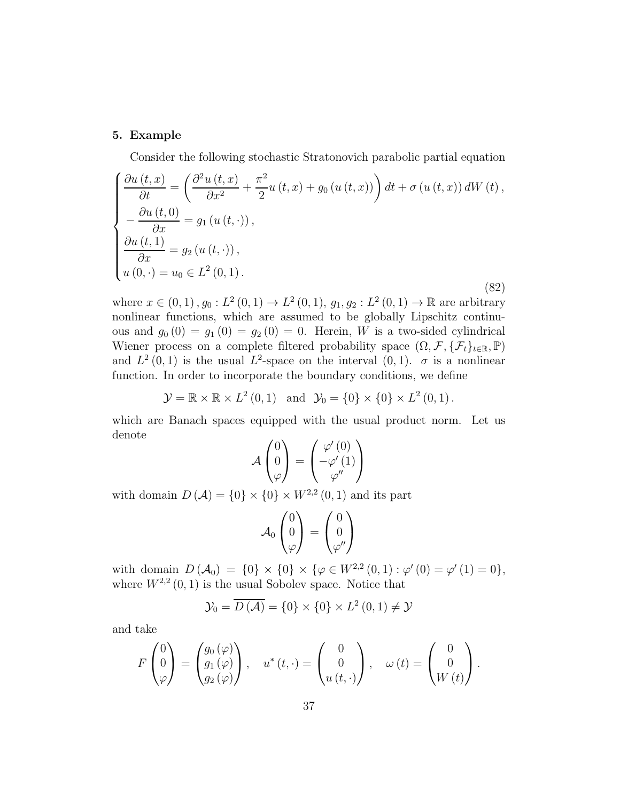#### 5. Example

<span id="page-36-0"></span>Consider the following stochastic Stratonovich parabolic partial equation

$$
\begin{cases}\n\frac{\partial u(t,x)}{\partial t} = \left(\frac{\partial^2 u(t,x)}{\partial x^2} + \frac{\pi^2}{2} u(t,x) + g_0(u(t,x))\right) dt + \sigma(u(t,x)) dW(t), \\
-\frac{\partial u(t,0)}{\partial x} = g_1(u(t,\cdot)), \\
\frac{\partial u(t,1)}{\partial x} = g_2(u(t,\cdot)), \\
u(0,\cdot) = u_0 \in L^2(0,1).\n\end{cases}
$$
\n(82)

where  $x \in (0,1)$ ,  $g_0: L^2(0,1) \to L^2(0,1)$ ,  $g_1, g_2: L^2(0,1) \to \mathbb{R}$  are arbitrary nonlinear functions, which are assumed to be globally Lipschitz continuous and  $g_0(0) = g_1(0) = g_2(0) = 0$ . Herein, W is a two-sided cylindrical Wiener process on a complete filtered probability space  $(\Omega, \mathcal{F}, \{\mathcal{F}_t\}_{t \in \mathbb{R}}, \mathbb{P})$ and  $L^2(0,1)$  is the usual  $L^2$ -space on the interval  $(0,1)$ .  $\sigma$  is a nonlinear function. In order to incorporate the boundary conditions, we define

 $\mathcal{Y} = \mathbb{R} \times \mathbb{R} \times L^2(0, 1)$  and  $\mathcal{Y}_0 = \{0\} \times \{0\} \times L^2(0, 1)$ .

which are Banach spaces equipped with the usual product norm. Let us denote

$$
\mathcal{A}\begin{pmatrix}0\\0\\ \varphi\end{pmatrix}=\begin{pmatrix}\varphi'(0)\\-\varphi'(1)\\ \varphi''\end{pmatrix}
$$

with domain  $D(\mathcal{A}) = \{0\} \times \{0\} \times W^{2,2}(0,1)$  and its part

$$
\mathcal{A}_0 \begin{pmatrix} 0 \\ 0 \\ \varphi \end{pmatrix} = \begin{pmatrix} 0 \\ 0 \\ \varphi'' \end{pmatrix}
$$

with domain  $D(\mathcal{A}_0) = \{0\} \times \{0\} \times \{\varphi \in W^{2,2}(0,1) : \varphi'(0) = \varphi'(1) = 0\},$ where  $W^{2,2}(0,1)$  is the usual Sobolev space. Notice that

$$
\mathcal{Y}_0 = \overline{D\left(\mathcal{A}\right)} = \{0\} \times \{0\} \times L^2\left(0, 1\right) \neq \mathcal{Y}
$$

and take

$$
F\begin{pmatrix}0\\0\\ \varphi\end{pmatrix} = \begin{pmatrix}g_0(\varphi)\\g_1(\varphi)\\g_2(\varphi)\end{pmatrix}, \quad u^*(t,\cdot) = \begin{pmatrix}0\\0\\u(t,\cdot)\end{pmatrix}, \quad \omega(t) = \begin{pmatrix}0\\0\\W(t)\end{pmatrix}.
$$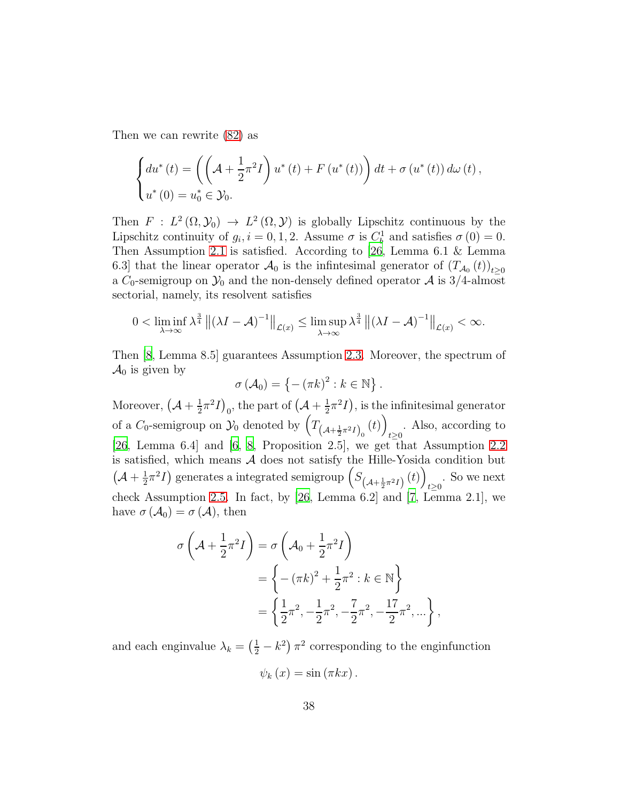Then we can rewrite [\(82\)](#page-36-0) as

$$
\begin{cases} du^*(t) = \left( \left( \mathcal{A} + \frac{1}{2} \pi^2 I \right) u^*(t) + F(u^*(t)) \right) dt + \sigma(u^*(t)) d\omega(t), \\ u^*(0) = u_0^* \in \mathcal{Y}_0. \end{cases}
$$

Then  $F: L^2(\Omega, \mathcal{Y}_0) \to L^2(\Omega, \mathcal{Y})$  is globally Lipschitz continuous by the Lipschitz continuity of  $g_i$ ,  $i = 0, 1, 2$ . Assume  $\sigma$  is  $C_b^1$  and satisfies  $\sigma(0) = 0$ . Then Assumption [2.1](#page-4-0) is satisfied. According to [\[26,](#page-41-5) Lemma 6.1 & Lemma 6.3] that the linear operator  $\mathcal{A}_0$  is the infinitesimal generator of  $(T_{\mathcal{A}_0}(t))_{t\geq0}$ a  $C_0$ -semigroup on  $\mathcal{Y}_0$  and the non-densely defined operator  $\mathcal A$  is 3/4-almost sectorial, namely, its resolvent satisfies

$$
0 < \liminf_{\lambda \to \infty} \lambda^{\frac{3}{4}} \| (\lambda I - \mathcal{A})^{-1} \|_{\mathcal{L}(x)} \leq \limsup_{\lambda \to \infty} \lambda^{\frac{3}{4}} \| (\lambda I - \mathcal{A})^{-1} \|_{\mathcal{L}(x)} < \infty.
$$

Then [\[8](#page-39-7), Lemma 8.5] guarantees Assumption [2.3.](#page-8-1) Moreover, the spectrum of  $\mathcal{A}_0$  is given by

$$
\sigma\left(\mathcal{A}_0\right) = \left\{-\left(\pi k\right)^2 : k \in \mathbb{N}\right\}.
$$

Moreover,  $(\mathcal{A} + \frac{1}{2})$  $\frac{1}{2}\pi^2I\big)_0$ , the part of  $\left(\mathcal{A} + \frac{1}{2}\right)$  $(\frac{1}{2}\pi^2I)$ , is the infinitesimal generator of a  $C_0$ -semigroup on  $\mathcal{Y}_0$  denoted by  $\left(T_{\left(\mathcal{A}+\frac{1}{2}\pi^2 I\right)_0}(t)\right)$ . Also, according to  $t\geq 0$ [\[26,](#page-41-5) Lemma 6.4] and [\[6](#page-39-5), [8](#page-39-7), Proposition 2.5], we get that Assumption [2.2](#page-5-0) is satisfied, which means  $A$  does not satisfy the Hille-Yosida condition but  $\left(\mathcal{A}+\frac{1}{2}\right)$  $\frac{1}{2}\pi^2I$ ) generates a integrated semigroup  $(S_{(A+\frac{1}{2}\pi^2I)}(t))$ . So we next  $t \geq 0$ check Assumption [2.5.](#page-12-0) In fact, by [\[26,](#page-41-5) Lemma 6.2] and [\[7,](#page-39-6) Lemma 2.1], we have  $\sigma(\mathcal{A}_0) = \sigma(\mathcal{A})$ , then

$$
\sigma\left(\mathcal{A} + \frac{1}{2}\pi^2 I\right) = \sigma\left(\mathcal{A}_0 + \frac{1}{2}\pi^2 I\right)
$$
  
=  $\left\{ -(\pi k)^2 + \frac{1}{2}\pi^2 : k \in \mathbb{N} \right\}$   
=  $\left\{ \frac{1}{2}\pi^2, -\frac{1}{2}\pi^2, -\frac{7}{2}\pi^2, -\frac{17}{2}\pi^2, \dots \right\},$ 

and each enginvalue  $\lambda_k = \left(\frac{1}{2} - k^2\right)\pi^2$  corresponding to the enginfunction

$$
\psi_{k}(x)=\sin(\pi kx).
$$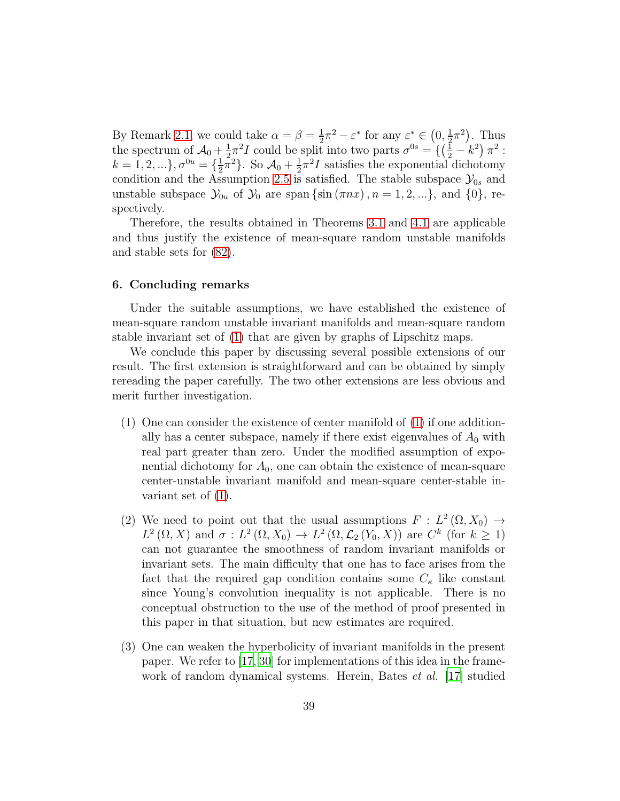By Remark [2.1,](#page-12-3) we could take  $\alpha = \beta = \frac{1}{2}$  $\frac{1}{2}\pi^2 - \varepsilon^*$  for any  $\varepsilon^* \in \left(0, \frac{1}{2}\right)$  $(\frac{1}{2}\pi^2)$ . Thus the spectrum of  $\mathcal{A}_0 + \frac{1}{2}$  $\frac{1}{2}\pi^2 I$  could be split into two parts  $\sigma^{0s} = \left\{ \left( \frac{1}{2} - k^2 \right) \pi^2 : \right\}$  $k = 1, 2, ...\}, \sigma^{0u} = \{\frac{1}{2}\}$  $\frac{1}{2}\bar{\pi}^2$ . So  $\mathcal{A}_0 + \frac{1}{2}$  $\frac{1}{2}\pi^2 I$  satisfies the exponential dichotomy condition and the Assumption [2.5](#page-12-0) is satisfied. The stable subspace  $\mathcal{Y}_{0s}$  and unstable subspace  $\mathcal{Y}_{0u}$  of  $\mathcal{Y}_0$  are span {sin  $(\pi nx)$ ,  $n = 1, 2, ...$ }, and {0}, respectively.

Therefore, the results obtained in Theorems [3.1](#page-19-2) and [4.1](#page-32-3) are applicable and thus justify the existence of mean-square random unstable manifolds and stable sets for [\(82\)](#page-36-0).

## <span id="page-38-0"></span>6. Concluding remarks

Under the suitable assumptions, we have established the existence of mean-square random unstable invariant manifolds and mean-square random stable invariant set of [\(1\)](#page-0-0) that are given by graphs of Lipschitz maps.

We conclude this paper by discussing several possible extensions of our result. The first extension is straightforward and can be obtained by simply rereading the paper carefully. The two other extensions are less obvious and merit further investigation.

- (1) One can consider the existence of center manifold of [\(1\)](#page-0-0) if one additionally has a center subspace, namely if there exist eigenvalues of  $A_0$  with real part greater than zero. Under the modified assumption of exponential dichotomy for  $A_0$ , one can obtain the existence of mean-square center-unstable invariant manifold and mean-square center-stable invariant set of [\(1\)](#page-0-0).
- (2) We need to point out that the usual assumptions  $F: L^2(\Omega, X_0) \to$  $L^2(\Omega,X)$  and  $\sigma: L^2(\Omega,X_0) \to L^2(\Omega,\mathcal{L}_2(Y_0,X))$  are  $C^k$  (for  $k \geq 1$ ) can not guarantee the smoothness of random invariant manifolds or invariant sets. The main difficulty that one has to face arises from the fact that the required gap condition contains some  $C_{\kappa}$  like constant since Young's convolution inequality is not applicable. There is no conceptual obstruction to the use of the method of proof presented in this paper in that situation, but new estimates are required.
- (3) One can weaken the hyperbolicity of invariant manifolds in the present paper. We refer to [\[17](#page-40-8), [30\]](#page-41-9) for implementations of this idea in the framework of random dynamical systems. Herein, Bates *et al.* [\[17\]](#page-40-8) studied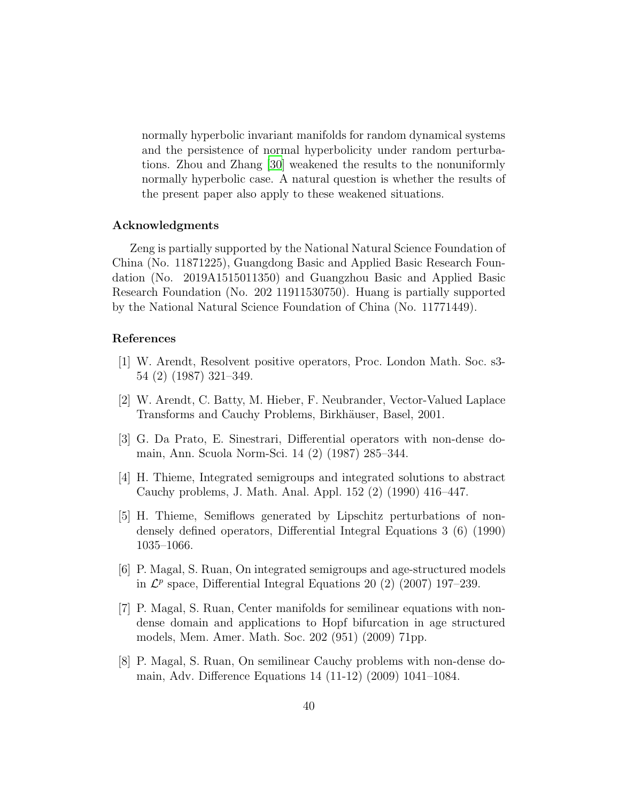normally hyperbolic invariant manifolds for random dynamical systems and the persistence of normal hyperbolicity under random perturbations. Zhou and Zhang [\[30\]](#page-41-9) weakened the results to the nonuniformly normally hyperbolic case. A natural question is whether the results of the present paper also apply to these weakened situations.

#### Acknowledgments

Zeng is partially supported by the National Natural Science Foundation of China (No. 11871225), Guangdong Basic and Applied Basic Research Foundation (No. 2019A1515011350) and Guangzhou Basic and Applied Basic Research Foundation (No. 202 11911530750). Huang is partially supported by the National Natural Science Foundation of China (No. 11771449).

## References

- <span id="page-39-0"></span>[1] W. Arendt, Resolvent positive operators, Proc. London Math. Soc. s3- 54 (2) (1987) 321–349.
- <span id="page-39-1"></span>[2] W. Arendt, C. Batty, M. Hieber, F. Neubrander, Vector-Valued Laplace Transforms and Cauchy Problems, Birkhäuser, Basel, 2001.
- <span id="page-39-2"></span>[3] G. Da Prato, E. Sinestrari, Differential operators with non-dense domain, Ann. Scuola Norm-Sci. 14 (2) (1987) 285–344.
- <span id="page-39-3"></span>[4] H. Thieme, Integrated semigroups and integrated solutions to abstract Cauchy problems, J. Math. Anal. Appl. 152 (2) (1990) 416–447.
- <span id="page-39-4"></span>[5] H. Thieme, Semiflows generated by Lipschitz perturbations of nondensely defined operators, Differential Integral Equations 3 (6) (1990) 1035–1066.
- <span id="page-39-5"></span>[6] P. Magal, S. Ruan, On integrated semigroups and age-structured models in  $\mathcal{L}^p$  space, Differential Integral Equations 20 (2) (2007) 197–239.
- <span id="page-39-6"></span>[7] P. Magal, S. Ruan, Center manifolds for semilinear equations with nondense domain and applications to Hopf bifurcation in age structured models, Mem. Amer. Math. Soc. 202 (951) (2009) 71pp.
- <span id="page-39-7"></span>[8] P. Magal, S. Ruan, On semilinear Cauchy problems with non-dense domain, Adv. Difference Equations 14 (11-12) (2009) 1041–1084.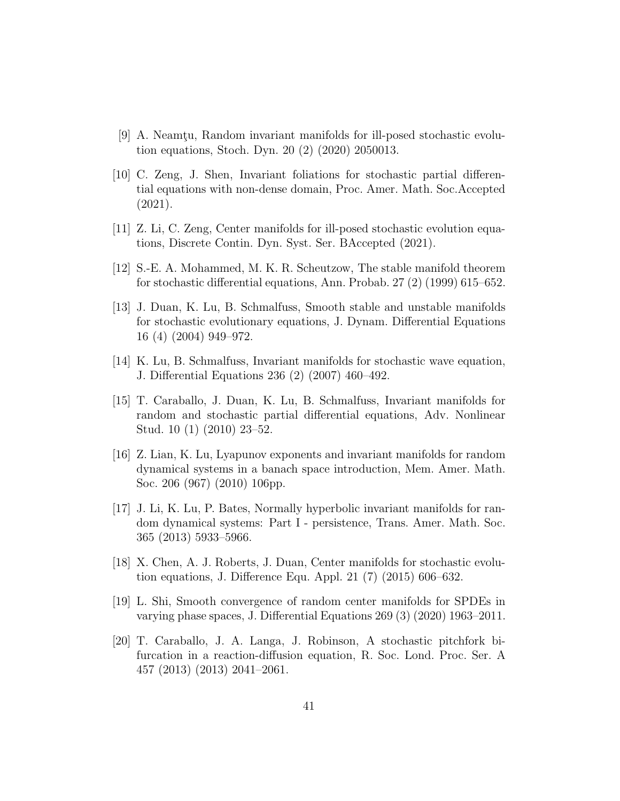- <span id="page-40-0"></span> $[9]$  A. Neamtu, Random invariant manifolds for ill-posed stochastic evolution equations, Stoch. Dyn. 20 (2) (2020) 2050013.
- <span id="page-40-1"></span>[10] C. Zeng, J. Shen, Invariant foliations for stochastic partial differential equations with non-dense domain, Proc. Amer. Math. Soc.Accepted (2021).
- <span id="page-40-2"></span>[11] Z. Li, C. Zeng, Center manifolds for ill-posed stochastic evolution equations, Discrete Contin. Dyn. Syst. Ser. BAccepted (2021).
- <span id="page-40-3"></span>[12] S.-E. A. Mohammed, M. K. R. Scheutzow, The stable manifold theorem for stochastic differential equations, Ann. Probab. 27 (2) (1999) 615–652.
- <span id="page-40-4"></span>[13] J. Duan, K. Lu, B. Schmalfuss, Smooth stable and unstable manifolds for stochastic evolutionary equations, J. Dynam. Differential Equations 16 (4) (2004) 949–972.
- <span id="page-40-5"></span>[14] K. Lu, B. Schmalfuss, Invariant manifolds for stochastic wave equation, J. Differential Equations 236 (2) (2007) 460–492.
- <span id="page-40-6"></span>[15] T. Caraballo, J. Duan, K. Lu, B. Schmalfuss, Invariant manifolds for random and stochastic partial differential equations, Adv. Nonlinear Stud. 10 (1) (2010) 23–52.
- <span id="page-40-7"></span>[16] Z. Lian, K. Lu, Lyapunov exponents and invariant manifolds for random dynamical systems in a banach space introduction, Mem. Amer. Math. Soc. 206 (967) (2010) 106pp.
- <span id="page-40-8"></span>[17] J. Li, K. Lu, P. Bates, Normally hyperbolic invariant manifolds for random dynamical systems: Part I - persistence, Trans. Amer. Math. Soc. 365 (2013) 5933–5966.
- <span id="page-40-9"></span>[18] X. Chen, A. J. Roberts, J. Duan, Center manifolds for stochastic evolution equations, J. Difference Equ. Appl. 21 (7) (2015) 606–632.
- <span id="page-40-10"></span>[19] L. Shi, Smooth convergence of random center manifolds for SPDEs in varying phase spaces, J. Differential Equations 269 (3) (2020) 1963–2011.
- <span id="page-40-11"></span>[20] T. Caraballo, J. A. Langa, J. Robinson, A stochastic pitchfork bifurcation in a reaction-diffusion equation, R. Soc. Lond. Proc. Ser. A 457 (2013) (2013) 2041–2061.